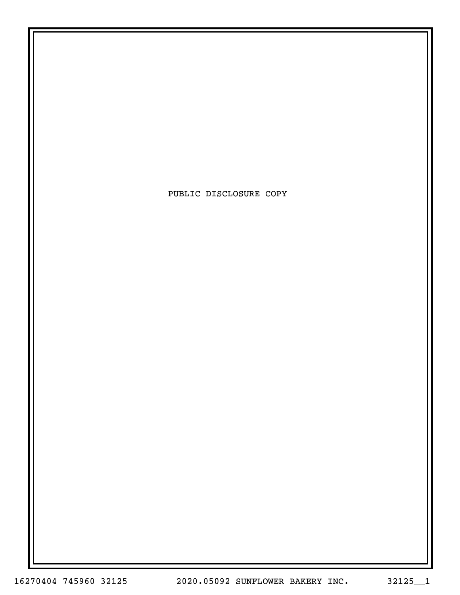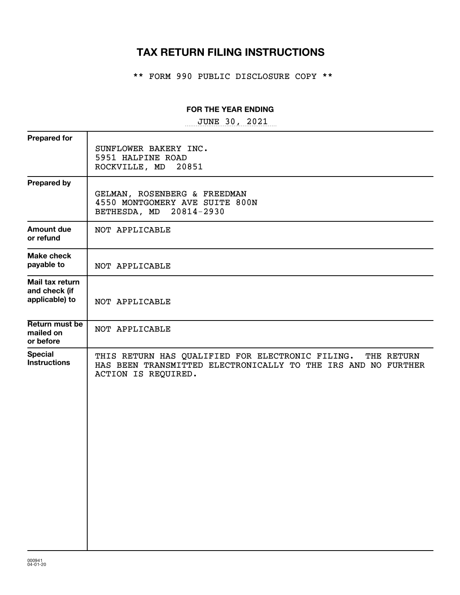## **TAX RETURN FILING INSTRUCTIONS**

\*\* FORM 990 PUBLIC DISCLOSURE COPY \*\*

## **FOR THE YEAR ENDING**

~~~~~~~~~~~~~~~~~ JUNE 30, 2021

| <b>Prepared for</b>                                |                                                                                                                                                     |
|----------------------------------------------------|-----------------------------------------------------------------------------------------------------------------------------------------------------|
|                                                    | SUNFLOWER BAKERY INC.<br>5951 HALPINE ROAD<br>ROCKVILLE, MD<br>20851                                                                                |
| <b>Prepared by</b>                                 | GELMAN, ROSENBERG & FREEDMAN<br>4550 MONTGOMERY AVE SUITE 800N<br>BETHESDA, MD 20814-2930                                                           |
| Amount due<br>or refund                            | NOT APPLICABLE                                                                                                                                      |
| <b>Make check</b><br>payable to                    | NOT APPLICABLE                                                                                                                                      |
| Mail tax return<br>and check (if<br>applicable) to | NOT APPLICABLE                                                                                                                                      |
| Return must be<br>mailed on<br>or before           | NOT APPLICABLE                                                                                                                                      |
| <b>Special</b><br><b>Instructions</b>              | THIS RETURN HAS QUALIFIED FOR ELECTRONIC FILING. THE RETURN<br>HAS BEEN TRANSMITTED ELECTRONICALLY TO THE IRS AND NO FURTHER<br>ACTION IS REQUIRED. |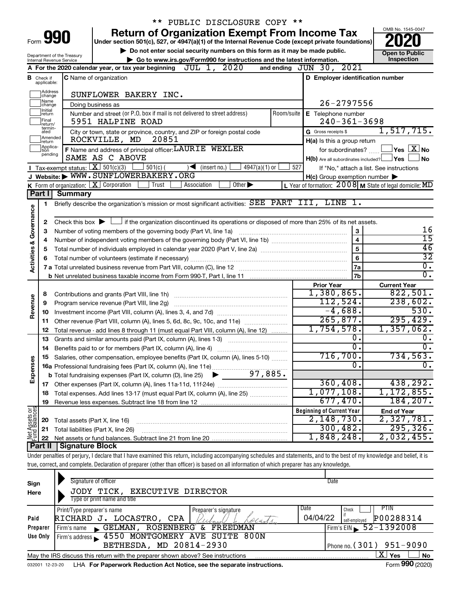|                                |                                                                                                                                                                                                |                                                        | ** PUBLIC DISCLOSURE COPY **                                                                                                                                               |                                  |                                                     |                                                                    |  |
|--------------------------------|------------------------------------------------------------------------------------------------------------------------------------------------------------------------------------------------|--------------------------------------------------------|----------------------------------------------------------------------------------------------------------------------------------------------------------------------------|----------------------------------|-----------------------------------------------------|--------------------------------------------------------------------|--|
|                                |                                                                                                                                                                                                |                                                        | <b>Return of Organization Exempt From Income Tax</b>                                                                                                                       |                                  |                                                     | OMB No. 1545-0047                                                  |  |
|                                |                                                                                                                                                                                                | Form 990                                               | Under section 501(c), 527, or 4947(a)(1) of the Internal Revenue Code (except private foundations)                                                                         |                                  |                                                     |                                                                    |  |
|                                |                                                                                                                                                                                                |                                                        | Do not enter social security numbers on this form as it may be made public.                                                                                                |                                  |                                                     | <b>Open to Public</b>                                              |  |
|                                |                                                                                                                                                                                                | Department of the Treasury<br>Internal Revenue Service | ► Go to www.irs.gov/Form990 for instructions and the latest information.                                                                                                   |                                  |                                                     | Inspection                                                         |  |
|                                |                                                                                                                                                                                                |                                                        | JUL 1, 2020<br>A For the 2020 calendar year, or tax year beginning                                                                                                         | and ending JUN 30, 2021          |                                                     |                                                                    |  |
|                                | <b>B</b> Check if applicable:                                                                                                                                                                  |                                                        | <b>C</b> Name of organization                                                                                                                                              |                                  |                                                     | D Employer identification number                                   |  |
|                                | Address<br> change                                                                                                                                                                             |                                                        | SUNFLOWER BAKERY INC.                                                                                                                                                      |                                  |                                                     |                                                                    |  |
|                                | Name<br>change                                                                                                                                                                                 |                                                        | Doing business as                                                                                                                                                          |                                  | 26-2797556                                          |                                                                    |  |
|                                | <b>Initial</b><br>Number and street (or P.O. box if mail is not delivered to street address)<br>Room/suite<br>E Telephone number<br>return<br>Final<br>$240 - 361 - 3698$<br>5951 HALPINE ROAD |                                                        |                                                                                                                                                                            |                                  |                                                     |                                                                    |  |
|                                | lreturn/<br>termin-<br>ated                                                                                                                                                                    |                                                        | City or town, state or province, country, and ZIP or foreign postal code                                                                                                   | G Gross receipts \$              |                                                     | 1,517,715.                                                         |  |
|                                | Amended<br>Ireturn                                                                                                                                                                             |                                                        | 20851<br>ROCKVILLE, MD                                                                                                                                                     |                                  | H(a) Is this a group return                         |                                                                    |  |
|                                | Applica-<br>tion                                                                                                                                                                               |                                                        | F Name and address of principal officer: LAURTE WEXLER                                                                                                                     |                                  | for subordinates?                                   | $\mathsf{\perp}$ Yes $\mathsf{\perp} \mathbf{X} \mathsf{\perp}$ No |  |
|                                | pending                                                                                                                                                                                        |                                                        | SAME AS C ABOVE                                                                                                                                                            |                                  |                                                     | $H(b)$ Are all subordinates included? $\Box$ Yes<br>∣No            |  |
|                                |                                                                                                                                                                                                |                                                        | Tax-exempt status: $X \overline{3} 501(c)(3)$<br>$501(c)$ (<br>$4947(a)(1)$ or<br>$\sqrt{\bullet}$ (insert no.)                                                            | 527                              |                                                     | If "No," attach a list. See instructions                           |  |
|                                |                                                                                                                                                                                                |                                                        | J Website: WWW.SUNFLOWERBAKERY.ORG                                                                                                                                         |                                  | $H(c)$ Group exemption number $\blacktriangleright$ |                                                                    |  |
|                                |                                                                                                                                                                                                |                                                        | K Form of organization:   X Corporation<br>Other $\blacktriangleright$<br>Trust<br>Association                                                                             |                                  |                                                     | L Year of formation: 2008 M State of legal domicile: MD            |  |
|                                | Part I                                                                                                                                                                                         | <b>Summary</b>                                         |                                                                                                                                                                            |                                  |                                                     |                                                                    |  |
|                                | 1                                                                                                                                                                                              |                                                        | Briefly describe the organization's mission or most significant activities: SEE PART III, LINE 1.                                                                          |                                  |                                                     |                                                                    |  |
| Governance                     |                                                                                                                                                                                                |                                                        |                                                                                                                                                                            |                                  |                                                     |                                                                    |  |
|                                | 2                                                                                                                                                                                              |                                                        | Check this box $\blacktriangleright \Box$ if the organization discontinued its operations or disposed of more than 25% of its net assets.                                  |                                  |                                                     |                                                                    |  |
|                                | 3                                                                                                                                                                                              |                                                        | Number of voting members of the governing body (Part VI, line 1a)                                                                                                          |                                  | 3                                                   | 16                                                                 |  |
|                                | 4                                                                                                                                                                                              |                                                        |                                                                                                                                                                            |                                  | $\overline{\mathbf{4}}$                             | $\overline{15}$                                                    |  |
|                                | 5                                                                                                                                                                                              |                                                        |                                                                                                                                                                            |                                  | $\overline{5}$                                      | 46                                                                 |  |
| <b>Activities &amp;</b>        | 6                                                                                                                                                                                              |                                                        |                                                                                                                                                                            |                                  | $6\phantom{1}6$                                     | $\overline{32}$                                                    |  |
|                                |                                                                                                                                                                                                |                                                        |                                                                                                                                                                            |                                  | 7a                                                  | $\overline{0}$ .                                                   |  |
|                                |                                                                                                                                                                                                |                                                        |                                                                                                                                                                            |                                  | 7b                                                  | $\overline{0}$ .                                                   |  |
|                                |                                                                                                                                                                                                |                                                        |                                                                                                                                                                            | <b>Prior Year</b>                |                                                     | <b>Current Year</b>                                                |  |
|                                | 8                                                                                                                                                                                              |                                                        |                                                                                                                                                                            |                                  | 1,380,865.                                          | 822,501.                                                           |  |
| Revenue                        | 9                                                                                                                                                                                              |                                                        | Program service revenue (Part VIII, line 2g)                                                                                                                               |                                  | 112,524.                                            | 238,602.                                                           |  |
|                                | 10                                                                                                                                                                                             |                                                        |                                                                                                                                                                            |                                  | $-4,688.$                                           | 530.                                                               |  |
|                                | 11                                                                                                                                                                                             |                                                        | Other revenue (Part VIII, column (A), lines 5, 6d, 8c, 9c, 10c, and 11e)                                                                                                   |                                  | 265,877.                                            | 295, 429.                                                          |  |
|                                | 12                                                                                                                                                                                             |                                                        | Total revenue - add lines 8 through 11 (must equal Part VIII, column (A), line 12)                                                                                         |                                  | 1,754,578.                                          | 1,357,062.                                                         |  |
|                                | 13                                                                                                                                                                                             |                                                        | Grants and similar amounts paid (Part IX, column (A), lines 1-3)                                                                                                           |                                  | 0.                                                  | $0$ .                                                              |  |
|                                |                                                                                                                                                                                                |                                                        |                                                                                                                                                                            |                                  | $\overline{0}$ .                                    | $\overline{0}$ .                                                   |  |
|                                |                                                                                                                                                                                                |                                                        | Salaries, other compensation, employee benefits (Part IX, column (A), lines 5-10)                                                                                          |                                  | 716, 700.                                           | 734,563.                                                           |  |
| Expenses                       |                                                                                                                                                                                                |                                                        |                                                                                                                                                                            |                                  | 0                                                   | $\overline{0}$ .                                                   |  |
|                                |                                                                                                                                                                                                |                                                        |                                                                                                                                                                            |                                  |                                                     |                                                                    |  |
|                                |                                                                                                                                                                                                |                                                        |                                                                                                                                                                            |                                  | 360, 408.                                           | 438,292.                                                           |  |
|                                | 18                                                                                                                                                                                             |                                                        | Total expenses. Add lines 13-17 (must equal Part IX, column (A), line 25) <i></i>                                                                                          |                                  | 1,077,108.                                          | 1, 172, 855.                                                       |  |
|                                | 19                                                                                                                                                                                             |                                                        |                                                                                                                                                                            |                                  | 677,470.                                            | 184, 207.                                                          |  |
|                                |                                                                                                                                                                                                |                                                        |                                                                                                                                                                            | <b>Beginning of Current Year</b> |                                                     | <b>End of Year</b>                                                 |  |
| Net Assets or<br>Fund Balances | 20                                                                                                                                                                                             | Total assets (Part X, line 16)                         |                                                                                                                                                                            |                                  | 2,148,730.                                          | 2,327,781.                                                         |  |
|                                | 21                                                                                                                                                                                             |                                                        | Total liabilities (Part X, line 26)                                                                                                                                        |                                  | 300, 482.                                           | 295, 326.                                                          |  |
|                                | 22                                                                                                                                                                                             |                                                        |                                                                                                                                                                            |                                  | 1,848,248.                                          | 2,032,455.                                                         |  |
|                                | Part II                                                                                                                                                                                        | Signature Block                                        |                                                                                                                                                                            |                                  |                                                     |                                                                    |  |
|                                |                                                                                                                                                                                                |                                                        | Under penalties of perjury, I declare that I have examined this return, including accompanying schedules and statements, and to the best of my knowledge and belief, it is |                                  |                                                     |                                                                    |  |
|                                |                                                                                                                                                                                                |                                                        | true, correct, and complete. Declaration of preparer (other than officer) is based on all information of which preparer has any knowledge.                                 |                                  |                                                     |                                                                    |  |
|                                |                                                                                                                                                                                                |                                                        |                                                                                                                                                                            |                                  |                                                     |                                                                    |  |
| Sign                           |                                                                                                                                                                                                |                                                        | Signature of officer                                                                                                                                                       |                                  | Date                                                |                                                                    |  |

| Sign            | <b>Signature Of Officer</b>                                                     | Dalt                                   |
|-----------------|---------------------------------------------------------------------------------|----------------------------------------|
| Here            | <b>EXECUTIVE DIRECTOR</b><br>JODY TICK,                                         |                                        |
|                 | Type or print name and title                                                    |                                        |
|                 | Print/Type preparer's name<br>Preparer's signature                              | Date<br>PTIN<br>Check                  |
| Paid            | LOCASTRO,<br>CPA<br>RICHARD J.                                                  | P00288314<br>04/04/22<br>self-emploved |
| Preparer        | <b>FREEDMAN</b><br>ROSENBERG'<br>GELMAN,<br>&.<br>Firm's name<br>$\mathbf{A}$   | Firm's EIN $\, 52 - 1392008$           |
| Use Only        | Firm's address 1550 MONTGOMERY AVE SUITE 800N                                   |                                        |
|                 | BETHESDA, MD 20814-2930                                                         | Phone no. $(301)$ 951-9090             |
|                 | May the IRS discuss this return with the preparer shown above? See instructions | x.<br>Yes<br>No                        |
| 032001 12-23-20 | LHA For Paperwork Reduction Act Notice, see the separate instructions.          | Form 990 (2020)                        |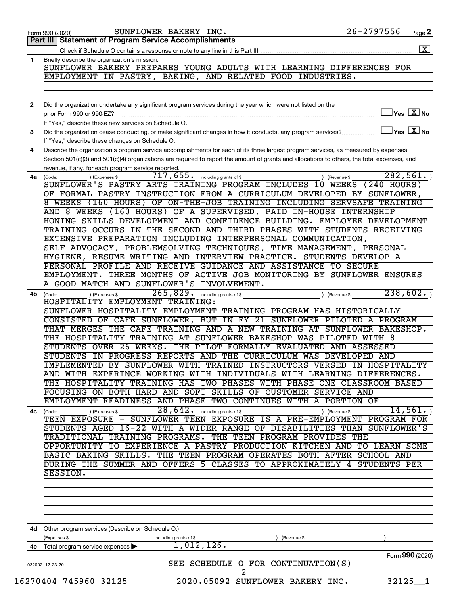|              | SUNFLOWER BAKERY INC.<br>Form 990 (2020)                                                                                                           | $26 - 2797556$ |                                   | Page 2                  |
|--------------|----------------------------------------------------------------------------------------------------------------------------------------------------|----------------|-----------------------------------|-------------------------|
|              | Part III   Statement of Program Service Accomplishments                                                                                            |                |                                   |                         |
|              |                                                                                                                                                    |                |                                   | $\overline{\mathbf{X}}$ |
| 1            | Briefly describe the organization's mission:                                                                                                       |                |                                   |                         |
|              | SUNFLOWER BAKERY PREPARES YOUNG ADULTS WITH LEARNING DIFFERENCES FOR                                                                               |                |                                   |                         |
|              | EMPLOYMENT IN PASTRY, BAKING, AND RELATED FOOD INDUSTRIES.                                                                                         |                |                                   |                         |
|              |                                                                                                                                                    |                |                                   |                         |
|              |                                                                                                                                                    |                |                                   |                         |
| $\mathbf{2}$ | Did the organization undertake any significant program services during the year which were not listed on the                                       |                | $\Box$ Yes $~\boxed{\text{X}}$ No |                         |
|              | prior Form 990 or 990-EZ?                                                                                                                          |                |                                   |                         |
|              | If "Yes," describe these new services on Schedule O.                                                                                               |                | $\Box$ Yes $\boxed{\text{X}}$ No  |                         |
| 3            | Did the organization cease conducting, or make significant changes in how it conducts, any program services?                                       |                |                                   |                         |
|              | If "Yes," describe these changes on Schedule O.                                                                                                    |                |                                   |                         |
| 4            | Describe the organization's program service accomplishments for each of its three largest program services, as measured by expenses.               |                |                                   |                         |
|              | Section 501(c)(3) and 501(c)(4) organizations are required to report the amount of grants and allocations to others, the total expenses, and       |                |                                   |                         |
| 4a           | revenue, if any, for each program service reported.<br>$\overline{717}$ , $\overline{655}$ . including grants of \$<br>) (Expenses \$              | ) (Revenue \$  | 282,561.                          |                         |
|              | (Code:<br>SUNFLOWER'S PASTRY ARTS TRAINING PROGRAM INCLUDES 10 WEEKS                                                                               |                | $(240$ HOURS)                     |                         |
|              | OF FORMAL PASTRY INSTRUCTION FROM A CURRICULUM DEVELOPED BY SUNFLOWER,                                                                             |                |                                   |                         |
|              | 8 WEEKS (160 HOURS) OF ON-THE-JOB TRAINING INCLUDING SERVSAFE TRAINING                                                                             |                |                                   |                         |
|              | AND 8 WEEKS (160 HOURS) OF A SUPERVISED, PAID IN-HOUSE INTERNSHIP                                                                                  |                |                                   |                         |
|              | HONING SKILLS DEVELOPMENT AND CONFIDENCE BUILDING. EMPLOYEE DEVELOPMENT                                                                            |                |                                   |                         |
|              | TRAINING OCCURS IN THE SECOND AND THIRD PHASES WITH STUDENTS RECEIVING                                                                             |                |                                   |                         |
|              | EXTENSIVE PREPARATION INCLUDING INTERPERSONAL COMMUNICATION,                                                                                       |                |                                   |                         |
|              | SELF-ADVOCACY, PROBLEMSOLVING TECHNIQUES, TIME-MANAGEMENT, PERSONAL                                                                                |                |                                   |                         |
|              | HYGIENE, RESUME WRITING AND INTERVIEW PRACTICE. STUDENTS DEVELOP A                                                                                 |                |                                   |                         |
|              | PERSONAL PROFILE AND RECEIVE GUIDANCE AND ASSISTANCE TO SECURE                                                                                     |                |                                   |                         |
|              | EMPLOYMENT. THREE MONTHS OF ACTIVE JOB MONITORING BY SUNFLOWER ENSURES                                                                             |                |                                   |                         |
|              | A GOOD MATCH AND SUNFLOWER'S INVOLVEMENT.                                                                                                          |                |                                   |                         |
| 4b           | ) (Expenses \$<br>(Code:                                                                                                                           | ) (Revenue \$  | 238,602.                          |                         |
|              | HOSPITALITY EMPLOYMENT TRAINING:                                                                                                                   |                |                                   |                         |
|              | SUNFLOWER HOSPITALITY EMPLOYMENT TRAINING PROGRAM HAS HISTORICALLY                                                                                 |                |                                   |                         |
|              | CONSISTED OF CAFE SUNFLOWER, BUT IN FY 21 SUNFLOWER PILOTED A PROGRAM                                                                              |                |                                   |                         |
|              | THAT MERGES THE CAFE TRAINING AND A NEW TRAINING AT SUNFLOWER BAKESHOP.                                                                            |                |                                   |                         |
|              | THE HOSPITALITY TRAINING AT SUNFLOWER BAKESHOP WAS PILOTED WITH 8                                                                                  |                |                                   |                         |
|              | STUDENTS OVER 26 WEEKS. THE PILOT FORMALLY EVALUATED AND ASSESSED                                                                                  |                |                                   |                         |
|              | STUDENTS IN PROGRESS REPORTS AND THE CURRICULUM WAS DEVELOPED AND                                                                                  |                |                                   |                         |
|              | IMPLEMENTED BY SUNFLOWER WITH TRAINED INSTRUCTORS VERSED IN HOSPITALITY                                                                            |                |                                   |                         |
|              | AND WITH EXPERINCE WORKING WITH INDIVIDUALS WITH LEARNING DIFFERENCES.                                                                             |                |                                   |                         |
|              | THE HOSPITALITY TRAINING HAS TWO PHASES WITH PHASE ONE CLASSROOM BASED                                                                             |                |                                   |                         |
|              | FOCUSING ON BOTH HARD AND SOFT SKILLS OF CUSTOMER SERVICE AND                                                                                      |                |                                   |                         |
|              | EMPLOYMENT READINESS AND PHASE TWO CONTINUES WITH A PORTION OF                                                                                     |                |                                   |                         |
| 4с           | 28,642.<br>including grants of \$<br>(Expenses \$<br>(Code:                                                                                        | ) (Revenue \$  | 14,561.                           |                         |
|              | TEEN EXPOSURE - SUNFLOWER TEEN EXPOSURE IS A PRE-EMPLOYMENT PROGRAM FOR<br>STUDENTS AGED 16-22 WITH A WIDER RANGE OF DISABILITIES THAN SUNFLOWER'S |                |                                   |                         |
|              | TRADITIONAL TRAINING PROGRAMS. THE TEEN PROGRAM PROVIDES THE                                                                                       |                |                                   |                         |
|              | OPPORTUNITY TO EXPERIENCE A PASTRY PRODUCTION KITCHEN AND TO LEARN SOME                                                                            |                |                                   |                         |
|              | BASIC BAKING SKILLS. THE TEEN PROGRAM OPERATES BOTH AFTER SCHOOL AND                                                                               |                |                                   |                         |
|              | DURING THE SUMMER AND OFFERS 5 CLASSES TO APPROXIMATELY 4                                                                                          |                | STUDENTS PER                      |                         |
|              | SESSION.                                                                                                                                           |                |                                   |                         |
|              |                                                                                                                                                    |                |                                   |                         |
|              |                                                                                                                                                    |                |                                   |                         |
|              |                                                                                                                                                    |                |                                   |                         |
|              |                                                                                                                                                    |                |                                   |                         |
|              |                                                                                                                                                    |                |                                   |                         |
| 4d -         | Other program services (Describe on Schedule O.)                                                                                                   |                |                                   |                         |
|              | (Expenses \$<br>including grants of \$<br>(Revenue \$                                                                                              |                |                                   |                         |
| 4е           | $1,012,126$ .<br>Total program service expenses                                                                                                    |                |                                   |                         |
|              |                                                                                                                                                    |                | Form 990 (2020)                   |                         |
|              | SEE SCHEDULE O FOR CONTINUATION(S)<br>032002 12-23-20<br>2                                                                                         |                |                                   |                         |
|              | 16270404 745960 32125<br>2020.05092 SUNFLOWER BAKERY INC.                                                                                          |                | $32125 - 1$                       |                         |
|              |                                                                                                                                                    |                |                                   |                         |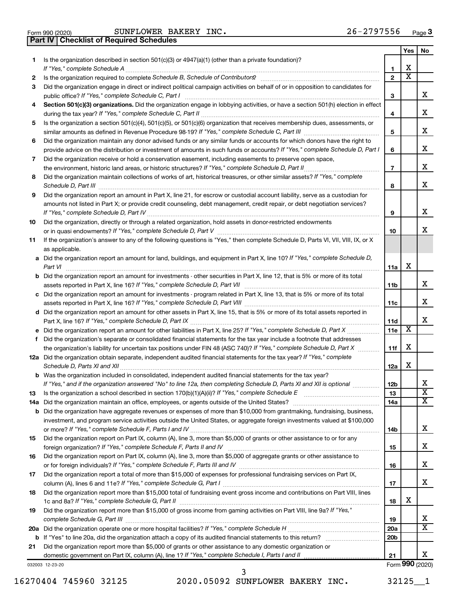| Form 990 (2020) |  |
|-----------------|--|

Form 990 (2020) Page SUNFLOWER BAKERY INC. 26-2797556

**Part IV Checklist of Required Schedules**

|    |                                                                                                                                                                                                                                     |                 | Yes                        | No                      |
|----|-------------------------------------------------------------------------------------------------------------------------------------------------------------------------------------------------------------------------------------|-----------------|----------------------------|-------------------------|
| 1. | Is the organization described in section 501(c)(3) or 4947(a)(1) (other than a private foundation)?                                                                                                                                 |                 |                            |                         |
|    | If "Yes," complete Schedule A                                                                                                                                                                                                       | 1               | х<br>$\overline{\text{x}}$ |                         |
| 2  |                                                                                                                                                                                                                                     | $\mathbf{2}$    |                            |                         |
| З  | Did the organization engage in direct or indirect political campaign activities on behalf of or in opposition to candidates for                                                                                                     |                 |                            | x                       |
|    | public office? If "Yes," complete Schedule C, Part I                                                                                                                                                                                | 3               |                            |                         |
| 4  | Section 501(c)(3) organizations. Did the organization engage in lobbying activities, or have a section 501(h) election in effect                                                                                                    |                 |                            | x                       |
| 5  | Is the organization a section 501(c)(4), 501(c)(5), or 501(c)(6) organization that receives membership dues, assessments, or                                                                                                        | 4               |                            |                         |
|    |                                                                                                                                                                                                                                     | 5               |                            | x                       |
| 6  | Did the organization maintain any donor advised funds or any similar funds or accounts for which donors have the right to                                                                                                           |                 |                            |                         |
|    | provide advice on the distribution or investment of amounts in such funds or accounts? If "Yes," complete Schedule D, Part I                                                                                                        | 6               |                            | x                       |
| 7  | Did the organization receive or hold a conservation easement, including easements to preserve open space,                                                                                                                           |                 |                            |                         |
|    |                                                                                                                                                                                                                                     | $\overline{7}$  |                            | x                       |
| 8  | Did the organization maintain collections of works of art, historical treasures, or other similar assets? If "Yes," complete                                                                                                        |                 |                            |                         |
|    | Schedule D, Part III <b>Marting Communities</b> and the contract of the contract of the contract of the contract of the contract of the contract of the contract of the contract of the contract of the contract of the contract of | 8               |                            | х                       |
| 9  | Did the organization report an amount in Part X, line 21, for escrow or custodial account liability, serve as a custodian for                                                                                                       |                 |                            |                         |
|    | amounts not listed in Part X; or provide credit counseling, debt management, credit repair, or debt negotiation services?                                                                                                           |                 |                            |                         |
|    |                                                                                                                                                                                                                                     | 9               |                            | х                       |
| 10 | Did the organization, directly or through a related organization, hold assets in donor-restricted endowments                                                                                                                        |                 |                            |                         |
|    |                                                                                                                                                                                                                                     | 10              |                            | х                       |
| 11 | If the organization's answer to any of the following questions is "Yes," then complete Schedule D, Parts VI, VII, VIII, IX, or X                                                                                                    |                 |                            |                         |
|    | as applicable.                                                                                                                                                                                                                      |                 |                            |                         |
|    | a Did the organization report an amount for land, buildings, and equipment in Part X, line 10? If "Yes," complete Schedule D,                                                                                                       |                 |                            |                         |
|    |                                                                                                                                                                                                                                     | 11a             | X                          |                         |
|    | <b>b</b> Did the organization report an amount for investments - other securities in Part X, line 12, that is 5% or more of its total                                                                                               |                 |                            |                         |
|    |                                                                                                                                                                                                                                     | 11b             |                            | x                       |
|    | c Did the organization report an amount for investments - program related in Part X, line 13, that is 5% or more of its total                                                                                                       |                 |                            | x                       |
|    |                                                                                                                                                                                                                                     | 11c             |                            |                         |
|    | d Did the organization report an amount for other assets in Part X, line 15, that is 5% or more of its total assets reported in                                                                                                     | 11d             |                            | x                       |
|    |                                                                                                                                                                                                                                     | 11e             | X                          |                         |
| f  | Did the organization's separate or consolidated financial statements for the tax year include a footnote that addresses                                                                                                             |                 |                            |                         |
|    | the organization's liability for uncertain tax positions under FIN 48 (ASC 740)? If "Yes," complete Schedule D, Part X                                                                                                              | 11f             | X                          |                         |
|    | 12a Did the organization obtain separate, independent audited financial statements for the tax year? If "Yes," complete                                                                                                             |                 |                            |                         |
|    |                                                                                                                                                                                                                                     | 12a             | X                          |                         |
|    | <b>b</b> Was the organization included in consolidated, independent audited financial statements for the tax year?                                                                                                                  |                 |                            |                         |
|    | If "Yes," and if the organization answered "No" to line 12a, then completing Schedule D, Parts XI and XII is optional                                                                                                               | 12 <sub>b</sub> |                            | х                       |
| 13 |                                                                                                                                                                                                                                     | 13              |                            | $\overline{\textbf{x}}$ |
|    |                                                                                                                                                                                                                                     | 14a             |                            | х                       |
|    | <b>b</b> Did the organization have aggregate revenues or expenses of more than \$10,000 from grantmaking, fundraising, business,                                                                                                    |                 |                            |                         |
|    | investment, and program service activities outside the United States, or aggregate foreign investments valued at \$100,000                                                                                                          |                 |                            |                         |
|    |                                                                                                                                                                                                                                     | 14b             |                            | х                       |
| 15 | Did the organization report on Part IX, column (A), line 3, more than \$5,000 of grants or other assistance to or for any                                                                                                           |                 |                            |                         |
|    |                                                                                                                                                                                                                                     | 15              |                            | х                       |
| 16 | Did the organization report on Part IX, column (A), line 3, more than \$5,000 of aggregate grants or other assistance to                                                                                                            |                 |                            |                         |
|    |                                                                                                                                                                                                                                     | 16              |                            | х                       |
| 17 | Did the organization report a total of more than \$15,000 of expenses for professional fundraising services on Part IX,                                                                                                             |                 |                            | x                       |
|    | Did the organization report more than \$15,000 total of fundraising event gross income and contributions on Part VIII, lines                                                                                                        | 17              |                            |                         |
| 18 |                                                                                                                                                                                                                                     | 18              | х                          |                         |
| 19 | Did the organization report more than \$15,000 of gross income from gaming activities on Part VIII, line 9a? If "Yes,"                                                                                                              |                 |                            |                         |
|    |                                                                                                                                                                                                                                     | 19              |                            | х                       |
|    |                                                                                                                                                                                                                                     | <b>20a</b>      |                            | X                       |
|    |                                                                                                                                                                                                                                     | 20 <sub>b</sub> |                            |                         |
| 21 | Did the organization report more than \$5,000 of grants or other assistance to any domestic organization or                                                                                                                         |                 |                            |                         |
|    |                                                                                                                                                                                                                                     | 21              |                            | x                       |
|    | 032003 12-23-20                                                                                                                                                                                                                     |                 |                            | Form 990 (2020)         |

16270404 745960 32125 2020.05092 SUNFLOWER BAKERY INC. 32125\_\_1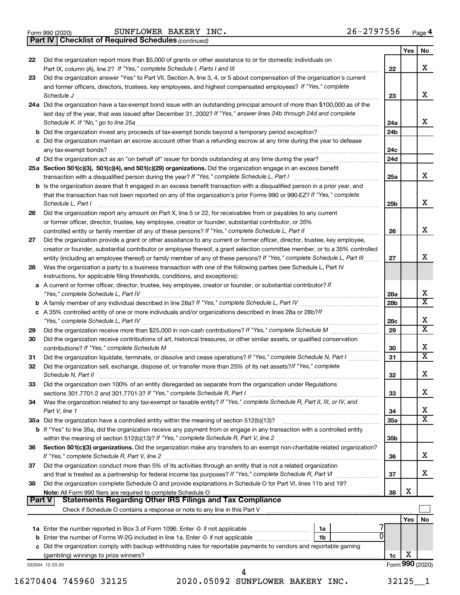|  | Form 990 (2020) |
|--|-----------------|
|  |                 |

Form 990 (2020) Page SUNFLOWER BAKERY INC. 26-2797556

*(continued)* **Part IV Checklist of Required Schedules**

|               |                                                                                                                                                                                                                            |                 | Yes        | No                           |
|---------------|----------------------------------------------------------------------------------------------------------------------------------------------------------------------------------------------------------------------------|-----------------|------------|------------------------------|
| 22            | Did the organization report more than \$5,000 of grants or other assistance to or for domestic individuals on                                                                                                              |                 |            |                              |
|               |                                                                                                                                                                                                                            | 22              |            | x                            |
| 23            | Did the organization answer "Yes" to Part VII, Section A, line 3, 4, or 5 about compensation of the organization's current                                                                                                 |                 |            |                              |
|               | and former officers, directors, trustees, key employees, and highest compensated employees? If "Yes," complete                                                                                                             |                 |            |                              |
|               | Schedule J <b>Execute Schedule J Execute Schedule J</b>                                                                                                                                                                    | 23              |            | x                            |
|               | 24a Did the organization have a tax-exempt bond issue with an outstanding principal amount of more than \$100,000 as of the                                                                                                |                 |            |                              |
|               | last day of the year, that was issued after December 31, 2002? If "Yes," answer lines 24b through 24d and complete                                                                                                         | 24a             |            | x                            |
|               |                                                                                                                                                                                                                            | 24 <sub>b</sub> |            |                              |
|               | c Did the organization maintain an escrow account other than a refunding escrow at any time during the year to defease                                                                                                     |                 |            |                              |
|               |                                                                                                                                                                                                                            | 24c             |            |                              |
|               |                                                                                                                                                                                                                            | 24d             |            |                              |
|               | 25a Section 501(c)(3), 501(c)(4), and 501(c)(29) organizations. Did the organization engage in an excess benefit                                                                                                           |                 |            |                              |
|               |                                                                                                                                                                                                                            | 25a             |            | x                            |
|               | <b>b</b> Is the organization aware that it engaged in an excess benefit transaction with a disqualified person in a prior year, and                                                                                        |                 |            |                              |
|               | that the transaction has not been reported on any of the organization's prior Forms 990 or 990-EZ? If "Yes," complete                                                                                                      |                 |            |                              |
|               | Schedule L, Part I                                                                                                                                                                                                         | 25 <sub>b</sub> |            | x                            |
| 26            | Did the organization report any amount on Part X, line 5 or 22, for receivables from or payables to any current<br>or former officer, director, trustee, key employee, creator or founder, substantial contributor, or 35% |                 |            |                              |
|               |                                                                                                                                                                                                                            | 26              |            | x                            |
| 27            | Did the organization provide a grant or other assistance to any current or former officer, director, trustee, key employee,                                                                                                |                 |            |                              |
|               | creator or founder, substantial contributor or employee thereof, a grant selection committee member, or to a 35% controlled                                                                                                |                 |            |                              |
|               | entity (including an employee thereof) or family member of any of these persons? If "Yes," complete Schedule L, Part III                                                                                                   | 27              |            | x                            |
| 28            | Was the organization a party to a business transaction with one of the following parties (see Schedule L, Part IV                                                                                                          |                 |            |                              |
|               | instructions, for applicable filing thresholds, conditions, and exceptions):                                                                                                                                               |                 |            |                              |
|               | a A current or former officer, director, trustee, key employee, creator or founder, or substantial contributor? If                                                                                                         |                 |            |                              |
|               |                                                                                                                                                                                                                            | 28a             |            | х<br>$\overline{\mathtt{x}}$ |
|               |                                                                                                                                                                                                                            | 28b             |            |                              |
|               | c A 35% controlled entity of one or more individuals and/or organizations described in lines 28a or 28b?If                                                                                                                 | 28c             |            | х                            |
| 29            |                                                                                                                                                                                                                            | 29              |            | $\overline{\mathtt{x}}$      |
| 30            | Did the organization receive contributions of art, historical treasures, or other similar assets, or qualified conservation                                                                                                |                 |            |                              |
|               |                                                                                                                                                                                                                            | 30              |            | х                            |
| 31            | Did the organization liquidate, terminate, or dissolve and cease operations? If "Yes," complete Schedule N, Part I                                                                                                         | 31              |            | $\overline{\mathtt{x}}$      |
| 32            | Did the organization sell, exchange, dispose of, or transfer more than 25% of its net assets? If "Yes," complete                                                                                                           |                 |            |                              |
|               |                                                                                                                                                                                                                            | 32              |            | х                            |
| 33            | Did the organization own 100% of an entity disregarded as separate from the organization under Regulations                                                                                                                 |                 |            | x                            |
| 34            | Was the organization related to any tax-exempt or taxable entity? If "Yes," complete Schedule R, Part II, III, or IV, and                                                                                                  | 33              |            |                              |
|               | Part V, line 1                                                                                                                                                                                                             | 34              |            | х                            |
|               | 35a Did the organization have a controlled entity within the meaning of section 512(b)(13)?                                                                                                                                | 35a             |            | $\overline{\mathtt{x}}$      |
|               | b If "Yes" to line 35a, did the organization receive any payment from or engage in any transaction with a controlled entity                                                                                                |                 |            |                              |
|               |                                                                                                                                                                                                                            | 35 <sub>b</sub> |            |                              |
| 36            | Section 501(c)(3) organizations. Did the organization make any transfers to an exempt non-charitable related organization?                                                                                                 |                 |            |                              |
|               |                                                                                                                                                                                                                            | 36              |            | x                            |
| 37            | Did the organization conduct more than 5% of its activities through an entity that is not a related organization                                                                                                           |                 |            |                              |
|               | Did the organization complete Schedule O and provide explanations in Schedule O for Part VI, lines 11b and 19?                                                                                                             | 37              |            | x                            |
| 38            |                                                                                                                                                                                                                            | 38              | X          |                              |
| <b>Part V</b> |                                                                                                                                                                                                                            |                 |            |                              |
|               |                                                                                                                                                                                                                            |                 |            |                              |
|               |                                                                                                                                                                                                                            |                 | <b>Yes</b> | No                           |
|               | 1a                                                                                                                                                                                                                         |                 |            |                              |
|               | b Enter the number of Forms W-2G included in line 1a. Enter -0- if not applicable<br>1b                                                                                                                                    |                 |            |                              |
|               | c Did the organization comply with backup withholding rules for reportable payments to vendors and reportable gaming                                                                                                       |                 | х          |                              |
|               | 032004 12-23-20                                                                                                                                                                                                            | 1c              |            | Form 990 (2020)              |
|               | 4                                                                                                                                                                                                                          |                 |            |                              |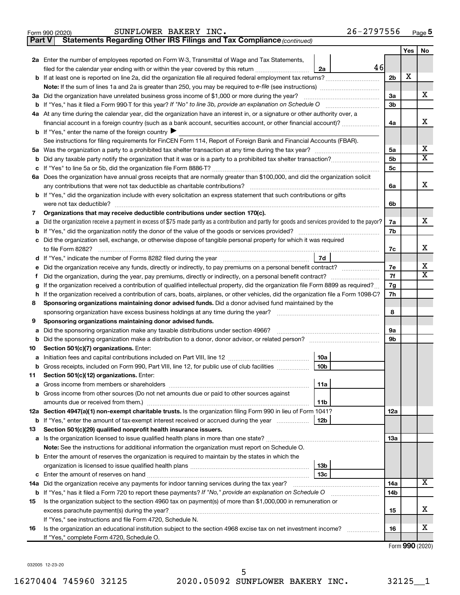|               | 26-2797556<br>SUNFLOWER BAKERY INC.<br>Form 990 (2020)                                                                                          |                |     | Page 5                  |
|---------------|-------------------------------------------------------------------------------------------------------------------------------------------------|----------------|-----|-------------------------|
| <b>Part V</b> | Statements Regarding Other IRS Filings and Tax Compliance (continued)                                                                           |                |     |                         |
|               |                                                                                                                                                 |                | Yes | No                      |
|               | 2a Enter the number of employees reported on Form W-3, Transmittal of Wage and Tax Statements,                                                  |                |     |                         |
|               | 46<br>filed for the calendar year ending with or within the year covered by this return <i>[[[[[[[[[[[[[]]]</i> ]]<br>2a                        |                |     |                         |
|               |                                                                                                                                                 | 2 <sub>b</sub> | х   |                         |
|               |                                                                                                                                                 |                |     |                         |
|               | 3a Did the organization have unrelated business gross income of \$1,000 or more during the year?                                                | 3a             |     | x                       |
|               | <b>b</b> If "Yes," has it filed a Form 990-T for this year? If "No" to line 3b, provide an explanation on Schedule O                            | 3 <sub>b</sub> |     |                         |
|               | 4a At any time during the calendar year, did the organization have an interest in, or a signature or other authority over, a                    |                |     |                         |
|               | financial account in a foreign country (such as a bank account, securities account, or other financial account)?                                | 4a             |     | X                       |
|               | <b>b</b> If "Yes," enter the name of the foreign country $\blacktriangleright$                                                                  |                |     |                         |
|               | See instructions for filing requirements for FinCEN Form 114, Report of Foreign Bank and Financial Accounts (FBAR).                             |                |     |                         |
|               | 5a Was the organization a party to a prohibited tax shelter transaction at any time during the tax year?                                        | 5a             |     | X                       |
| b             |                                                                                                                                                 | 5 <sub>b</sub> |     | $\overline{\mathbf{X}}$ |
| с             |                                                                                                                                                 | 5 <sub>c</sub> |     |                         |
|               | 6a Does the organization have annual gross receipts that are normally greater than \$100,000, and did the organization solicit                  |                |     |                         |
|               | any contributions that were not tax deductible as charitable contributions?                                                                     | 6a             |     | x                       |
|               | <b>b</b> If "Yes," did the organization include with every solicitation an express statement that such contributions or gifts                   |                |     |                         |
|               | were not tax deductible?                                                                                                                        | 6b             |     |                         |
| 7             | Organizations that may receive deductible contributions under section 170(c).                                                                   |                |     |                         |
| а             | Did the organization receive a payment in excess of \$75 made partly as a contribution and partly for goods and services provided to the payor? | 7a             |     | x                       |
| b             | If "Yes," did the organization notify the donor of the value of the goods or services provided?                                                 | 7b             |     |                         |
| с             | Did the organization sell, exchange, or otherwise dispose of tangible personal property for which it was required                               |                |     |                         |
|               | to file Form 8282?                                                                                                                              | 7c             |     | х                       |
|               | 7d<br>d If "Yes," indicate the number of Forms 8282 filed during the year                                                                       |                |     |                         |
| е             | Did the organization receive any funds, directly or indirectly, to pay premiums on a personal benefit contract?                                 | 7e             |     | х                       |
| f             | Did the organization, during the year, pay premiums, directly or indirectly, on a personal benefit contract?                                    | 7f             |     | $\overline{\mathbf{x}}$ |
| g             | If the organization received a contribution of qualified intellectual property, did the organization file Form 8899 as required?                | 7g             |     |                         |
| h             | If the organization received a contribution of cars, boats, airplanes, or other vehicles, did the organization file a Form 1098-C?              | 7h             |     |                         |
| 8             | Sponsoring organizations maintaining donor advised funds. Did a donor advised fund maintained by the                                            |                |     |                         |
|               | sponsoring organization have excess business holdings at any time during the year?                                                              | 8              |     |                         |
| 9             | Sponsoring organizations maintaining donor advised funds.                                                                                       |                |     |                         |
| а             | Did the sponsoring organization make any taxable distributions under section 4966?                                                              | 9а             |     |                         |
| b             | Did the sponsoring organization make a distribution to a donor, donor advisor, or related person?                                               | 9b             |     |                         |
| 10            | Section 501(c)(7) organizations. Enter:                                                                                                         |                |     |                         |
|               | 10a                                                                                                                                             |                |     |                         |
| b             | Gross receipts, included on Form 990, Part VIII, line 12, for public use of club facilities<br>10 <sub>b</sub>                                  |                |     |                         |
| 11            | Section 501(c)(12) organizations. Enter:                                                                                                        |                |     |                         |
| а             | 11a                                                                                                                                             |                |     |                         |
| b             | Gross income from other sources (Do not net amounts due or paid to other sources against                                                        |                |     |                         |
|               | 11 <sub>b</sub>                                                                                                                                 |                |     |                         |
| 12a           | Section 4947(a)(1) non-exempt charitable trusts. Is the organization filing Form 990 in lieu of Form 1041?                                      | 12a            |     |                         |
| b             | 12 <sub>b</sub><br>If "Yes," enter the amount of tax-exempt interest received or accrued during the year                                        |                |     |                         |
| 13            | Section 501(c)(29) qualified nonprofit health insurance issuers.                                                                                |                |     |                         |
| а             |                                                                                                                                                 | 13a            |     |                         |
|               | Note: See the instructions for additional information the organization must report on Schedule O.                                               |                |     |                         |
| b             | Enter the amount of reserves the organization is required to maintain by the states in which the                                                |                |     |                         |
|               | 13 <sub>b</sub>                                                                                                                                 |                |     |                         |
| с             | 13с                                                                                                                                             |                |     | $\overline{\mathbf{X}}$ |
| 14a           | Did the organization receive any payments for indoor tanning services during the tax year?                                                      | 14a<br>14b     |     |                         |
| b             | Is the organization subject to the section 4960 tax on payment(s) of more than \$1,000,000 in remuneration or                                   |                |     |                         |
| 15            |                                                                                                                                                 | 15             |     | х                       |
|               | If "Yes," see instructions and file Form 4720, Schedule N.                                                                                      |                |     |                         |
| 16            | Is the organization an educational institution subject to the section 4968 excise tax on net investment income?                                 | 16             |     | х                       |
|               | If "Yes," complete Form 4720, Schedule O.                                                                                                       |                |     |                         |
|               |                                                                                                                                                 |                |     |                         |

Form (2020) **990**

032005 12-23-20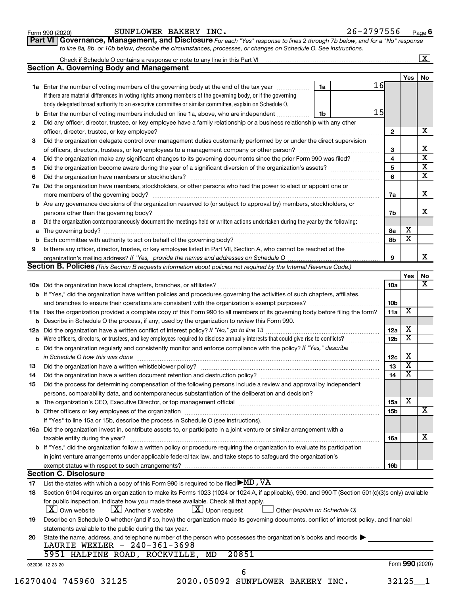| Form 990 (2020) |  |
|-----------------|--|
|-----------------|--|

**Part VI** Governance, Management, and Disclosure For each "Yes" response to lines 2 through 7b below, and for a "No" response *to line 8a, 8b, or 10b below, describe the circumstances, processes, or changes on Schedule O. See instructions.*

|                      | Check if Schedule O contains a response or note to any line in this Part VI [1] [1] [1] [1] [1] [1] [1] [1] [1                                                                                                                          |    |  |  |    |                 |                         | $\mathbf{X}$            |
|----------------------|-----------------------------------------------------------------------------------------------------------------------------------------------------------------------------------------------------------------------------------------|----|--|--|----|-----------------|-------------------------|-------------------------|
|                      | <b>Section A. Governing Body and Management</b>                                                                                                                                                                                         |    |  |  |    |                 |                         |                         |
|                      |                                                                                                                                                                                                                                         |    |  |  |    |                 | Yes                     | No                      |
|                      | 1a Enter the number of voting members of the governing body at the end of the tax year                                                                                                                                                  | 1a |  |  | 16 |                 |                         |                         |
|                      | If there are material differences in voting rights among members of the governing body, or if the governing                                                                                                                             |    |  |  |    |                 |                         |                         |
|                      | body delegated broad authority to an executive committee or similar committee, explain on Schedule O.                                                                                                                                   |    |  |  |    |                 |                         |                         |
| b                    | Enter the number of voting members included on line 1a, above, who are independent <i></i>                                                                                                                                              | 1b |  |  | 15 |                 |                         |                         |
| 2                    | Did any officer, director, trustee, or key employee have a family relationship or a business relationship with any other                                                                                                                |    |  |  |    |                 |                         |                         |
|                      | officer, director, trustee, or key employee?                                                                                                                                                                                            |    |  |  |    | $\mathbf{2}$    |                         | x                       |
| 3                    | Did the organization delegate control over management duties customarily performed by or under the direct supervision                                                                                                                   |    |  |  |    |                 |                         |                         |
|                      |                                                                                                                                                                                                                                         |    |  |  |    | 3               |                         | х                       |
| 4                    | Did the organization make any significant changes to its governing documents since the prior Form 990 was filed?                                                                                                                        |    |  |  |    | 4               |                         |                         |
| 5                    |                                                                                                                                                                                                                                         |    |  |  |    | 5               |                         | $\overline{\textbf{X}}$ |
| 6                    |                                                                                                                                                                                                                                         |    |  |  |    | 6               |                         | $\overline{\textbf{x}}$ |
| 7a                   | Did the organization have members, stockholders, or other persons who had the power to elect or appoint one or                                                                                                                          |    |  |  |    |                 |                         |                         |
|                      |                                                                                                                                                                                                                                         |    |  |  |    | 7a              |                         | x                       |
| b                    | Are any governance decisions of the organization reserved to (or subject to approval by) members, stockholders, or                                                                                                                      |    |  |  |    |                 |                         |                         |
|                      |                                                                                                                                                                                                                                         |    |  |  |    | 7b              |                         | X                       |
| 8                    | Did the organization contemporaneously document the meetings held or written actions undertaken during the year by the following:                                                                                                       |    |  |  |    |                 |                         |                         |
|                      |                                                                                                                                                                                                                                         |    |  |  |    |                 | х                       |                         |
| а                    |                                                                                                                                                                                                                                         |    |  |  |    | 8а              | $\overline{\mathbf{x}}$ |                         |
| b<br>9               |                                                                                                                                                                                                                                         |    |  |  |    | 8b              |                         |                         |
|                      | Is there any officer, director, trustee, or key employee listed in Part VII, Section A, who cannot be reached at the                                                                                                                    |    |  |  |    | 9               |                         |                         |
|                      |                                                                                                                                                                                                                                         |    |  |  |    |                 |                         |                         |
|                      | <b>Section B. Policies</b> (This Section B requests information about policies not required by the Internal Revenue Code.)                                                                                                              |    |  |  |    |                 | Yes                     | No                      |
|                      |                                                                                                                                                                                                                                         |    |  |  |    |                 |                         |                         |
|                      |                                                                                                                                                                                                                                         |    |  |  |    | 10a             |                         |                         |
|                      | <b>b</b> If "Yes," did the organization have written policies and procedures governing the activities of such chapters, affiliates,                                                                                                     |    |  |  |    |                 |                         |                         |
|                      |                                                                                                                                                                                                                                         |    |  |  |    | 10 <sub>b</sub> |                         |                         |
|                      | 11a Has the organization provided a complete copy of this Form 990 to all members of its governing body before filing the form?                                                                                                         |    |  |  |    | 11a             | х                       |                         |
|                      | <b>b</b> Describe in Schedule O the process, if any, used by the organization to review this Form 990.                                                                                                                                  |    |  |  |    |                 |                         |                         |
| 12a                  |                                                                                                                                                                                                                                         |    |  |  |    | 12a             | х                       |                         |
| b                    | Were officers, directors, or trustees, and key employees required to disclose annually interests that could give rise to conflicts?                                                                                                     |    |  |  |    | 12 <sub>b</sub> | х                       |                         |
| с                    | Did the organization regularly and consistently monitor and enforce compliance with the policy? If "Yes," describe                                                                                                                      |    |  |  |    |                 |                         |                         |
|                      |                                                                                                                                                                                                                                         |    |  |  |    | 12c             | X                       |                         |
| 13                   |                                                                                                                                                                                                                                         |    |  |  |    | 13              | $\overline{\textbf{x}}$ |                         |
| 14                   | Did the organization have a written document retention and destruction policy? [11] manufaction model of the organization have a written document retention and destruction policy?                                                     |    |  |  |    | 14              | $\overline{\mathbf{X}}$ |                         |
| 15                   | Did the process for determining compensation of the following persons include a review and approval by independent                                                                                                                      |    |  |  |    |                 |                         |                         |
|                      | persons, comparability data, and contemporaneous substantiation of the deliberation and decision?                                                                                                                                       |    |  |  |    |                 |                         |                         |
| а                    |                                                                                                                                                                                                                                         |    |  |  |    | 15a             | х                       |                         |
|                      |                                                                                                                                                                                                                                         |    |  |  |    | <b>15b</b>      |                         |                         |
|                      | If "Yes" to line 15a or 15b, describe the process in Schedule O (see instructions).                                                                                                                                                     |    |  |  |    |                 |                         |                         |
|                      | 16a Did the organization invest in, contribute assets to, or participate in a joint venture or similar arrangement with a                                                                                                               |    |  |  |    |                 |                         |                         |
|                      | taxable entity during the year?                                                                                                                                                                                                         |    |  |  |    | 16a             |                         |                         |
|                      | b If "Yes," did the organization follow a written policy or procedure requiring the organization to evaluate its participation                                                                                                          |    |  |  |    |                 |                         |                         |
|                      | in joint venture arrangements under applicable federal tax law, and take steps to safeguard the organization's                                                                                                                          |    |  |  |    |                 |                         |                         |
|                      | exempt status with respect to such arrangements?                                                                                                                                                                                        |    |  |  |    | 16b             |                         |                         |
|                      |                                                                                                                                                                                                                                         |    |  |  |    |                 |                         |                         |
|                      | <b>Section C. Disclosure</b>                                                                                                                                                                                                            |    |  |  |    |                 |                         |                         |
|                      | List the states with which a copy of this Form 990 is required to be filed $\blacktriangleright$ MD, VA                                                                                                                                 |    |  |  |    |                 |                         |                         |
|                      |                                                                                                                                                                                                                                         |    |  |  |    |                 |                         |                         |
|                      | Section 6104 requires an organization to make its Forms 1023 (1024 or 1024-A, if applicable), 990, and 990-T (Section 501(c)(3)s only) available<br>for public inspection. Indicate how you made these available. Check all that apply. |    |  |  |    |                 |                         |                         |
|                      | $\lfloor x \rfloor$ Upon request<br><b>X</b> Own website<br>$\lfloor X \rfloor$ Another's website<br>Other (explain on Schedule O)                                                                                                      |    |  |  |    |                 |                         |                         |
|                      | Describe on Schedule O whether (and if so, how) the organization made its governing documents, conflict of interest policy, and financial                                                                                               |    |  |  |    |                 |                         |                         |
|                      | statements available to the public during the tax year.                                                                                                                                                                                 |    |  |  |    |                 |                         |                         |
|                      | State the name, address, and telephone number of the person who possesses the organization's books and records                                                                                                                          |    |  |  |    |                 |                         |                         |
|                      | LAURIE WEXLER - 240-361-3698                                                                                                                                                                                                            |    |  |  |    |                 |                         |                         |
| 17<br>18<br>19<br>20 | 20851<br>5951 HALPINE ROAD, ROCKVILLE, MD                                                                                                                                                                                               |    |  |  |    |                 |                         |                         |
|                      | 032006 12-23-20<br>6                                                                                                                                                                                                                    |    |  |  |    |                 | Form 990 (2020)         |                         |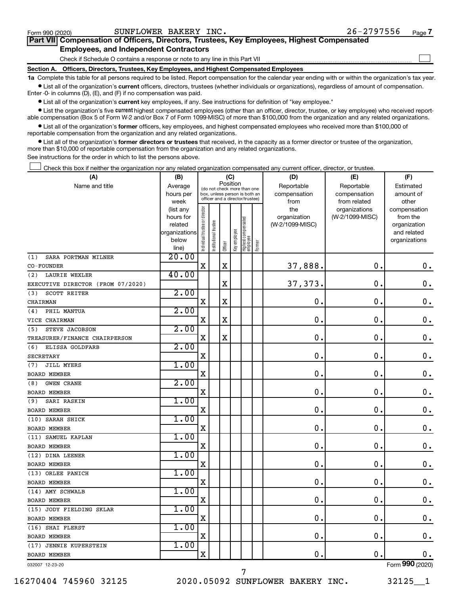$\Box$ 

| Part VII Compensation of Officers, Directors, Trustees, Key Employees, Highest Compensated |  |  |
|--------------------------------------------------------------------------------------------|--|--|
| <b>Employees, and Independent Contractors</b>                                              |  |  |

Check if Schedule O contains a response or note to any line in this Part VII

**Section A. Officers, Directors, Trustees, Key Employees, and Highest Compensated Employees**

**1a**  Complete this table for all persons required to be listed. Report compensation for the calendar year ending with or within the organization's tax year.  $\bullet$  List all of the organization's current officers, directors, trustees (whether individuals or organizations), regardless of amount of compensation.

Enter -0- in columns (D), (E), and (F) if no compensation was paid.

**•** List all of the organization's current key employees, if any. See instructions for definition of "key employee."

• List the organization's five *current* highest compensated employees (other than an officer, director, trustee, or key employee) who received reportable compensation (Box 5 of Form W-2 and/or Box 7 of Form 1099-MISC) of more than \$100,000 from the organization and any related organizations.

 $\bullet$  List all of the organization's former officers, key employees, and highest compensated employees who received more than \$100,000 of reportable compensation from the organization and any related organizations.

**•** List all of the organization's former directors or trustees that received, in the capacity as a former director or trustee of the organization, more than \$10,000 of reportable compensation from the organization and any related organizations.

See instructions for the order in which to list the persons above.

Check this box if neither the organization nor any related organization compensated any current officer, director, or trustee.  $\Box$ 

| (A)                               | (B)                      |                                |                                 | (C)      |              |                                   |        | (D)             | (E)             | (F)                         |
|-----------------------------------|--------------------------|--------------------------------|---------------------------------|----------|--------------|-----------------------------------|--------|-----------------|-----------------|-----------------------------|
| Name and title                    | Average                  |                                | (do not check more than one     | Position |              |                                   |        | Reportable      | Reportable      | Estimated                   |
|                                   | hours per                |                                | box, unless person is both an   |          |              |                                   |        | compensation    | compensation    | amount of                   |
|                                   | week                     |                                | officer and a director/trustee) |          |              |                                   |        | from            | from related    | other                       |
|                                   | (list any                |                                |                                 |          |              |                                   |        | the             | organizations   | compensation                |
|                                   | hours for                |                                |                                 |          |              |                                   |        | organization    | (W-2/1099-MISC) | from the                    |
|                                   | related<br>organizations |                                |                                 |          |              |                                   |        | (W-2/1099-MISC) |                 | organization<br>and related |
|                                   | below                    |                                |                                 |          |              |                                   |        |                 |                 | organizations               |
|                                   | line)                    | Individual trustee or director | nstitutional trustee            | Officer  | Key employee | Highest compensated<br>  employee | Former |                 |                 |                             |
| (1)<br>SARA PORTMAN MILNER        | 20.00                    |                                |                                 |          |              |                                   |        |                 |                 |                             |
| CO-FOUNDER                        |                          | $\mathbf x$                    |                                 | X        |              |                                   |        | 37,888.         | $\mathbf 0$ .   | 0.                          |
| <b>LAURIE WEXLER</b><br>(2)       | 40.00                    |                                |                                 |          |              |                                   |        |                 |                 |                             |
| EXECUTIVE DIRECTOR (FROM 07/2020) |                          |                                |                                 | X        |              |                                   |        | 37, 373.        | $\mathbf 0$ .   | $\mathbf 0$ .               |
| (3)<br>SCOTT REITER               | 2.00                     |                                |                                 |          |              |                                   |        |                 |                 |                             |
| CHAIRMAN                          |                          | X                              |                                 | X        |              |                                   |        | $\mathbf 0$ .   | 0.              | 0.                          |
| PHIL MANTUA<br>(4)                | 2.00                     |                                |                                 |          |              |                                   |        |                 |                 |                             |
| VICE CHAIRMAN                     |                          | $\mathbf X$                    |                                 | X        |              |                                   |        | $\mathbf 0$ .   | $\mathbf 0$ .   | $\mathbf 0$ .               |
| (5)<br>STEVE JACOBSON             | 2.00                     |                                |                                 |          |              |                                   |        |                 |                 |                             |
| TREASURER/FINANCE CHAIRPERSON     |                          | $\mathbf X$                    |                                 | X        |              |                                   |        | $\mathbf 0$ .   | $\mathbf 0$ .   | $\mathbf 0$ .               |
| ELISSA GOLDFARB<br>(6)            | 2.00                     |                                |                                 |          |              |                                   |        |                 |                 |                             |
| <b>SECRETARY</b>                  |                          | $\mathbf X$                    |                                 |          |              |                                   |        | $\mathbf 0$ .   | $\mathbf 0$ .   | $\mathbf 0$ .               |
| <b>JILL MYERS</b><br>(7)          | 1.00                     |                                |                                 |          |              |                                   |        |                 |                 |                             |
| <b>BOARD MEMBER</b>               |                          | X                              |                                 |          |              |                                   |        | $\mathbf 0$ .   | $\mathbf 0$     | $\mathbf 0$ .               |
| <b>GWEN CRANE</b><br>(8)          | 2.00                     |                                |                                 |          |              |                                   |        |                 |                 |                             |
| <b>BOARD MEMBER</b>               |                          | X                              |                                 |          |              |                                   |        | $\mathbf 0$ .   | $\mathbf 0$ .   | $\mathbf 0$ .               |
| SARI RASKIN<br>(9)                | 1.00                     |                                |                                 |          |              |                                   |        |                 |                 |                             |
| <b>BOARD MEMBER</b>               |                          | $\mathbf X$                    |                                 |          |              |                                   |        | 0.              | $\mathbf 0$ .   | $\mathbf 0$ .               |
| (10) SARAH SHICK                  | 1.00                     |                                |                                 |          |              |                                   |        |                 |                 |                             |
| <b>BOARD MEMBER</b>               |                          | X                              |                                 |          |              |                                   |        | $\mathbf 0$ .   | $\mathbf 0$ .   | 0.                          |
| (11) SAMUEL KAPLAN                | 1.00                     |                                |                                 |          |              |                                   |        |                 |                 |                             |
| <b>BOARD MEMBER</b>               |                          | X                              |                                 |          |              |                                   |        | 0.              | $\mathbf 0$     | $\mathbf 0$ .               |
| (12) DINA LEENER                  | 1.00                     |                                |                                 |          |              |                                   |        |                 |                 |                             |
| BOARD MEMBER                      |                          | X                              |                                 |          |              |                                   |        | $\mathbf 0$ .   | $\mathbf 0$ .   | $\mathbf 0$ .               |
| (13) ORLEE PANICH                 | 1.00                     |                                |                                 |          |              |                                   |        |                 |                 |                             |
| <b>BOARD MEMBER</b>               |                          | X                              |                                 |          |              |                                   |        | $\mathbf 0$ .   | 0.              | $\mathbf 0$ .               |
| (14) AMY SCHWALB                  | 1.00                     |                                |                                 |          |              |                                   |        |                 |                 |                             |
| <b>BOARD MEMBER</b>               |                          | $\overline{\mathbf{X}}$        |                                 |          |              |                                   |        | 0.              | $\mathbf 0$ .   | $\mathbf 0$ .               |
| (15) JODY FIELDING SKLAR          | 1.00                     |                                |                                 |          |              |                                   |        |                 |                 |                             |
| <b>BOARD MEMBER</b>               |                          | X                              |                                 |          |              |                                   |        | $\mathbf 0$     | $\mathbf 0$     | $\mathbf 0$ .               |
| (16) SHAI FLERST                  | 1.00                     |                                |                                 |          |              |                                   |        |                 |                 |                             |
| <b>BOARD MEMBER</b>               |                          | $\mathbf X$                    |                                 |          |              |                                   |        | 0.              | $\mathbf 0$ .   | $\mathbf 0$ .               |
| (17) JENNIE KUPERSTEIN            | 1.00                     |                                |                                 |          |              |                                   |        |                 |                 |                             |
| <b>BOARD MEMBER</b>               |                          | X                              |                                 |          |              |                                   |        | 0.              | $\mathbf 0$ .   | $0$ .                       |
| 032007 12-23-20                   |                          |                                |                                 |          |              |                                   |        |                 |                 | Form 990 (2020)             |

16270404 745960 32125 2020.05092 SUNFLOWER BAKERY INC. 32125\_\_1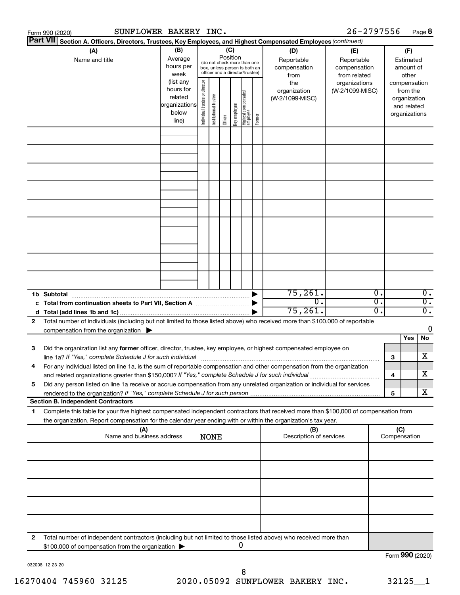|    | SUNFLOWER BAKERY INC.<br>Form 990 (2020)                                                                                                                                                                                            |                                                         |                                |                       |                 |              |                                                                                                 |        |                                                  | 26-2797556                                                         |          |                 |                                         | Page 8                               |
|----|-------------------------------------------------------------------------------------------------------------------------------------------------------------------------------------------------------------------------------------|---------------------------------------------------------|--------------------------------|-----------------------|-----------------|--------------|-------------------------------------------------------------------------------------------------|--------|--------------------------------------------------|--------------------------------------------------------------------|----------|-----------------|-----------------------------------------|--------------------------------------|
|    | <b>Part VII</b><br>Section A. Officers, Directors, Trustees, Key Employees, and Highest Compensated Employees (continued)                                                                                                           |                                                         |                                |                       |                 |              |                                                                                                 |        |                                                  |                                                                    |          |                 |                                         |                                      |
|    | (A)<br>Name and title                                                                                                                                                                                                               | (B)<br>Average<br>hours per<br>week<br>(list any        |                                |                       | (C)<br>Position |              | (do not check more than one<br>box, unless person is both an<br>officer and a director/trustee) |        | (D)<br>Reportable<br>compensation<br>from<br>the | (E)<br>Reportable<br>compensation<br>from related<br>organizations |          | compensation    | (F)<br>Estimated<br>amount of<br>other  |                                      |
|    |                                                                                                                                                                                                                                     | hours for<br>related<br>organizations<br>below<br>line) | Individual trustee or director | Institutional trustee | Officer         | Key employee | Highest compensated<br>  employee                                                               | Former | organization<br>(W-2/1099-MISC)                  | (W-2/1099-MISC)                                                    |          | organizations   | from the<br>organization<br>and related |                                      |
|    |                                                                                                                                                                                                                                     |                                                         |                                |                       |                 |              |                                                                                                 |        |                                                  |                                                                    |          |                 |                                         |                                      |
|    |                                                                                                                                                                                                                                     |                                                         |                                |                       |                 |              |                                                                                                 |        |                                                  |                                                                    |          |                 |                                         |                                      |
|    |                                                                                                                                                                                                                                     |                                                         |                                |                       |                 |              |                                                                                                 |        |                                                  |                                                                    |          |                 |                                         |                                      |
|    |                                                                                                                                                                                                                                     |                                                         |                                |                       |                 |              |                                                                                                 |        |                                                  |                                                                    |          |                 |                                         |                                      |
|    | 1b Subtotal                                                                                                                                                                                                                         |                                                         |                                |                       |                 |              |                                                                                                 |        | 75,261.                                          |                                                                    | 0.       |                 |                                         | $\overline{0}$ .                     |
| 2  | c Total from continuation sheets to Part VII, Section A manufactured by<br>Total number of individuals (including but not limited to those listed above) who received more than \$100,000 of reportable                             |                                                         |                                |                       |                 |              |                                                                                                 |        | $\overline{0}$ .<br>75,261.                      |                                                                    | σ.<br>о. |                 |                                         | $\overline{0}$ .<br>$\overline{0}$ . |
|    | compensation from the organization $\blacktriangleright$                                                                                                                                                                            |                                                         |                                |                       |                 |              |                                                                                                 |        |                                                  |                                                                    |          |                 |                                         | 0                                    |
| 3  | Did the organization list any former officer, director, trustee, key employee, or highest compensated employee on<br>line 1a? If "Yes," complete Schedule J for such individual manufactured content to the set of the set of the s |                                                         |                                |                       |                 |              |                                                                                                 |        |                                                  |                                                                    |          | 3               | Yes                                     | No<br>х                              |
|    | For any individual listed on line 1a, is the sum of reportable compensation and other compensation from the organization<br>and related organizations greater than \$150,000? If "Yes," complete Schedule J for such individual     |                                                         |                                |                       |                 |              |                                                                                                 |        |                                                  |                                                                    |          | 4               |                                         | х                                    |
| 5  | Did any person listed on line 1a receive or accrue compensation from any unrelated organization or individual for services                                                                                                          |                                                         |                                |                       |                 |              |                                                                                                 |        |                                                  |                                                                    |          | 5               |                                         | х                                    |
| 1. | <b>Section B. Independent Contractors</b><br>Complete this table for your five highest compensated independent contractors that received more than \$100,000 of compensation from                                                   |                                                         |                                |                       |                 |              |                                                                                                 |        |                                                  |                                                                    |          |                 |                                         |                                      |
|    | the organization. Report compensation for the calendar year ending with or within the organization's tax year.<br>(A)                                                                                                               |                                                         |                                |                       |                 |              |                                                                                                 |        | (B)                                              |                                                                    |          | (C)             |                                         |                                      |
|    | Name and business address                                                                                                                                                                                                           |                                                         |                                | <b>NONE</b>           |                 |              |                                                                                                 |        | Description of services                          |                                                                    |          | Compensation    |                                         |                                      |
|    |                                                                                                                                                                                                                                     |                                                         |                                |                       |                 |              |                                                                                                 |        |                                                  |                                                                    |          |                 |                                         |                                      |
|    |                                                                                                                                                                                                                                     |                                                         |                                |                       |                 |              |                                                                                                 |        |                                                  |                                                                    |          |                 |                                         |                                      |
|    |                                                                                                                                                                                                                                     |                                                         |                                |                       |                 |              |                                                                                                 |        |                                                  |                                                                    |          |                 |                                         |                                      |
| 2  | Total number of independent contractors (including but not limited to those listed above) who received more than                                                                                                                    |                                                         |                                |                       |                 |              |                                                                                                 |        |                                                  |                                                                    |          |                 |                                         |                                      |
|    | \$100,000 of compensation from the organization                                                                                                                                                                                     |                                                         |                                |                       |                 |              | 0                                                                                               |        |                                                  |                                                                    |          | Form 990 (2020) |                                         |                                      |

032008 12-23-20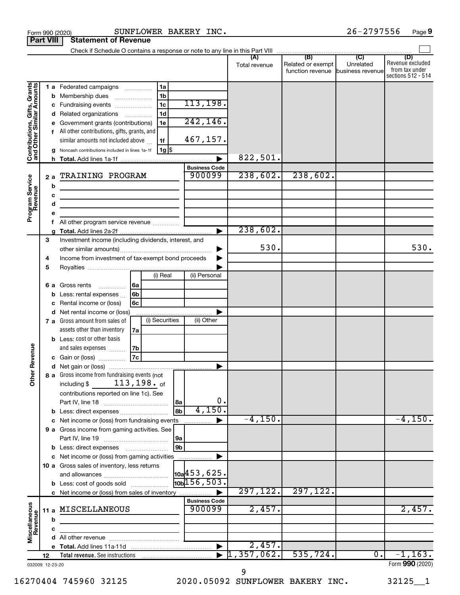|                                                           | <b>Part VIII</b> |             | <b>Statement of Revenue</b>                                                                                                                                                                        |          |                                                    |                |                                           |               |                                                        |                  |                                                          |
|-----------------------------------------------------------|------------------|-------------|----------------------------------------------------------------------------------------------------------------------------------------------------------------------------------------------------|----------|----------------------------------------------------|----------------|-------------------------------------------|---------------|--------------------------------------------------------|------------------|----------------------------------------------------------|
|                                                           |                  |             |                                                                                                                                                                                                    |          |                                                    |                |                                           |               |                                                        |                  | (D)                                                      |
|                                                           |                  |             |                                                                                                                                                                                                    |          |                                                    |                |                                           | Total revenue | Related or exempt<br>function revenue business revenue | Unrelated        | Revenue excluded<br>from tax under<br>sections 512 - 514 |
| Contributions, Gifts, Grants<br>and Other Similar Amounts |                  | b<br>с<br>d | 1 a Federated campaigns<br>Membership dues<br>$\ldots \ldots \ldots \ldots \ldots$<br>Fundraising events<br>Related organizations<br>Government grants (contributions)                             |          | 1a<br>1 <sub>b</sub><br>1 <sub>c</sub><br>1d<br>1e |                | 113, 198.<br>242, 146.                    |               |                                                        |                  |                                                          |
|                                                           |                  | f           | All other contributions, gifts, grants, and<br>similar amounts not included above<br>Noncash contributions included in lines 1a-1f                                                                 |          | 1f<br>$1g$ \$                                      |                | 467,157.                                  |               |                                                        |                  |                                                          |
|                                                           |                  | h.          |                                                                                                                                                                                                    |          |                                                    |                | <b>Business Code</b>                      | 822,501.      |                                                        |                  |                                                          |
|                                                           | 2a               |             | TRAINING PROGRAM                                                                                                                                                                                   |          |                                                    |                | 900099                                    | 238,602.      | 238,602.                                               |                  |                                                          |
| Program Service<br>Revenue                                |                  | b<br>c<br>d | <u> 1989 - Johann Barn, mars eta bainar eta bainar eta baina eta baina eta baina eta baina eta baina eta baina e</u><br>the control of the control of the control of the control of the control of |          |                                                    |                |                                           |               |                                                        |                  |                                                          |
|                                                           |                  | е           |                                                                                                                                                                                                    |          |                                                    |                |                                           |               |                                                        |                  |                                                          |
|                                                           | f                |             |                                                                                                                                                                                                    |          | 238,602.                                           |                |                                           |               |                                                        |                  |                                                          |
|                                                           | 3                |             | Investment income (including dividends, interest, and                                                                                                                                              |          |                                                    |                |                                           | 530.          |                                                        |                  | 530.                                                     |
|                                                           | 4<br>5           |             | Income from investment of tax-exempt bond proceeds                                                                                                                                                 |          |                                                    |                |                                           |               |                                                        |                  |                                                          |
|                                                           |                  |             |                                                                                                                                                                                                    |          | (i) Real                                           |                | (ii) Personal                             |               |                                                        |                  |                                                          |
|                                                           | 6а               |             | Gross rents<br>.                                                                                                                                                                                   | 6a       |                                                    |                |                                           |               |                                                        |                  |                                                          |
|                                                           |                  | b           | Less: rental expenses                                                                                                                                                                              | 6b<br>6c |                                                    |                |                                           |               |                                                        |                  |                                                          |
|                                                           |                  |             | Rental income or (loss)<br>d Net rental income or (loss)                                                                                                                                           |          |                                                    |                |                                           |               |                                                        |                  |                                                          |
|                                                           |                  |             | 7 a Gross amount from sales of                                                                                                                                                                     |          | (i) Securities                                     |                | (ii) Other                                |               |                                                        |                  |                                                          |
|                                                           |                  |             | assets other than inventory                                                                                                                                                                        | 7a       |                                                    |                |                                           |               |                                                        |                  |                                                          |
|                                                           |                  |             | <b>b</b> Less: cost or other basis                                                                                                                                                                 |          |                                                    |                |                                           |               |                                                        |                  |                                                          |
|                                                           |                  |             | and sales expenses                                                                                                                                                                                 | 7b       |                                                    |                |                                           |               |                                                        |                  |                                                          |
| Revenue                                                   |                  |             | c Gain or (loss)                                                                                                                                                                                   | 7c       |                                                    |                |                                           |               |                                                        |                  |                                                          |
|                                                           |                  |             |                                                                                                                                                                                                    |          |                                                    |                |                                           |               |                                                        |                  |                                                          |
| ৯<br>Ĕ                                                    |                  |             | 8 a Gross income from fundraising events (not  <br>including \$<br>contributions reported on line 1c). See                                                                                         |          | 113,198. of                                        |                |                                           |               |                                                        |                  |                                                          |
|                                                           |                  |             |                                                                                                                                                                                                    |          |                                                    | 8a             | 0.                                        |               |                                                        |                  |                                                          |
|                                                           |                  |             | <b>b</b> Less: direct expenses                                                                                                                                                                     |          |                                                    | 8 <sub>b</sub> | 4,150.                                    |               |                                                        |                  |                                                          |
|                                                           |                  |             | c Net income or (loss) from fundraising events                                                                                                                                                     |          |                                                    |                |                                           | $-4,150.$     |                                                        |                  | $-4,150.$                                                |
|                                                           |                  |             | 9 a Gross income from gaming activities. See                                                                                                                                                       |          |                                                    | 9a             |                                           |               |                                                        |                  |                                                          |
|                                                           |                  |             |                                                                                                                                                                                                    |          |                                                    | 9b             |                                           |               |                                                        |                  |                                                          |
|                                                           |                  |             | c Net income or (loss) from gaming activities                                                                                                                                                      |          |                                                    |                |                                           |               |                                                        |                  |                                                          |
|                                                           |                  |             | 10 a Gross sales of inventory, less returns                                                                                                                                                        |          |                                                    |                |                                           |               |                                                        |                  |                                                          |
|                                                           |                  |             | <b>b</b> Less: cost of goods sold                                                                                                                                                                  |          |                                                    |                | $ 10a $ 453,625.<br>$\sqrt{10b}$ 156,503. |               |                                                        |                  |                                                          |
|                                                           |                  |             | c Net income or (loss) from sales of inventory                                                                                                                                                     |          |                                                    |                |                                           | 297, 122.     | 297, 122.                                              |                  |                                                          |
|                                                           |                  |             |                                                                                                                                                                                                    |          |                                                    |                | <b>Business Code</b>                      |               |                                                        |                  |                                                          |
| Miscellaneous<br>Revenue                                  |                  |             | 11 a MISCELLANEOUS                                                                                                                                                                                 |          |                                                    |                | 900099                                    | 2,457.        |                                                        |                  | 2,457.                                                   |
|                                                           |                  | b           |                                                                                                                                                                                                    |          |                                                    |                |                                           |               |                                                        |                  |                                                          |
|                                                           |                  | c           |                                                                                                                                                                                                    |          |                                                    |                |                                           |               |                                                        |                  |                                                          |
|                                                           |                  |             |                                                                                                                                                                                                    |          |                                                    |                | ▶                                         | 2,457.        |                                                        |                  |                                                          |
|                                                           | 12               |             |                                                                                                                                                                                                    |          |                                                    |                |                                           | 1,357,062.    | 535,724.                                               | $\overline{0}$ . | $-1, 163.$                                               |
| 032009 12-23-20                                           |                  |             |                                                                                                                                                                                                    |          |                                                    |                |                                           |               |                                                        |                  | Form 990 (2020)                                          |
|                                                           |                  |             |                                                                                                                                                                                                    |          |                                                    |                |                                           | 9             |                                                        |                  |                                                          |

Form 990 (2020) Page

SUNFLOWER BAKERY INC. 26-2797556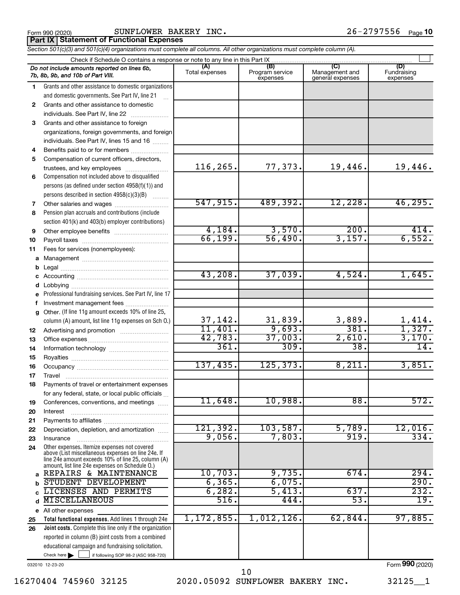|  | Form 990 (2020 |
|--|----------------|
|  |                |

Form 990 (2020) Page SUNFLOWER BAKERY INC. 26-2797556

**Part IX Statement of Functional Expenses**

*Section 501(c)(3) and 501(c)(4) organizations must complete all columns. All other organizations must complete column (A).*

|              | Do not include amounts reported on lines 6b,<br>7b, 8b, 9b, and 10b of Part VIII.                                                                                                                          | (A)<br>Total expenses | (B)<br>Program service<br>expenses | (C)<br>Management and<br>general expenses | (D)<br>Fundraising<br>expenses |
|--------------|------------------------------------------------------------------------------------------------------------------------------------------------------------------------------------------------------------|-----------------------|------------------------------------|-------------------------------------------|--------------------------------|
| 1.           | Grants and other assistance to domestic organizations                                                                                                                                                      |                       |                                    |                                           |                                |
|              | and domestic governments. See Part IV, line 21                                                                                                                                                             |                       |                                    |                                           |                                |
| $\mathbf{2}$ | Grants and other assistance to domestic                                                                                                                                                                    |                       |                                    |                                           |                                |
|              | individuals. See Part IV, line 22                                                                                                                                                                          |                       |                                    |                                           |                                |
| 3            | Grants and other assistance to foreign                                                                                                                                                                     |                       |                                    |                                           |                                |
|              | organizations, foreign governments, and foreign                                                                                                                                                            |                       |                                    |                                           |                                |
|              | individuals. See Part IV, lines 15 and 16                                                                                                                                                                  |                       |                                    |                                           |                                |
| 4            | Benefits paid to or for members                                                                                                                                                                            |                       |                                    |                                           |                                |
| 5            | Compensation of current officers, directors,                                                                                                                                                               |                       |                                    |                                           |                                |
|              | trustees, and key employees                                                                                                                                                                                | 116,265.              | 77,373.                            | 19,446.                                   | 19,446.                        |
| 6            | Compensation not included above to disqualified                                                                                                                                                            |                       |                                    |                                           |                                |
|              | persons (as defined under section 4958(f)(1)) and                                                                                                                                                          |                       |                                    |                                           |                                |
|              | persons described in section 4958(c)(3)(B)                                                                                                                                                                 |                       |                                    |                                           |                                |
| 7            | Other salaries and wages                                                                                                                                                                                   | 547,915.              | 489,392.                           | 12,228.                                   | 46, 295.                       |
| 8            | Pension plan accruals and contributions (include                                                                                                                                                           |                       |                                    |                                           |                                |
|              | section 401(k) and 403(b) employer contributions)                                                                                                                                                          |                       |                                    |                                           |                                |
| 9            | Other employee benefits                                                                                                                                                                                    | 4,184.                | 3,570.                             | 200.                                      | 414.                           |
| 10           |                                                                                                                                                                                                            | 66, 199.              | 56,490.                            | 3,157.                                    | 6,552.                         |
| 11           | Fees for services (nonemployees):                                                                                                                                                                          |                       |                                    |                                           |                                |
| a            |                                                                                                                                                                                                            |                       |                                    |                                           |                                |
| b            |                                                                                                                                                                                                            |                       |                                    |                                           |                                |
| c            |                                                                                                                                                                                                            | 43,208.               | 37,039.                            | 4,524.                                    | 1,645.                         |
| d            |                                                                                                                                                                                                            |                       |                                    |                                           |                                |
| e            | Professional fundraising services. See Part IV, line 17                                                                                                                                                    |                       |                                    |                                           |                                |
| f            | Investment management fees                                                                                                                                                                                 |                       |                                    |                                           |                                |
| g            | Other. (If line 11g amount exceeds 10% of line 25,                                                                                                                                                         |                       |                                    |                                           |                                |
|              | column (A) amount, list line 11g expenses on Sch O.)                                                                                                                                                       | 37,142.               | 31,839.                            | 3,889.                                    | $\frac{1,414}{1,327}$          |
| 12           |                                                                                                                                                                                                            | 11,401.               | 9,693.                             | 381.                                      |                                |
| 13           |                                                                                                                                                                                                            | 42,783.               | 37,003.                            | 2,610.                                    | 3,170.                         |
| 14           |                                                                                                                                                                                                            | 361.                  | 309.                               | 38.                                       | 14.                            |
| 15           |                                                                                                                                                                                                            |                       |                                    |                                           |                                |
| 16           |                                                                                                                                                                                                            | 137,435.              | 125, 373.                          | 8,211.                                    | 3,851.                         |
| 17           | Travel                                                                                                                                                                                                     |                       |                                    |                                           |                                |
| 18           | Payments of travel or entertainment expenses                                                                                                                                                               |                       |                                    |                                           |                                |
|              | for any federal, state, or local public officials                                                                                                                                                          |                       |                                    |                                           |                                |
| 19           | Conferences, conventions, and meetings                                                                                                                                                                     | 11,648.               | 10,988.                            | 88.                                       | 572.                           |
| 20           | Interest                                                                                                                                                                                                   |                       |                                    |                                           |                                |
| 21           |                                                                                                                                                                                                            | 121,392.              | 103,587.                           | 5,789.                                    |                                |
| 22           | Depreciation, depletion, and amortization                                                                                                                                                                  | 9,056.                | 7,803.                             | 919.                                      | 12,016.<br>334.                |
| 23           | Insurance                                                                                                                                                                                                  |                       |                                    |                                           |                                |
| 24           | Other expenses. Itemize expenses not covered<br>above (List miscellaneous expenses on line 24e. If<br>line 24e amount exceeds 10% of line 25, column (A)<br>amount, list line 24e expenses on Schedule O.) |                       |                                    |                                           |                                |
| a            | REPAIRS & MAINTENANCE                                                                                                                                                                                      | 10,703.               | 9,735.                             | 674.                                      | 294.                           |
| b            | STUDENT DEVELOPMENT                                                                                                                                                                                        | 6, 365.               | 6,075.                             |                                           | 290.                           |
| C            | LICENSES AND PERMITS                                                                                                                                                                                       | 6,282.                | 5,413.                             | 637.                                      | 232.                           |
| d            | <b>MISCELLANEOUS</b>                                                                                                                                                                                       | 516.                  | 444.                               | 53.                                       | 19.                            |
|              | e All other expenses                                                                                                                                                                                       |                       |                                    |                                           |                                |
| 25           | Total functional expenses. Add lines 1 through 24e                                                                                                                                                         | 1,172,855.            | 1,012,126.                         | 62,844.                                   | 97,885.                        |
| 26           | Joint costs. Complete this line only if the organization                                                                                                                                                   |                       |                                    |                                           |                                |
|              | reported in column (B) joint costs from a combined                                                                                                                                                         |                       |                                    |                                           |                                |
|              | educational campaign and fundraising solicitation.                                                                                                                                                         |                       |                                    |                                           |                                |

032010 12-23-20

Check here

 $\Box$ 

if following SOP 98-2 (ASC 958-720)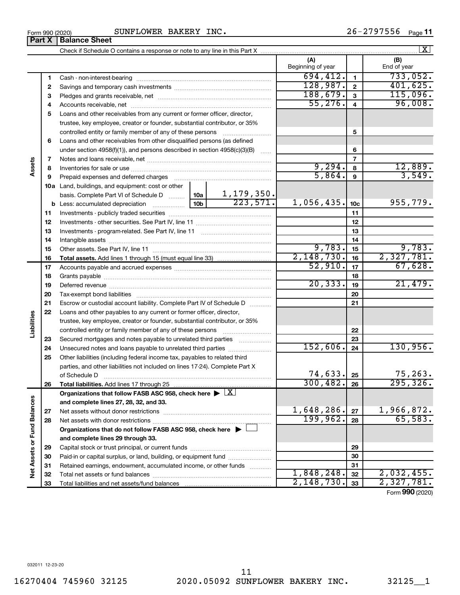~~~~~~~~~~~~~~~~~~~~ ~~~~~~~~~~~~~~~~~~~~~~  $\blacktriangleright$ ~~~~~~~~~~~~~~~ ……………………… ~~~~~~~~~~  $\Box$ 

**(A) (B) 1** Cash - non-interest-bearing ~~~~~~~~~~~~~~~~~~~~~~~~~ **2** Savings and temporary cash investments ~~~~~~~~~~~~~~~~~~ **3** Pledges and grants receivable, net ~~~~~~~~~~~~~~~~~~~~~ **1 2 3 4 5 6 7 8 9 10c 11 12 13 14 15 16 17 10a 10b** Form 990 (2020) Page SUNFLOWER BAKERY INC. 26-2797556 Check if Schedule O contains a response or note to any line in this Part X Beginning of year | End of year Accounts receivable, net ~~~~~~~~~~~~~~~~~~~~~~~~~~ ~~~~~~~~~~~~~~~~~~~~~~~ ~~~~~~~~~~~~~~~~~~~~~~~~~~ ~~~~~~~~~~~~~~~~~~ ~~~~~~~~ ~~~~~~ ~~~~~~~~~~~~~~~~~~~ ………………………………………… …………………………………… ~~~~~~~~~~~~~~~~~~~~~~~~~~~~~~ ~~~~~~~~~~~~~~~~~~  $\boxed{\text{X}}$ 694,412. 733,052.  $128,987.$   $2$   $401,625.$  $188,679.$  3 115,096.  $\overline{55,276.}$  4 96,008.  $9,294.$   $8$  | 12,889.  $5,864.$   $9$   $3,549.$ 1,179,350.  $223,571.$  1,056,435.  $1_{10c}$  955,779.  $9,783.$   $15$  9,783. 2,148,730. 16 2,327,781.  $52,910.$   $17$   $67,628.$ 

|                             | 5  | Loans and other receivables from any current or former officer, director,                                       |  |                             |            |                 |                              |
|-----------------------------|----|-----------------------------------------------------------------------------------------------------------------|--|-----------------------------|------------|-----------------|------------------------------|
|                             |    | trustee, key employee, creator or founder, substantial contributor, or 35%                                      |  |                             |            |                 |                              |
|                             |    | controlled entity or family member of any of these persons                                                      |  |                             |            | 5               |                              |
|                             | 6  | Loans and other receivables from other disqualified persons (as defined                                         |  |                             |            |                 |                              |
|                             |    | under section $4958(f)(1)$ , and persons described in section $4958(c)(3)(B)$                                   |  | <b>Section</b>              |            | 6               |                              |
|                             | 7  |                                                                                                                 |  |                             |            | $\overline{7}$  |                              |
| Assets                      | 8  |                                                                                                                 |  |                             | 9,294.     | 8               | 12,889.                      |
|                             | 9  | Prepaid expenses and deferred charges                                                                           |  |                             | 5,864.     | 9               | 3,549.                       |
|                             |    | <b>10a</b> Land, buildings, and equipment: cost or other                                                        |  |                             |            |                 |                              |
|                             |    | basis. Complete Part VI of Schedule D  10a                                                                      |  | $\frac{1,179,350}{223,571}$ |            |                 |                              |
|                             |    |                                                                                                                 |  |                             | 1,056,435. | 10 <sub>c</sub> | 955,779.                     |
|                             | 11 |                                                                                                                 |  |                             |            | 11              |                              |
|                             | 12 |                                                                                                                 |  |                             |            | 12              |                              |
|                             | 13 |                                                                                                                 |  |                             |            | 13              |                              |
|                             | 14 |                                                                                                                 |  |                             |            | 14              |                              |
|                             | 15 |                                                                                                                 |  |                             | 9,783.     | 15              | 9,783.                       |
|                             | 16 |                                                                                                                 |  |                             | 2,148,730. | 16              | 2,327,781.                   |
|                             | 17 |                                                                                                                 |  | 52,910.                     | 17         | 67,628.         |                              |
|                             | 18 |                                                                                                                 |  |                             |            | 18              |                              |
|                             | 19 |                                                                                                                 |  |                             | 20, 333.   | 19              | 21,479.                      |
|                             | 20 |                                                                                                                 |  |                             |            | 20              |                              |
|                             | 21 | Escrow or custodial account liability. Complete Part IV of Schedule D                                           |  |                             |            | 21              |                              |
|                             | 22 | Loans and other payables to any current or former officer, director,                                            |  |                             |            |                 |                              |
|                             |    | trustee, key employee, creator or founder, substantial contributor, or 35%                                      |  |                             |            |                 |                              |
| Liabilities                 |    | controlled entity or family member of any of these persons                                                      |  |                             |            | 22              |                              |
|                             | 23 | Secured mortgages and notes payable to unrelated third parties                                                  |  |                             |            | 23              |                              |
|                             | 24 |                                                                                                                 |  |                             | 152,606.   | 24              | 130,956.                     |
|                             | 25 | Other liabilities (including federal income tax, payables to related third                                      |  |                             |            |                 |                              |
|                             |    | parties, and other liabilities not included on lines 17-24). Complete Part X                                    |  |                             |            |                 |                              |
|                             |    | of Schedule D                                                                                                   |  |                             | 74,633.    | 25              | $\frac{75,263}{295,326}$     |
|                             | 26 |                                                                                                                 |  |                             | 300, 482.  | 26              |                              |
|                             |    | Organizations that follow FASB ASC 958, check here $\blacktriangleright \lfloor X \rfloor$                      |  |                             |            |                 |                              |
|                             |    | and complete lines 27, 28, 32, and 33.                                                                          |  |                             |            |                 |                              |
|                             | 27 | Net assets without donor restrictions [111] Net assets without donor restrictions [11] Net assets without donor |  |                             | 1,648,286. | 27              | $\frac{1,966,872.}{65,583.}$ |
|                             | 28 |                                                                                                                 |  |                             | 199,962.   | 28              |                              |
|                             |    | Organizations that do not follow FASB ASC 958, check here ▶ L                                                   |  |                             |            |                 |                              |
|                             |    | and complete lines 29 through 33.                                                                               |  |                             |            |                 |                              |
|                             | 29 |                                                                                                                 |  |                             |            | 29              |                              |
|                             | 30 | Paid-in or capital surplus, or land, building, or equipment fund                                                |  |                             | 30         |                 |                              |
| Net Assets or Fund Balances | 31 | Retained earnings, endowment, accumulated income, or other funds                                                |  |                             | 31         |                 |                              |
|                             | 32 |                                                                                                                 |  | 1,848,248.                  | 32         | 2,032,455.      |                              |
|                             | 33 |                                                                                                                 |  |                             | 2,148,730. | 33              | 2,327,781.                   |
|                             |    |                                                                                                                 |  |                             |            |                 | Form 990 (2020)              |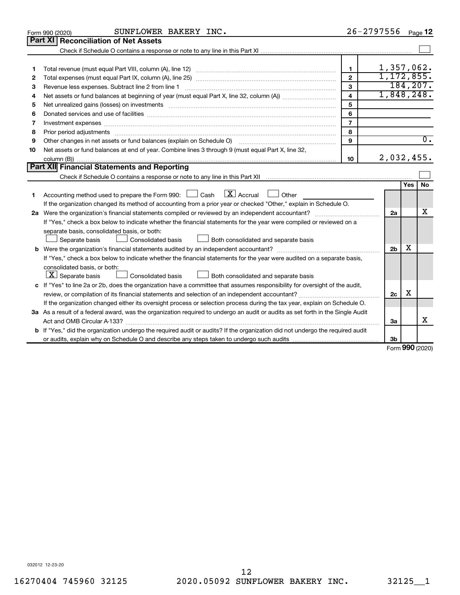|    | SUNFLOWER BAKERY INC.<br>Form 990 (2020)                                                                                                                                                                                       | $26 - 2797556$          |                |     | Page 12          |
|----|--------------------------------------------------------------------------------------------------------------------------------------------------------------------------------------------------------------------------------|-------------------------|----------------|-----|------------------|
|    | Part XI<br><b>Reconciliation of Net Assets</b>                                                                                                                                                                                 |                         |                |     |                  |
|    |                                                                                                                                                                                                                                |                         |                |     |                  |
|    |                                                                                                                                                                                                                                |                         |                |     |                  |
| 1  |                                                                                                                                                                                                                                | $\blacksquare$          | 1,357,062.     |     |                  |
| 2  |                                                                                                                                                                                                                                | $\mathbf{2}$            | 1, 172, 855.   |     |                  |
| З  | Revenue less expenses. Subtract line 2 from line 1                                                                                                                                                                             | 3                       |                |     | 184, 207.        |
| 4  |                                                                                                                                                                                                                                | $\overline{\mathbf{4}}$ | 1,848,248.     |     |                  |
| 5  |                                                                                                                                                                                                                                | 5                       |                |     |                  |
| 6  |                                                                                                                                                                                                                                | 6                       |                |     |                  |
| 7  | Investment expenses www.communication.com/www.communication.com/www.communication.com/www.com                                                                                                                                  | $\overline{7}$          |                |     |                  |
| 8  | Prior period adjustments material contents and content and content and content and content and content and content and content and content and content and content and content and content and content and content and content | 8                       |                |     |                  |
| 9  |                                                                                                                                                                                                                                | 9                       |                |     | $\overline{0}$ . |
| 10 | Net assets or fund balances at end of year. Combine lines 3 through 9 (must equal Part X, line 32,                                                                                                                             |                         |                |     |                  |
|    |                                                                                                                                                                                                                                | 10                      | 2,032,455.     |     |                  |
|    | Part XII Financial Statements and Reporting                                                                                                                                                                                    |                         |                |     |                  |
|    |                                                                                                                                                                                                                                |                         |                |     |                  |
|    |                                                                                                                                                                                                                                |                         |                | Yes | <b>No</b>        |
| 1  | Accounting method used to prepare the Form 990: $\Box$ Cash $\Box$ Accrual $\Box$ Other                                                                                                                                        |                         |                |     |                  |
|    | If the organization changed its method of accounting from a prior year or checked "Other," explain in Schedule O.                                                                                                              |                         |                |     |                  |
|    |                                                                                                                                                                                                                                |                         | 2a             |     | х                |
|    | If "Yes," check a box below to indicate whether the financial statements for the year were compiled or reviewed on a                                                                                                           |                         |                |     |                  |
|    | separate basis, consolidated basis, or both:                                                                                                                                                                                   |                         |                |     |                  |
|    | Both consolidated and separate basis<br>Separate basis<br>Consolidated basis                                                                                                                                                   |                         |                |     |                  |
|    |                                                                                                                                                                                                                                |                         | 2 <sub>b</sub> | X   |                  |
|    | If "Yes," check a box below to indicate whether the financial statements for the year were audited on a separate basis,                                                                                                        |                         |                |     |                  |
|    | consolidated basis, or both:                                                                                                                                                                                                   |                         |                |     |                  |
|    | $ \mathbf{X} $ Separate basis<br><b>Consolidated basis</b><br>Both consolidated and separate basis                                                                                                                             |                         |                |     |                  |
|    | c If "Yes" to line 2a or 2b, does the organization have a committee that assumes responsibility for oversight of the audit,                                                                                                    |                         |                |     |                  |
|    |                                                                                                                                                                                                                                |                         | 2c             | X   |                  |
|    | If the organization changed either its oversight process or selection process during the tax year, explain on Schedule O.                                                                                                      |                         |                |     |                  |
|    | 3a As a result of a federal award, was the organization required to undergo an audit or audits as set forth in the Single Audit                                                                                                |                         |                |     |                  |
|    |                                                                                                                                                                                                                                |                         | За             |     | x                |
|    | b If "Yes," did the organization undergo the required audit or audits? If the organization did not undergo the required audit                                                                                                  |                         |                |     |                  |
|    |                                                                                                                                                                                                                                |                         | 3 <sub>b</sub> |     |                  |

Form (2020) **990**

032012 12-23-20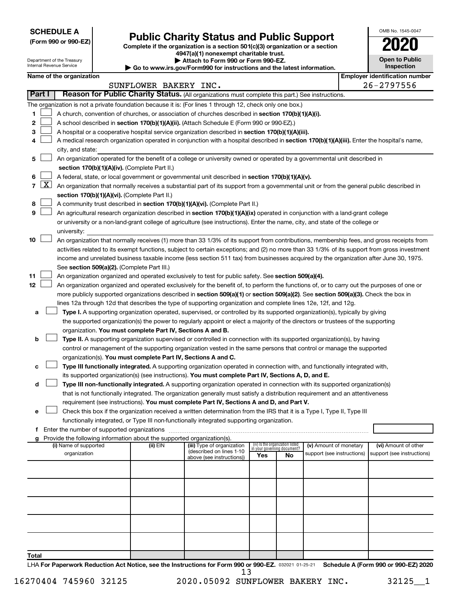**SCHEDULE A**

Department of the Treasury Internal Revenue Service

| (Form 990 or 990-EZ) |  |  |  |  |
|----------------------|--|--|--|--|
|----------------------|--|--|--|--|

## Form 990 or 990-EZ) **Public Charity Status and Public Support**<br>
Complete if the organization is a section 501(c)(3) organization or a section<br> **2020**

**4947(a)(1) nonexempt charitable trust. | Attach to Form 990 or Form 990-EZ.** 

**| Go to www.irs.gov/Form990 for instructions and the latest information.**

|    | <b>Open to Public</b><br>Inspection |
|----|-------------------------------------|
| ١r | dentification nu                    |

OMB No. 1545-0047

| Name of the organization |  |
|--------------------------|--|
|--------------------------|--|

|       |        | Name of the organization                                                                                                                                                                                                                             |                       |                                                       |                             |                                 |                            |  | <b>Employer identification number</b><br>26-2797556 |  |  |  |
|-------|--------|------------------------------------------------------------------------------------------------------------------------------------------------------------------------------------------------------------------------------------------------------|-----------------------|-------------------------------------------------------|-----------------------------|---------------------------------|----------------------------|--|-----------------------------------------------------|--|--|--|
|       | Part I | Reason for Public Charity Status. (All organizations must complete this part.) See instructions.                                                                                                                                                     | SUNFLOWER BAKERY INC. |                                                       |                             |                                 |                            |  |                                                     |  |  |  |
|       |        |                                                                                                                                                                                                                                                      |                       |                                                       |                             |                                 |                            |  |                                                     |  |  |  |
|       |        | The organization is not a private foundation because it is: (For lines 1 through 12, check only one box.)                                                                                                                                            |                       |                                                       |                             |                                 |                            |  |                                                     |  |  |  |
| 1.    |        | A church, convention of churches, or association of churches described in section 170(b)(1)(A)(i).                                                                                                                                                   |                       |                                                       |                             |                                 |                            |  |                                                     |  |  |  |
| 2     |        | A school described in section 170(b)(1)(A)(ii). (Attach Schedule E (Form 990 or 990-EZ).)                                                                                                                                                            |                       |                                                       |                             |                                 |                            |  |                                                     |  |  |  |
| 3.    |        | A hospital or a cooperative hospital service organization described in section 170(b)(1)(A)(iii).                                                                                                                                                    |                       |                                                       |                             |                                 |                            |  |                                                     |  |  |  |
| 4     |        | A medical research organization operated in conjunction with a hospital described in section 170(b)(1)(A)(iii). Enter the hospital's name,                                                                                                           |                       |                                                       |                             |                                 |                            |  |                                                     |  |  |  |
|       |        | city, and state:                                                                                                                                                                                                                                     |                       |                                                       |                             |                                 |                            |  |                                                     |  |  |  |
| 5.    |        | An organization operated for the benefit of a college or university owned or operated by a governmental unit described in                                                                                                                            |                       |                                                       |                             |                                 |                            |  |                                                     |  |  |  |
|       |        | section 170(b)(1)(A)(iv). (Complete Part II.)                                                                                                                                                                                                        |                       |                                                       |                             |                                 |                            |  |                                                     |  |  |  |
| 6     |        | A federal, state, or local government or governmental unit described in section 170(b)(1)(A)(v).                                                                                                                                                     |                       |                                                       |                             |                                 |                            |  |                                                     |  |  |  |
|       |        | 7 $ X $ An organization that normally receives a substantial part of its support from a governmental unit or from the general public described in                                                                                                    |                       |                                                       |                             |                                 |                            |  |                                                     |  |  |  |
|       |        | section 170(b)(1)(A)(vi). (Complete Part II.)                                                                                                                                                                                                        |                       |                                                       |                             |                                 |                            |  |                                                     |  |  |  |
| 8     |        | A community trust described in section 170(b)(1)(A)(vi). (Complete Part II.)                                                                                                                                                                         |                       |                                                       |                             |                                 |                            |  |                                                     |  |  |  |
| 9     |        | An agricultural research organization described in section 170(b)(1)(A)(ix) operated in conjunction with a land-grant college                                                                                                                        |                       |                                                       |                             |                                 |                            |  |                                                     |  |  |  |
|       |        | or university or a non-land-grant college of agriculture (see instructions). Enter the name, city, and state of the college or                                                                                                                       |                       |                                                       |                             |                                 |                            |  |                                                     |  |  |  |
|       |        | university:                                                                                                                                                                                                                                          |                       |                                                       |                             |                                 |                            |  |                                                     |  |  |  |
| 10    |        | An organization that normally receives (1) more than 33 1/3% of its support from contributions, membership fees, and gross receipts from                                                                                                             |                       |                                                       |                             |                                 |                            |  |                                                     |  |  |  |
|       |        | activities related to its exempt functions, subject to certain exceptions; and (2) no more than 33 1/3% of its support from gross investment                                                                                                         |                       |                                                       |                             |                                 |                            |  |                                                     |  |  |  |
|       |        | income and unrelated business taxable income (less section 511 tax) from businesses acquired by the organization after June 30, 1975.                                                                                                                |                       |                                                       |                             |                                 |                            |  |                                                     |  |  |  |
|       |        | See section 509(a)(2). (Complete Part III.)                                                                                                                                                                                                          |                       |                                                       |                             |                                 |                            |  |                                                     |  |  |  |
| 11    |        | An organization organized and operated exclusively to test for public safety. See section 509(a)(4).                                                                                                                                                 |                       |                                                       |                             |                                 |                            |  |                                                     |  |  |  |
| 12    |        | An organization organized and operated exclusively for the benefit of, to perform the functions of, or to carry out the purposes of one or                                                                                                           |                       |                                                       |                             |                                 |                            |  |                                                     |  |  |  |
|       |        | more publicly supported organizations described in section 509(a)(1) or section 509(a)(2). See section 509(a)(3). Check the box in<br>lines 12a through 12d that describes the type of supporting organization and complete lines 12e, 12f, and 12g. |                       |                                                       |                             |                                 |                            |  |                                                     |  |  |  |
|       |        |                                                                                                                                                                                                                                                      |                       |                                                       |                             |                                 |                            |  |                                                     |  |  |  |
| а     |        | Type I. A supporting organization operated, supervised, or controlled by its supported organization(s), typically by giving                                                                                                                          |                       |                                                       |                             |                                 |                            |  |                                                     |  |  |  |
|       |        | the supported organization(s) the power to regularly appoint or elect a majority of the directors or trustees of the supporting                                                                                                                      |                       |                                                       |                             |                                 |                            |  |                                                     |  |  |  |
|       |        | organization. You must complete Part IV, Sections A and B.                                                                                                                                                                                           |                       |                                                       |                             |                                 |                            |  |                                                     |  |  |  |
| b     |        | Type II. A supporting organization supervised or controlled in connection with its supported organization(s), by having                                                                                                                              |                       |                                                       |                             |                                 |                            |  |                                                     |  |  |  |
|       |        | control or management of the supporting organization vested in the same persons that control or manage the supported                                                                                                                                 |                       |                                                       |                             |                                 |                            |  |                                                     |  |  |  |
|       |        | organization(s). You must complete Part IV, Sections A and C.<br>Type III functionally integrated. A supporting organization operated in connection with, and functionally integrated with,                                                          |                       |                                                       |                             |                                 |                            |  |                                                     |  |  |  |
| с     |        | its supported organization(s) (see instructions). You must complete Part IV, Sections A, D, and E.                                                                                                                                                   |                       |                                                       |                             |                                 |                            |  |                                                     |  |  |  |
| d     |        | Type III non-functionally integrated. A supporting organization operated in connection with its supported organization(s)                                                                                                                            |                       |                                                       |                             |                                 |                            |  |                                                     |  |  |  |
|       |        | that is not functionally integrated. The organization generally must satisfy a distribution requirement and an attentiveness                                                                                                                         |                       |                                                       |                             |                                 |                            |  |                                                     |  |  |  |
|       |        | requirement (see instructions). You must complete Part IV, Sections A and D, and Part V.                                                                                                                                                             |                       |                                                       |                             |                                 |                            |  |                                                     |  |  |  |
|       |        | Check this box if the organization received a written determination from the IRS that it is a Type I, Type II, Type III                                                                                                                              |                       |                                                       |                             |                                 |                            |  |                                                     |  |  |  |
|       |        | functionally integrated, or Type III non-functionally integrated supporting organization.                                                                                                                                                            |                       |                                                       |                             |                                 |                            |  |                                                     |  |  |  |
|       |        | f Enter the number of supported organizations                                                                                                                                                                                                        |                       |                                                       |                             |                                 |                            |  |                                                     |  |  |  |
|       |        | g Provide the following information about the supported organization(s).                                                                                                                                                                             |                       |                                                       |                             |                                 |                            |  |                                                     |  |  |  |
|       |        | (i) Name of supported                                                                                                                                                                                                                                | (ii) $EIN$            | (iii) Type of organization                            | in your governing document? | (iv) Is the organization listed | (v) Amount of monetary     |  | (vi) Amount of other                                |  |  |  |
|       |        | organization                                                                                                                                                                                                                                         |                       | (described on lines 1-10<br>above (see instructions)) | Yes                         | No                              | support (see instructions) |  | support (see instructions)                          |  |  |  |
|       |        |                                                                                                                                                                                                                                                      |                       |                                                       |                             |                                 |                            |  |                                                     |  |  |  |
|       |        |                                                                                                                                                                                                                                                      |                       |                                                       |                             |                                 |                            |  |                                                     |  |  |  |
|       |        |                                                                                                                                                                                                                                                      |                       |                                                       |                             |                                 |                            |  |                                                     |  |  |  |
|       |        |                                                                                                                                                                                                                                                      |                       |                                                       |                             |                                 |                            |  |                                                     |  |  |  |
|       |        |                                                                                                                                                                                                                                                      |                       |                                                       |                             |                                 |                            |  |                                                     |  |  |  |
|       |        |                                                                                                                                                                                                                                                      |                       |                                                       |                             |                                 |                            |  |                                                     |  |  |  |
|       |        |                                                                                                                                                                                                                                                      |                       |                                                       |                             |                                 |                            |  |                                                     |  |  |  |
|       |        |                                                                                                                                                                                                                                                      |                       |                                                       |                             |                                 |                            |  |                                                     |  |  |  |
|       |        |                                                                                                                                                                                                                                                      |                       |                                                       |                             |                                 |                            |  |                                                     |  |  |  |
|       |        |                                                                                                                                                                                                                                                      |                       |                                                       |                             |                                 |                            |  |                                                     |  |  |  |
| Total |        |                                                                                                                                                                                                                                                      |                       |                                                       |                             |                                 |                            |  |                                                     |  |  |  |

LHA For Paperwork Reduction Act Notice, see the Instructions for Form 990 or 990-EZ. 032021 01-25-21 Schedule A (Form 990 or 990-EZ) 2020 13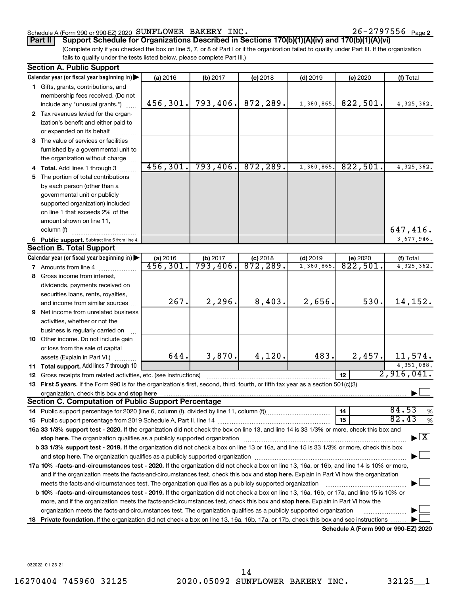#### Schedule A (Form 990 or 990-EZ) 2020 SUNFLOWER BAKERY  $INC.$   $26-2797556$   $Page$

26-2797556 Page 2

## **Part II Support Schedule for Organizations Described in Sections 170(b)(1)(A)(iv) and 170(b)(1)(A)(vi)**

(Complete only if you checked the box on line 5, 7, or 8 of Part I or if the organization failed to qualify under Part III. If the organization fails to qualify under the tests listed below, please complete Part III.)

|    | <b>Section A. Public Support</b>                                                                                                               |           |                     |                       |            |                                      |                                          |
|----|------------------------------------------------------------------------------------------------------------------------------------------------|-----------|---------------------|-----------------------|------------|--------------------------------------|------------------------------------------|
|    | Calendar year (or fiscal year beginning in)                                                                                                    | (a) 2016  | (b) 2017            | $(c)$ 2018            | $(d)$ 2019 | (e) 2020                             | (f) Total                                |
|    | 1 Gifts, grants, contributions, and                                                                                                            |           |                     |                       |            |                                      |                                          |
|    | membership fees received. (Do not                                                                                                              |           |                     |                       |            |                                      |                                          |
|    | include any "unusual grants.")                                                                                                                 | 456,301.  | 793,406.            | 872,289.              | 1,380,865. | 822,501.                             | 4, 325, 362.                             |
|    | 2 Tax revenues levied for the organ-                                                                                                           |           |                     |                       |            |                                      |                                          |
|    | ization's benefit and either paid to                                                                                                           |           |                     |                       |            |                                      |                                          |
|    | or expended on its behalf                                                                                                                      |           |                     |                       |            |                                      |                                          |
|    | 3 The value of services or facilities                                                                                                          |           |                     |                       |            |                                      |                                          |
|    | furnished by a governmental unit to                                                                                                            |           |                     |                       |            |                                      |                                          |
|    | the organization without charge                                                                                                                |           |                     |                       |            |                                      |                                          |
|    | 4 Total. Add lines 1 through 3                                                                                                                 | 456, 301. | 793,406.            | 872, 289.             | 1,380,865. | 822,501.                             | 4, 325, 362.                             |
| 5. | The portion of total contributions                                                                                                             |           |                     |                       |            |                                      |                                          |
|    | by each person (other than a                                                                                                                   |           |                     |                       |            |                                      |                                          |
|    | governmental unit or publicly                                                                                                                  |           |                     |                       |            |                                      |                                          |
|    | supported organization) included                                                                                                               |           |                     |                       |            |                                      |                                          |
|    | on line 1 that exceeds 2% of the                                                                                                               |           |                     |                       |            |                                      |                                          |
|    | amount shown on line 11,                                                                                                                       |           |                     |                       |            |                                      |                                          |
|    | column (f)                                                                                                                                     |           |                     |                       |            |                                      | 647,416.                                 |
|    | 6 Public support. Subtract line 5 from line 4.                                                                                                 |           |                     |                       |            |                                      | 3,677,946.                               |
|    | <b>Section B. Total Support</b>                                                                                                                |           |                     |                       |            |                                      |                                          |
|    | Calendar year (or fiscal year beginning in)                                                                                                    | (a) 2016  |                     |                       | $(d)$ 2019 |                                      | (f) Total                                |
|    | 7 Amounts from line 4                                                                                                                          | 456,301.  | $\frac{1}{793,406}$ | (c) 2018<br>872, 289. | 1,380,865  | (e) $2020$<br>822, 501               | 4, 325, 362.                             |
|    | 8 Gross income from interest,                                                                                                                  |           |                     |                       |            |                                      |                                          |
|    | dividends, payments received on                                                                                                                |           |                     |                       |            |                                      |                                          |
|    | securities loans, rents, royalties,                                                                                                            |           |                     |                       |            |                                      |                                          |
|    | and income from similar sources                                                                                                                | 267.      | 2,296.              | 8,403.                | 2,656.     | 530.                                 | 14,152.                                  |
|    | <b>9</b> Net income from unrelated business                                                                                                    |           |                     |                       |            |                                      |                                          |
|    | activities, whether or not the                                                                                                                 |           |                     |                       |            |                                      |                                          |
|    | business is regularly carried on                                                                                                               |           |                     |                       |            |                                      |                                          |
|    | 10 Other income. Do not include gain                                                                                                           |           |                     |                       |            |                                      |                                          |
|    | or loss from the sale of capital                                                                                                               |           |                     |                       |            |                                      |                                          |
|    | assets (Explain in Part VI.)                                                                                                                   | 644.      | 3,870.              | 4,120.                | 483.       | 2,457.                               | 11,574.                                  |
|    | 11 Total support. Add lines 7 through 10                                                                                                       |           |                     |                       |            |                                      | 4,351,088.                               |
|    | <b>12</b> Gross receipts from related activities, etc. (see instructions)                                                                      |           |                     |                       |            | 12                                   | 2,916,041.                               |
|    | 13 First 5 years. If the Form 990 is for the organization's first, second, third, fourth, or fifth tax year as a section 501(c)(3)             |           |                     |                       |            |                                      |                                          |
|    | organization, check this box and stop here                                                                                                     |           |                     |                       |            |                                      |                                          |
|    | <b>Section C. Computation of Public Support Percentage</b>                                                                                     |           |                     |                       |            |                                      |                                          |
|    |                                                                                                                                                |           |                     |                       |            | 14                                   | 84.53<br>%                               |
|    |                                                                                                                                                |           |                     |                       |            | 15                                   | 82.43<br>%                               |
|    | 16a 33 1/3% support test - 2020. If the organization did not check the box on line 13, and line 14 is 33 1/3% or more, check this box and      |           |                     |                       |            |                                      |                                          |
|    | stop here. The organization qualifies as a publicly supported organization                                                                     |           |                     |                       |            |                                      | $\blacktriangleright$ $\boxed{\text{X}}$ |
|    | b 33 1/3% support test - 2019. If the organization did not check a box on line 13 or 16a, and line 15 is 33 1/3% or more, check this box       |           |                     |                       |            |                                      |                                          |
|    |                                                                                                                                                |           |                     |                       |            |                                      |                                          |
|    | 17a 10% -facts-and-circumstances test - 2020. If the organization did not check a box on line 13, 16a, or 16b, and line 14 is 10% or more,     |           |                     |                       |            |                                      |                                          |
|    | and if the organization meets the facts-and-circumstances test, check this box and stop here. Explain in Part VI how the organization          |           |                     |                       |            |                                      |                                          |
|    | meets the facts-and-circumstances test. The organization qualifies as a publicly supported organization                                        |           |                     |                       |            |                                      |                                          |
|    | <b>b 10%</b> -facts-and-circumstances test - 2019. If the organization did not check a box on line 13, 16a, 16b, or 17a, and line 15 is 10% or |           |                     |                       |            |                                      |                                          |
|    | more, and if the organization meets the facts-and-circumstances test, check this box and stop here. Explain in Part VI how the                 |           |                     |                       |            |                                      |                                          |
|    | organization meets the facts-and-circumstances test. The organization qualifies as a publicly supported organization                           |           |                     |                       |            |                                      |                                          |
| 18 | Private foundation. If the organization did not check a box on line 13, 16a, 16b, 17a, or 17b, check this box and see instructions             |           |                     |                       |            |                                      |                                          |
|    |                                                                                                                                                |           |                     |                       |            | Schedule A (Form 990 or 990-EZ) 2020 |                                          |

032022 01-25-21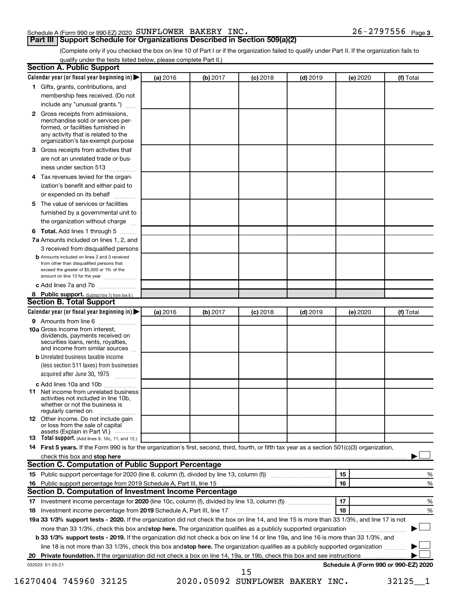### Schedule A (Form 990 or 990-EZ) 2020 SUNFLOWER BAKERY  $INC.$   $26-2797556$   $Page$

26-2797556 Page 3

(Complete only if you checked the box on line 10 of Part I or if the organization failed to qualify under Part II. If the organization fails to qualify under the tests listed below, please complete Part II.)

| <b>Section A. Public Support</b>                                                                                                                                                                                               |          |          |          |            |          |                                      |
|--------------------------------------------------------------------------------------------------------------------------------------------------------------------------------------------------------------------------------|----------|----------|----------|------------|----------|--------------------------------------|
| Calendar year (or fiscal year beginning in) $\blacktriangleright$                                                                                                                                                              | (a) 2016 | (b) 2017 | (c) 2018 | $(d)$ 2019 | (e) 2020 | (f) Total                            |
| 1 Gifts, grants, contributions, and                                                                                                                                                                                            |          |          |          |            |          |                                      |
| membership fees received. (Do not                                                                                                                                                                                              |          |          |          |            |          |                                      |
| include any "unusual grants.")                                                                                                                                                                                                 |          |          |          |            |          |                                      |
| 2 Gross receipts from admissions,<br>merchandise sold or services per-<br>formed, or facilities furnished in<br>any activity that is related to the<br>organization's tax-exempt purpose                                       |          |          |          |            |          |                                      |
| 3 Gross receipts from activities that                                                                                                                                                                                          |          |          |          |            |          |                                      |
| are not an unrelated trade or bus-                                                                                                                                                                                             |          |          |          |            |          |                                      |
| iness under section 513                                                                                                                                                                                                        |          |          |          |            |          |                                      |
| 4 Tax revenues levied for the organ-                                                                                                                                                                                           |          |          |          |            |          |                                      |
| ization's benefit and either paid to<br>or expended on its behalf                                                                                                                                                              |          |          |          |            |          |                                      |
| 5 The value of services or facilities                                                                                                                                                                                          |          |          |          |            |          |                                      |
| furnished by a governmental unit to                                                                                                                                                                                            |          |          |          |            |          |                                      |
| the organization without charge                                                                                                                                                                                                |          |          |          |            |          |                                      |
| 6 Total. Add lines 1 through 5                                                                                                                                                                                                 |          |          |          |            |          |                                      |
| 7a Amounts included on lines 1, 2, and                                                                                                                                                                                         |          |          |          |            |          |                                      |
| 3 received from disqualified persons                                                                                                                                                                                           |          |          |          |            |          |                                      |
| <b>b</b> Amounts included on lines 2 and 3 received<br>from other than disqualified persons that<br>exceed the greater of \$5,000 or 1% of the<br>amount on line 13 for the year                                               |          |          |          |            |          |                                      |
| c Add lines 7a and 7b                                                                                                                                                                                                          |          |          |          |            |          |                                      |
| 8 Public support. (Subtract line 7c from line 6.)                                                                                                                                                                              |          |          |          |            |          |                                      |
| <b>Section B. Total Support</b>                                                                                                                                                                                                |          |          |          |            |          |                                      |
| Calendar year (or fiscal year beginning in) $\blacktriangleright$                                                                                                                                                              | (a) 2016 | (b) 2017 | (c) 2018 | $(d)$ 2019 | (e) 2020 | (f) Total                            |
| 9 Amounts from line 6                                                                                                                                                                                                          |          |          |          |            |          |                                      |
| <b>10a</b> Gross income from interest,<br>dividends, payments received on<br>securities loans, rents, royalties,<br>and income from similar sources                                                                            |          |          |          |            |          |                                      |
| <b>b</b> Unrelated business taxable income<br>(less section 511 taxes) from businesses<br>acquired after June 30, 1975                                                                                                         |          |          |          |            |          |                                      |
| c Add lines 10a and 10b<br><b>11</b> Net income from unrelated business<br>activities not included in line 10b.<br>whether or not the business is<br>regularly carried on                                                      |          |          |          |            |          |                                      |
| 12 Other income. Do not include gain<br>or loss from the sale of capital<br>assets (Explain in Part VI.)                                                                                                                       |          |          |          |            |          |                                      |
| <b>13</b> Total support. (Add lines 9, 10c, 11, and 12.)                                                                                                                                                                       |          |          |          |            |          |                                      |
| 14 First 5 years. If the Form 990 is for the organization's first, second, third, fourth, or fifth tax year as a section 501(c)(3) organization,                                                                               |          |          |          |            |          |                                      |
| check this box and stop here manufactured and and stop here and stop here are manufactured and stop here manufactured and stop here and stop here and stop here and stop here and stop here are all the stop of the state of t |          |          |          |            |          |                                      |
| <b>Section C. Computation of Public Support Percentage</b>                                                                                                                                                                     |          |          |          |            |          |                                      |
|                                                                                                                                                                                                                                |          |          |          |            | 15       | ℅                                    |
| 16 Public support percentage from 2019 Schedule A, Part III, line 15                                                                                                                                                           |          |          |          |            | 16       | %                                    |
| Section D. Computation of Investment Income Percentage                                                                                                                                                                         |          |          |          |            |          |                                      |
| 17 Investment income percentage for 2020 (line 10c, column (f), divided by line 13, column (f))                                                                                                                                |          |          |          |            | 17       | %                                    |
| 18 Investment income percentage from 2019 Schedule A, Part III, line 17                                                                                                                                                        |          |          |          |            | 18       | %                                    |
| 19a 33 1/3% support tests - 2020. If the organization did not check the box on line 14, and line 15 is more than 33 1/3%, and line 17 is not                                                                                   |          |          |          |            |          |                                      |
| more than 33 1/3%, check this box and stop here. The organization qualifies as a publicly supported organization                                                                                                               |          |          |          |            |          |                                      |
| <b>b 33 1/3% support tests - 2019.</b> If the organization did not check a box on line 14 or line 19a, and line 16 is more than 33 1/3%, and                                                                                   |          |          |          |            |          |                                      |
| line 18 is not more than 33 1/3%, check this box and stop here. The organization qualifies as a publicly supported organization                                                                                                |          |          |          |            |          |                                      |
|                                                                                                                                                                                                                                |          |          |          |            |          |                                      |
| 032023 01-25-21                                                                                                                                                                                                                |          |          | 15       |            |          | Schedule A (Form 990 or 990-EZ) 2020 |
|                                                                                                                                                                                                                                |          |          |          |            |          |                                      |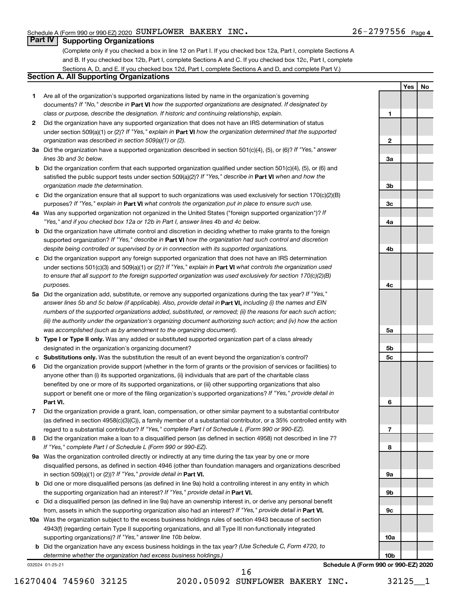**1**

**Yes No**

## **Part IV Supporting Organizations**

(Complete only if you checked a box in line 12 on Part I. If you checked box 12a, Part I, complete Sections A and B. If you checked box 12b, Part I, complete Sections A and C. If you checked box 12c, Part I, complete Sections A, D, and E. If you checked box 12d, Part I, complete Sections A and D, and complete Part V.)

## **Section A. All Supporting Organizations**

- **1** Are all of the organization's supported organizations listed by name in the organization's governing documents? If "No," describe in Part VI how the supported organizations are designated. If designated by *class or purpose, describe the designation. If historic and continuing relationship, explain.*
- **2** Did the organization have any supported organization that does not have an IRS determination of status under section 509(a)(1) or (2)? If "Yes," explain in Part **VI** how the organization determined that the supported *organization was described in section 509(a)(1) or (2).*
- **3a** Did the organization have a supported organization described in section 501(c)(4), (5), or (6)? If "Yes," answer *lines 3b and 3c below.*
- **b** Did the organization confirm that each supported organization qualified under section 501(c)(4), (5), or (6) and satisfied the public support tests under section 509(a)(2)? If "Yes," describe in Part VI when and how the *organization made the determination.*
- **c** Did the organization ensure that all support to such organizations was used exclusively for section 170(c)(2)(B) purposes? If "Yes," explain in Part VI what controls the organization put in place to ensure such use.
- **4 a** *If* Was any supported organization not organized in the United States ("foreign supported organization")? *"Yes," and if you checked box 12a or 12b in Part I, answer lines 4b and 4c below.*
- **b** Did the organization have ultimate control and discretion in deciding whether to make grants to the foreign supported organization? If "Yes," describe in Part VI how the organization had such control and discretion *despite being controlled or supervised by or in connection with its supported organizations.*
- **c** Did the organization support any foreign supported organization that does not have an IRS determination under sections 501(c)(3) and 509(a)(1) or (2)? If "Yes," explain in Part VI what controls the organization used *to ensure that all support to the foreign supported organization was used exclusively for section 170(c)(2)(B) purposes.*
- **5a** Did the organization add, substitute, or remove any supported organizations during the tax year? If "Yes," answer lines 5b and 5c below (if applicable). Also, provide detail in **Part VI,** including (i) the names and EIN *numbers of the supported organizations added, substituted, or removed; (ii) the reasons for each such action; (iii) the authority under the organization's organizing document authorizing such action; and (iv) how the action was accomplished (such as by amendment to the organizing document).*
- **b Type I or Type II only.** Was any added or substituted supported organization part of a class already designated in the organization's organizing document?
- **c Substitutions only.**  Was the substitution the result of an event beyond the organization's control?
- **6** Did the organization provide support (whether in the form of grants or the provision of services or facilities) to **Part VI.** support or benefit one or more of the filing organization's supported organizations? If "Yes," provide detail in anyone other than (i) its supported organizations, (ii) individuals that are part of the charitable class benefited by one or more of its supported organizations, or (iii) other supporting organizations that also
- **7** Did the organization provide a grant, loan, compensation, or other similar payment to a substantial contributor regard to a substantial contributor? If "Yes," complete Part I of Schedule L (Form 990 or 990-EZ). (as defined in section 4958(c)(3)(C)), a family member of a substantial contributor, or a 35% controlled entity with
- **8** Did the organization make a loan to a disqualified person (as defined in section 4958) not described in line 7? *If "Yes," complete Part I of Schedule L (Form 990 or 990-EZ).*
- **9 a** Was the organization controlled directly or indirectly at any time during the tax year by one or more in section 509(a)(1) or (2))? If "Yes," provide detail in **Part VI.** disqualified persons, as defined in section 4946 (other than foundation managers and organizations described
- **b** Did one or more disqualified persons (as defined in line 9a) hold a controlling interest in any entity in which the supporting organization had an interest? If "Yes," provide detail in Part VI.
- **c** Did a disqualified person (as defined in line 9a) have an ownership interest in, or derive any personal benefit from, assets in which the supporting organization also had an interest? If "Yes," provide detail in Part VI.
- **10 a** Was the organization subject to the excess business holdings rules of section 4943 because of section supporting organizations)? If "Yes," answer line 10b below. 4943(f) (regarding certain Type II supporting organizations, and all Type III non-functionally integrated
	- **b** Did the organization have any excess business holdings in the tax year? (Use Schedule C, Form 4720, to *determine whether the organization had excess business holdings.)*

032024 01-25-21

**2 3a 3b 3c 4a 4b 4c 5a 5b 5c 6 7 8 9a 9b 9c 10a**

**Schedule A (Form 990 or 990-EZ) 2020**

**10b**

16270404 745960 32125 2020.05092 SUNFLOWER BAKERY INC. 32125\_\_1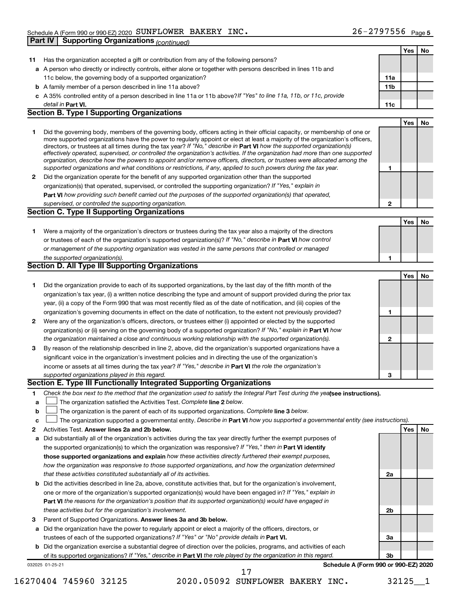|    | <b>Supporting Organizations (continued)</b><br>Part IV                                                                                                                                                                                                                                                                                                                                                                                                                                                                                                                                                                                                                                                                                                                   |                 |            |    |
|----|--------------------------------------------------------------------------------------------------------------------------------------------------------------------------------------------------------------------------------------------------------------------------------------------------------------------------------------------------------------------------------------------------------------------------------------------------------------------------------------------------------------------------------------------------------------------------------------------------------------------------------------------------------------------------------------------------------------------------------------------------------------------------|-----------------|------------|----|
|    |                                                                                                                                                                                                                                                                                                                                                                                                                                                                                                                                                                                                                                                                                                                                                                          |                 | <b>Yes</b> | No |
| 11 | Has the organization accepted a gift or contribution from any of the following persons?                                                                                                                                                                                                                                                                                                                                                                                                                                                                                                                                                                                                                                                                                  |                 |            |    |
|    | a A person who directly or indirectly controls, either alone or together with persons described in lines 11b and                                                                                                                                                                                                                                                                                                                                                                                                                                                                                                                                                                                                                                                         |                 |            |    |
|    | 11c below, the governing body of a supported organization?                                                                                                                                                                                                                                                                                                                                                                                                                                                                                                                                                                                                                                                                                                               | 11a             |            |    |
|    | <b>b</b> A family member of a person described in line 11a above?                                                                                                                                                                                                                                                                                                                                                                                                                                                                                                                                                                                                                                                                                                        | 11 <sub>b</sub> |            |    |
|    | c A 35% controlled entity of a person described in line 11a or 11b above?If "Yes" to line 11a, 11b, or 11c, provide                                                                                                                                                                                                                                                                                                                                                                                                                                                                                                                                                                                                                                                      |                 |            |    |
|    | detail in <b>Part VI.</b>                                                                                                                                                                                                                                                                                                                                                                                                                                                                                                                                                                                                                                                                                                                                                | 11c             |            |    |
|    | <b>Section B. Type I Supporting Organizations</b>                                                                                                                                                                                                                                                                                                                                                                                                                                                                                                                                                                                                                                                                                                                        |                 |            |    |
|    |                                                                                                                                                                                                                                                                                                                                                                                                                                                                                                                                                                                                                                                                                                                                                                          |                 | <b>Yes</b> | No |
| 1  | Did the governing body, members of the governing body, officers acting in their official capacity, or membership of one or<br>more supported organizations have the power to regularly appoint or elect at least a majority of the organization's officers,<br>directors, or trustees at all times during the tax year? If "No," describe in Part VI how the supported organization(s)<br>effectively operated, supervised, or controlled the organization's activities. If the organization had more than one supported<br>organization, describe how the powers to appoint and/or remove officers, directors, or trustees were allocated among the<br>supported organizations and what conditions or restrictions, if any, applied to such powers during the tax year. | 1               |            |    |
| 2  | Did the organization operate for the benefit of any supported organization other than the supported                                                                                                                                                                                                                                                                                                                                                                                                                                                                                                                                                                                                                                                                      |                 |            |    |
|    | organization(s) that operated, supervised, or controlled the supporting organization? If "Yes," explain in                                                                                                                                                                                                                                                                                                                                                                                                                                                                                                                                                                                                                                                               |                 |            |    |
|    | Part VI how providing such benefit carried out the purposes of the supported organization(s) that operated,                                                                                                                                                                                                                                                                                                                                                                                                                                                                                                                                                                                                                                                              |                 |            |    |
|    | supervised, or controlled the supporting organization.                                                                                                                                                                                                                                                                                                                                                                                                                                                                                                                                                                                                                                                                                                                   | 2               |            |    |
|    | <b>Section C. Type II Supporting Organizations</b>                                                                                                                                                                                                                                                                                                                                                                                                                                                                                                                                                                                                                                                                                                                       |                 |            |    |
|    |                                                                                                                                                                                                                                                                                                                                                                                                                                                                                                                                                                                                                                                                                                                                                                          |                 | Yes        | No |
| 1  | Were a majority of the organization's directors or trustees during the tax year also a majority of the directors<br>or trustees of each of the organization's supported organization(s)? If "No," describe in Part VI how control<br>or management of the supporting organization was vested in the same persons that controlled or managed<br>the supported organization(s).                                                                                                                                                                                                                                                                                                                                                                                            | 1               |            |    |
|    | <b>Section D. All Type III Supporting Organizations</b>                                                                                                                                                                                                                                                                                                                                                                                                                                                                                                                                                                                                                                                                                                                  |                 |            |    |
|    |                                                                                                                                                                                                                                                                                                                                                                                                                                                                                                                                                                                                                                                                                                                                                                          |                 | <b>Yes</b> | No |
| 1  | Did the organization provide to each of its supported organizations, by the last day of the fifth month of the                                                                                                                                                                                                                                                                                                                                                                                                                                                                                                                                                                                                                                                           |                 |            |    |
|    | organization's tax year, (i) a written notice describing the type and amount of support provided during the prior tax                                                                                                                                                                                                                                                                                                                                                                                                                                                                                                                                                                                                                                                    |                 |            |    |
|    | year, (ii) a copy of the Form 990 that was most recently filed as of the date of notification, and (iii) copies of the                                                                                                                                                                                                                                                                                                                                                                                                                                                                                                                                                                                                                                                   |                 |            |    |
|    | organization's governing documents in effect on the date of notification, to the extent not previously provided?                                                                                                                                                                                                                                                                                                                                                                                                                                                                                                                                                                                                                                                         | 1               |            |    |
| 2  | Were any of the organization's officers, directors, or trustees either (i) appointed or elected by the supported                                                                                                                                                                                                                                                                                                                                                                                                                                                                                                                                                                                                                                                         |                 |            |    |
|    | organization(s) or (ii) serving on the governing body of a supported organization? If "No," explain in Part VI how                                                                                                                                                                                                                                                                                                                                                                                                                                                                                                                                                                                                                                                       |                 |            |    |
|    | the organization maintained a close and continuous working relationship with the supported organization(s).                                                                                                                                                                                                                                                                                                                                                                                                                                                                                                                                                                                                                                                              | 2               |            |    |
| З  | By reason of the relationship described in line 2, above, did the organization's supported organizations have a                                                                                                                                                                                                                                                                                                                                                                                                                                                                                                                                                                                                                                                          |                 |            |    |
|    | significant voice in the organization's investment policies and in directing the use of the organization's                                                                                                                                                                                                                                                                                                                                                                                                                                                                                                                                                                                                                                                               |                 |            |    |
|    | income or assets at all times during the tax year? If "Yes," describe in Part VI the role the organization's                                                                                                                                                                                                                                                                                                                                                                                                                                                                                                                                                                                                                                                             |                 |            |    |
|    | supported organizations played in this regard.                                                                                                                                                                                                                                                                                                                                                                                                                                                                                                                                                                                                                                                                                                                           | 3               |            |    |
|    | Section E. Type III Functionally Integrated Supporting Organizations                                                                                                                                                                                                                                                                                                                                                                                                                                                                                                                                                                                                                                                                                                     |                 |            |    |
| 1  | Check the box next to the method that the organization used to satisfy the Integral Part Test during the yealsee instructions).                                                                                                                                                                                                                                                                                                                                                                                                                                                                                                                                                                                                                                          |                 |            |    |
| a  | The organization satisfied the Activities Test. Complete line 2 below.                                                                                                                                                                                                                                                                                                                                                                                                                                                                                                                                                                                                                                                                                                   |                 |            |    |
| b  | The organization is the parent of each of its supported organizations. Complete line 3 below.                                                                                                                                                                                                                                                                                                                                                                                                                                                                                                                                                                                                                                                                            |                 |            |    |
| c  | The organization supported a governmental entity. Describe in Part VI how you supported a governmental entity (see instructions).                                                                                                                                                                                                                                                                                                                                                                                                                                                                                                                                                                                                                                        |                 |            |    |
| 2  | Activities Test. Answer lines 2a and 2b below.                                                                                                                                                                                                                                                                                                                                                                                                                                                                                                                                                                                                                                                                                                                           |                 | Yes        | No |
| а  | Did substantially all of the organization's activities during the tax year directly further the exempt purposes of                                                                                                                                                                                                                                                                                                                                                                                                                                                                                                                                                                                                                                                       |                 |            |    |
|    | the supported organization(s) to which the organization was responsive? If "Yes," then in Part VI identify                                                                                                                                                                                                                                                                                                                                                                                                                                                                                                                                                                                                                                                               |                 |            |    |
|    | those supported organizations and explain how these activities directly furthered their exempt purposes,                                                                                                                                                                                                                                                                                                                                                                                                                                                                                                                                                                                                                                                                 |                 |            |    |
|    | how the organization was responsive to those supported organizations, and how the organization determined                                                                                                                                                                                                                                                                                                                                                                                                                                                                                                                                                                                                                                                                |                 |            |    |
|    | that these activities constituted substantially all of its activities.                                                                                                                                                                                                                                                                                                                                                                                                                                                                                                                                                                                                                                                                                                   | 2a              |            |    |
|    | <b>b</b> Did the activities described in line 2a, above, constitute activities that, but for the organization's involvement,                                                                                                                                                                                                                                                                                                                                                                                                                                                                                                                                                                                                                                             |                 |            |    |
|    | one or more of the organization's supported organization(s) would have been engaged in? If "Yes," explain in                                                                                                                                                                                                                                                                                                                                                                                                                                                                                                                                                                                                                                                             |                 |            |    |
|    | Part VI the reasons for the organization's position that its supported organization(s) would have engaged in                                                                                                                                                                                                                                                                                                                                                                                                                                                                                                                                                                                                                                                             |                 |            |    |
|    | these activities but for the organization's involvement.                                                                                                                                                                                                                                                                                                                                                                                                                                                                                                                                                                                                                                                                                                                 | 2b              |            |    |
| з  | Parent of Supported Organizations. Answer lines 3a and 3b below.                                                                                                                                                                                                                                                                                                                                                                                                                                                                                                                                                                                                                                                                                                         |                 |            |    |
| а  | Did the organization have the power to regularly appoint or elect a majority of the officers, directors, or                                                                                                                                                                                                                                                                                                                                                                                                                                                                                                                                                                                                                                                              |                 |            |    |
|    | trustees of each of the supported organizations? If "Yes" or "No" provide details in Part VI.                                                                                                                                                                                                                                                                                                                                                                                                                                                                                                                                                                                                                                                                            | За              |            |    |
|    | <b>b</b> Did the organization exercise a substantial degree of direction over the policies, programs, and activities of each                                                                                                                                                                                                                                                                                                                                                                                                                                                                                                                                                                                                                                             |                 |            |    |
|    | of its supported organizations? If "Yes," describe in Part VI the role played by the organization in this regard.                                                                                                                                                                                                                                                                                                                                                                                                                                                                                                                                                                                                                                                        | Зb              |            |    |
|    | Schedule A (Form 990 or 990-EZ) 2020<br>032025 01-25-21                                                                                                                                                                                                                                                                                                                                                                                                                                                                                                                                                                                                                                                                                                                  |                 |            |    |

**Schedule A (Form 990 or 990-EZ) 2020**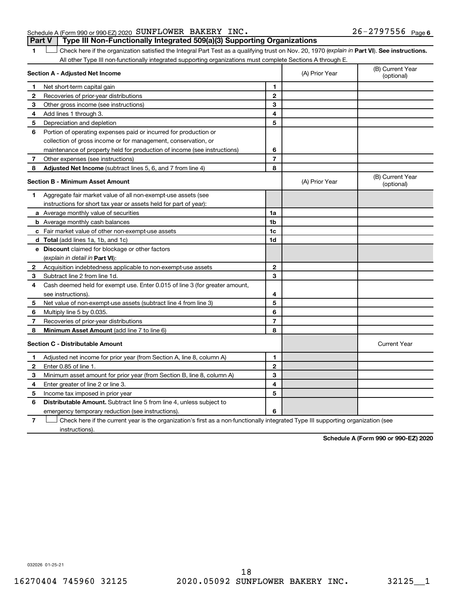#### Schedule A (Form 990 or 990-EZ) 2020 SUNFLOWER BAKERY  $INC.$   $26-2797556$   $Page$ **Part V Type III Non-Functionally Integrated 509(a)(3) Supporting Organizations**

1 **Letter See instructions.** Check here if the organization satisfied the Integral Part Test as a qualifying trust on Nov. 20, 1970 (*explain in* Part **VI**). See instructions. All other Type III non-functionally integrated supporting organizations must complete Sections A through E.

|              | Section A - Adjusted Net Income                                                         |                | (A) Prior Year | (B) Current Year<br>(optional) |
|--------------|-----------------------------------------------------------------------------------------|----------------|----------------|--------------------------------|
| 1            | Net short-term capital gain                                                             | 1              |                |                                |
| 2            | Recoveries of prior-year distributions                                                  | $\mathbf{2}$   |                |                                |
| З            | Other gross income (see instructions)                                                   | 3              |                |                                |
| 4            | Add lines 1 through 3.                                                                  | 4              |                |                                |
| 5            | Depreciation and depletion                                                              | 5              |                |                                |
| 6            | Portion of operating expenses paid or incurred for production or                        |                |                |                                |
|              | collection of gross income or for management, conservation, or                          |                |                |                                |
|              | maintenance of property held for production of income (see instructions)                | 6              |                |                                |
| 7            | Other expenses (see instructions)                                                       | $\overline{7}$ |                |                                |
| 8            | Adjusted Net Income (subtract lines 5, 6, and 7 from line 4)                            | 8              |                |                                |
|              | <b>Section B - Minimum Asset Amount</b>                                                 |                | (A) Prior Year | (B) Current Year<br>(optional) |
| 1.           | Aggregate fair market value of all non-exempt-use assets (see                           |                |                |                                |
|              | instructions for short tax year or assets held for part of year):                       |                |                |                                |
|              | <b>a</b> Average monthly value of securities                                            | 1a             |                |                                |
|              | <b>b</b> Average monthly cash balances                                                  | 1 <sub>b</sub> |                |                                |
|              | c Fair market value of other non-exempt-use assets                                      | 1c             |                |                                |
|              | <b>d</b> Total (add lines 1a, 1b, and 1c)                                               | 1d             |                |                                |
|              | <b>e</b> Discount claimed for blockage or other factors                                 |                |                |                                |
|              | (explain in detail in <b>Part VI</b> ):                                                 |                |                |                                |
| 2            | Acquisition indebtedness applicable to non-exempt-use assets                            | $\mathbf{2}$   |                |                                |
| 3            | Subtract line 2 from line 1d.                                                           | 3              |                |                                |
| 4            | Cash deemed held for exempt use. Enter 0.015 of line 3 (for greater amount,             |                |                |                                |
|              | see instructions).                                                                      | 4              |                |                                |
| 5            | Net value of non-exempt-use assets (subtract line 4 from line 3)                        | 5              |                |                                |
| 6            | Multiply line 5 by 0.035.                                                               | 6              |                |                                |
| 7            | Recoveries of prior-year distributions                                                  | $\overline{7}$ |                |                                |
| 8            | Minimum Asset Amount (add line 7 to line 6)                                             | 8              |                |                                |
|              | <b>Section C - Distributable Amount</b>                                                 |                |                | <b>Current Year</b>            |
| 1            | Adjusted net income for prior year (from Section A, line 8, column A)                   | 1              |                |                                |
| $\mathbf{2}$ | Enter 0.85 of line 1.                                                                   | $\mathbf{2}$   |                |                                |
| 3            | Minimum asset amount for prior year (from Section B, line 8, column A)                  | 3              |                |                                |
| 4            | Enter greater of line 2 or line 3.                                                      | 4              |                |                                |
| 5            | Income tax imposed in prior year                                                        | 5              |                |                                |
| 6            | <b>Distributable Amount.</b> Subtract line 5 from line 4, unless subject to             |                |                |                                |
|              | emergency temporary reduction (see instructions).                                       | 6              |                |                                |
|              | Objects to be considered as a consequence of the Ab-<br>والمستنقص والمستوطئ<br>$-11.11$ |                |                |                                |

**7** Check here if the current year is the organization's first as a non-functionally integrated Type III supporting organization (see † instructions).

**Schedule A (Form 990 or 990-EZ) 2020**

032026 01-25-21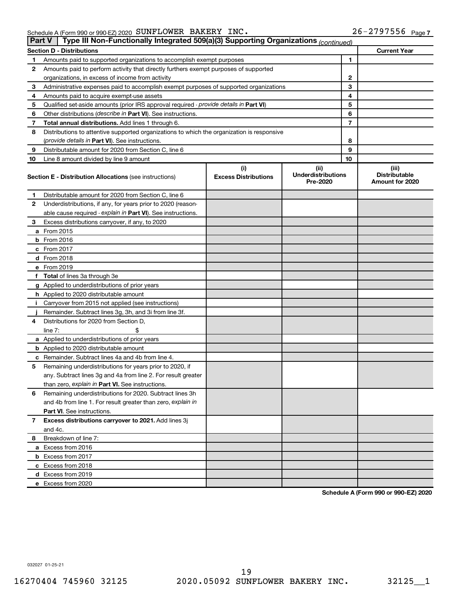Schedule A (Form 990 or 990-EZ) 2020 Page SUNFLOWER BAKERY INC. 26-2797556

| <b>Part V</b> | Type III Non-Functionally Integrated 509(a)(3) Supporting Organizations (continued)        |                             |                                       |                                         |
|---------------|--------------------------------------------------------------------------------------------|-----------------------------|---------------------------------------|-----------------------------------------|
|               | <b>Section D - Distributions</b>                                                           |                             |                                       | <b>Current Year</b>                     |
| 1             | Amounts paid to supported organizations to accomplish exempt purposes                      | 1                           |                                       |                                         |
| 2             | Amounts paid to perform activity that directly furthers exempt purposes of supported       |                             |                                       |                                         |
|               | organizations, in excess of income from activity                                           |                             |                                       |                                         |
| 3             | Administrative expenses paid to accomplish exempt purposes of supported organizations      |                             | 3                                     |                                         |
| 4             | Amounts paid to acquire exempt-use assets                                                  |                             | 4                                     |                                         |
| 5             | Qualified set-aside amounts (prior IRS approval required - provide details in Part VI)     |                             | 5                                     |                                         |
| 6             | Other distributions (describe in Part VI). See instructions.                               |                             | 6                                     |                                         |
| 7             | Total annual distributions. Add lines 1 through 6.                                         |                             | 7                                     |                                         |
| 8             | Distributions to attentive supported organizations to which the organization is responsive |                             |                                       |                                         |
|               | (provide details in Part VI). See instructions.                                            |                             | 8                                     |                                         |
| 9             | Distributable amount for 2020 from Section C, line 6                                       |                             | 9                                     |                                         |
| 10            | Line 8 amount divided by line 9 amount                                                     |                             | 10                                    |                                         |
|               |                                                                                            | (i)                         | (ii)                                  | (iii)                                   |
|               | <b>Section E - Distribution Allocations (see instructions)</b>                             | <b>Excess Distributions</b> | <b>Underdistributions</b><br>Pre-2020 | <b>Distributable</b><br>Amount for 2020 |
| 1             | Distributable amount for 2020 from Section C, line 6                                       |                             |                                       |                                         |
| 2             | Underdistributions, if any, for years prior to 2020 (reason-                               |                             |                                       |                                         |
|               | able cause required - explain in Part VI). See instructions.                               |                             |                                       |                                         |
| 3             | Excess distributions carryover, if any, to 2020                                            |                             |                                       |                                         |
|               | a From 2015                                                                                |                             |                                       |                                         |
|               | <b>b</b> From 2016                                                                         |                             |                                       |                                         |
|               | c From 2017                                                                                |                             |                                       |                                         |
|               | d From 2018                                                                                |                             |                                       |                                         |
|               | e From 2019                                                                                |                             |                                       |                                         |
|               | f Total of lines 3a through 3e                                                             |                             |                                       |                                         |
|               | g Applied to underdistributions of prior years                                             |                             |                                       |                                         |
|               | <b>h</b> Applied to 2020 distributable amount                                              |                             |                                       |                                         |
| Ť.            | Carryover from 2015 not applied (see instructions)                                         |                             |                                       |                                         |
|               | Remainder. Subtract lines 3g, 3h, and 3i from line 3f.                                     |                             |                                       |                                         |
| 4             | Distributions for 2020 from Section D,                                                     |                             |                                       |                                         |
|               | line $7:$                                                                                  |                             |                                       |                                         |
|               | a Applied to underdistributions of prior years                                             |                             |                                       |                                         |
|               | <b>b</b> Applied to 2020 distributable amount                                              |                             |                                       |                                         |
|               | c Remainder. Subtract lines 4a and 4b from line 4.                                         |                             |                                       |                                         |
| 5             | Remaining underdistributions for years prior to 2020, if                                   |                             |                                       |                                         |
|               | any. Subtract lines 3g and 4a from line 2. For result greater                              |                             |                                       |                                         |
|               | than zero, explain in Part VI. See instructions.                                           |                             |                                       |                                         |
| 6             | Remaining underdistributions for 2020. Subtract lines 3h                                   |                             |                                       |                                         |
|               | and 4b from line 1. For result greater than zero, explain in                               |                             |                                       |                                         |
|               | <b>Part VI.</b> See instructions.                                                          |                             |                                       |                                         |
| 7             | Excess distributions carryover to 2021. Add lines 3j                                       |                             |                                       |                                         |
|               | and 4c.                                                                                    |                             |                                       |                                         |
| 8             | Breakdown of line 7:                                                                       |                             |                                       |                                         |
|               | a Excess from 2016                                                                         |                             |                                       |                                         |
|               | <b>b</b> Excess from 2017                                                                  |                             |                                       |                                         |
|               | c Excess from 2018                                                                         |                             |                                       |                                         |
|               | d Excess from 2019                                                                         |                             |                                       |                                         |
|               | e Excess from 2020                                                                         |                             |                                       |                                         |

**Schedule A (Form 990 or 990-EZ) 2020**

032027 01-25-21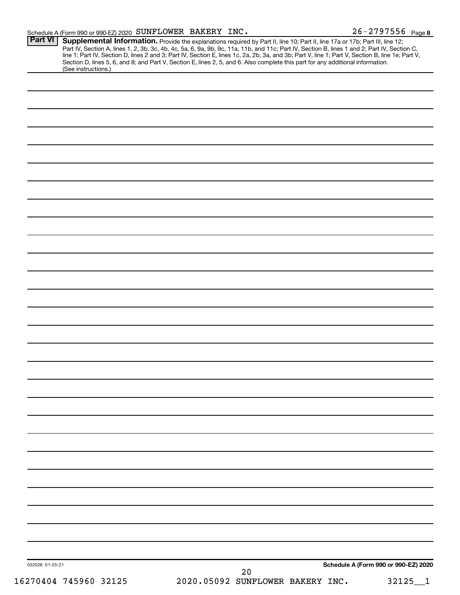| Schedule A (Form 990 or 990-EZ) 2020 SUNFLOWER BAKERY INC. | $26 - 2797556$ Page 8 |
|------------------------------------------------------------|-----------------------|
|------------------------------------------------------------|-----------------------|

| (See instructions.) | <b>Supplemental Information.</b> Provide the explanations required by Part II, line 10; Part II, line 17a or 17b; Part III, line 12;<br>Part IV, Section A, lines 1, 2, 3b, 3c, 4b, 4c, 5a, 6, 9a, 9b, 9c, 11a, 11b, and 11c; Part IV,<br>Section D, lines 5, 6, and 8; and Part V, Section E, lines 2, 5, and 6. Also complete this part for any additional information. |
|---------------------|---------------------------------------------------------------------------------------------------------------------------------------------------------------------------------------------------------------------------------------------------------------------------------------------------------------------------------------------------------------------------|
|                     |                                                                                                                                                                                                                                                                                                                                                                           |
|                     |                                                                                                                                                                                                                                                                                                                                                                           |
|                     |                                                                                                                                                                                                                                                                                                                                                                           |
|                     |                                                                                                                                                                                                                                                                                                                                                                           |
|                     |                                                                                                                                                                                                                                                                                                                                                                           |
|                     |                                                                                                                                                                                                                                                                                                                                                                           |
|                     |                                                                                                                                                                                                                                                                                                                                                                           |
|                     |                                                                                                                                                                                                                                                                                                                                                                           |
|                     |                                                                                                                                                                                                                                                                                                                                                                           |
|                     |                                                                                                                                                                                                                                                                                                                                                                           |
|                     |                                                                                                                                                                                                                                                                                                                                                                           |
|                     |                                                                                                                                                                                                                                                                                                                                                                           |
|                     |                                                                                                                                                                                                                                                                                                                                                                           |
|                     |                                                                                                                                                                                                                                                                                                                                                                           |
|                     |                                                                                                                                                                                                                                                                                                                                                                           |
|                     |                                                                                                                                                                                                                                                                                                                                                                           |
|                     |                                                                                                                                                                                                                                                                                                                                                                           |
|                     |                                                                                                                                                                                                                                                                                                                                                                           |
|                     |                                                                                                                                                                                                                                                                                                                                                                           |
|                     |                                                                                                                                                                                                                                                                                                                                                                           |
|                     |                                                                                                                                                                                                                                                                                                                                                                           |
|                     |                                                                                                                                                                                                                                                                                                                                                                           |
|                     |                                                                                                                                                                                                                                                                                                                                                                           |
|                     |                                                                                                                                                                                                                                                                                                                                                                           |
|                     |                                                                                                                                                                                                                                                                                                                                                                           |
|                     |                                                                                                                                                                                                                                                                                                                                                                           |
|                     |                                                                                                                                                                                                                                                                                                                                                                           |
|                     |                                                                                                                                                                                                                                                                                                                                                                           |
|                     |                                                                                                                                                                                                                                                                                                                                                                           |
|                     |                                                                                                                                                                                                                                                                                                                                                                           |
|                     |                                                                                                                                                                                                                                                                                                                                                                           |
|                     |                                                                                                                                                                                                                                                                                                                                                                           |
|                     |                                                                                                                                                                                                                                                                                                                                                                           |
|                     |                                                                                                                                                                                                                                                                                                                                                                           |
|                     |                                                                                                                                                                                                                                                                                                                                                                           |
|                     |                                                                                                                                                                                                                                                                                                                                                                           |
|                     |                                                                                                                                                                                                                                                                                                                                                                           |
|                     |                                                                                                                                                                                                                                                                                                                                                                           |
|                     |                                                                                                                                                                                                                                                                                                                                                                           |
|                     |                                                                                                                                                                                                                                                                                                                                                                           |
|                     |                                                                                                                                                                                                                                                                                                                                                                           |
| 032028 01-25-21     | Schedule A (Form 990 or 990-EZ) 2020                                                                                                                                                                                                                                                                                                                                      |
|                     | 20<br>2020.05092 SUNFLOWER BAKERY INC.                                                                                                                                                                                                                                                                                                                                    |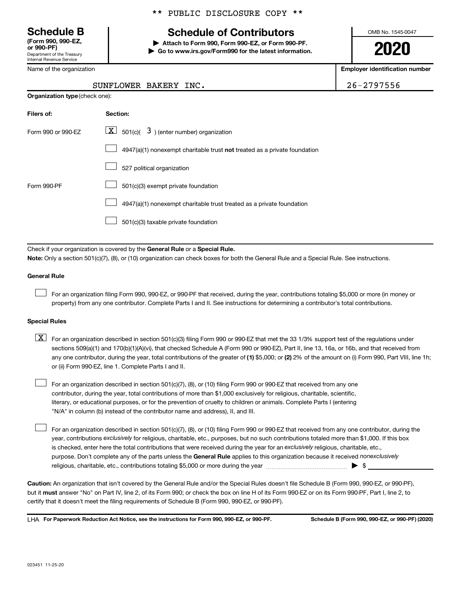Department of the Treasury Internal Revenue Service **(Form 990, 990-EZ,**

Name of the organization

## **Schedule B Schedule of Contributors**

**or 990-PF) | Attach to Form 990, Form 990-EZ, or Form 990-PF. | Go to www.irs.gov/Form990 for the latest information.** OMB No. 1545-0047

**2020**

**Employer identification number**

| SUNFLOWER BAKERY INC. |  | 26-2797556 |
|-----------------------|--|------------|
|                       |  |            |

| <b>Organization type (check one):</b> |                                                                           |  |  |  |
|---------------------------------------|---------------------------------------------------------------------------|--|--|--|
| Filers of:                            | Section:                                                                  |  |  |  |
| Form 990 or 990-EZ                    | $\underline{\mathbf{X}}$ 501(c)( $3$ ) (enter number) organization        |  |  |  |
|                                       | 4947(a)(1) nonexempt charitable trust not treated as a private foundation |  |  |  |
|                                       | 527 political organization                                                |  |  |  |
| Form 990-PF                           | 501(c)(3) exempt private foundation                                       |  |  |  |
|                                       | 4947(a)(1) nonexempt charitable trust treated as a private foundation     |  |  |  |
|                                       | 501(c)(3) taxable private foundation                                      |  |  |  |
|                                       |                                                                           |  |  |  |

Check if your organization is covered by the General Rule or a Special Rule.

**Note:**  Only a section 501(c)(7), (8), or (10) organization can check boxes for both the General Rule and a Special Rule. See instructions.

#### **General Rule**

 $\Box$ 

 $\Box$ 

For an organization filing Form 990, 990-EZ, or 990-PF that received, during the year, contributions totaling \$5,000 or more (in money or property) from any one contributor. Complete Parts I and II. See instructions for determining a contributor's total contributions.

#### **Special Rules**

any one contributor, during the year, total contributions of the greater of (1) \$5,000; or (2) 2% of the amount on (i) Form 990, Part VIII, line 1h;  $\boxed{\text{X}}$  For an organization described in section 501(c)(3) filing Form 990 or 990-EZ that met the 33 1/3% support test of the regulations under sections 509(a)(1) and 170(b)(1)(A)(vi), that checked Schedule A (Form 990 or 990-EZ), Part II, line 13, 16a, or 16b, and that received from or (ii) Form 990-EZ, line 1. Complete Parts I and II.

For an organization described in section 501(c)(7), (8), or (10) filing Form 990 or 990-EZ that received from any one contributor, during the year, total contributions of more than \$1,000 exclusively for religious, charitable, scientific, literary, or educational purposes, or for the prevention of cruelty to children or animals. Complete Parts I (entering "N/A" in column (b) instead of the contributor name and address), II, and III.  $\Box$ 

purpose. Don't complete any of the parts unless the General Rule applies to this organization because it received nonexclusively year, contributions exclusively for religious, charitable, etc., purposes, but no such contributions totaled more than \$1,000. If this box is checked, enter here the total contributions that were received during the year for an exclusively religious, charitable, etc., For an organization described in section 501(c)(7), (8), or (10) filing Form 990 or 990-EZ that received from any one contributor, during the religious, charitable, etc., contributions totaling \$5,000 or more during the year  $~\ldots\ldots\ldots\ldots\ldots\ldots\ldots\ldots\blacktriangleright~$ \$

**Caution:**  An organization that isn't covered by the General Rule and/or the Special Rules doesn't file Schedule B (Form 990, 990-EZ, or 990-PF),  **must** but it answer "No" on Part IV, line 2, of its Form 990; or check the box on line H of its Form 990-EZ or on its Form 990-PF, Part I, line 2, to certify that it doesn't meet the filing requirements of Schedule B (Form 990, 990-EZ, or 990-PF).

**For Paperwork Reduction Act Notice, see the instructions for Form 990, 990-EZ, or 990-PF. Schedule B (Form 990, 990-EZ, or 990-PF) (2020)** LHA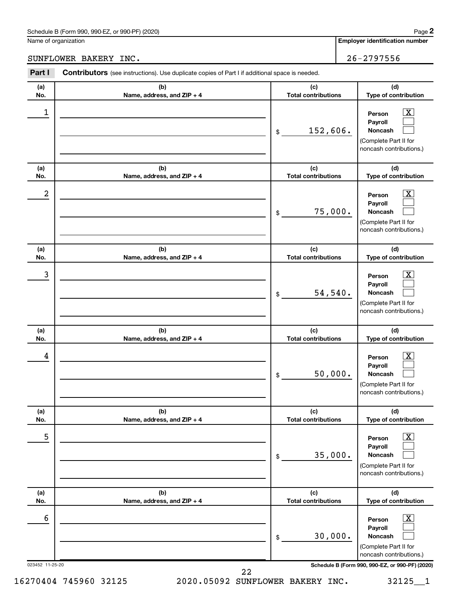Name of organization

**Employer identification number**

## SUNFLOWER BAKERY INC. 26-2797556

| Part I          | <b>Contributors</b> (see instructions). Use duplicate copies of Part I if additional space is needed. |                                   |                                                                                                          |
|-----------------|-------------------------------------------------------------------------------------------------------|-----------------------------------|----------------------------------------------------------------------------------------------------------|
| (a)<br>No.      | (b)<br>Name, address, and ZIP + 4                                                                     | (c)<br><b>Total contributions</b> | (d)<br>Type of contribution                                                                              |
| 1               |                                                                                                       | 152,606.<br>\$                    | $\boxed{\textbf{X}}$<br>Person<br>Payroll<br>Noncash<br>(Complete Part II for<br>noncash contributions.) |
| (a)<br>No.      | (b)<br>Name, address, and ZIP + 4                                                                     | (c)<br><b>Total contributions</b> | (d)<br>Type of contribution                                                                              |
| 2               |                                                                                                       | 75,000.<br>\$                     | $\boxed{\text{X}}$<br>Person<br>Payroll<br>Noncash<br>(Complete Part II for<br>noncash contributions.)   |
| (a)<br>No.      | (b)<br>Name, address, and ZIP + 4                                                                     | (c)<br><b>Total contributions</b> | (d)<br>Type of contribution                                                                              |
| 3               |                                                                                                       | 54,540.<br>\$                     | $\boxed{\textbf{X}}$<br>Person<br>Payroll<br>Noncash<br>(Complete Part II for<br>noncash contributions.) |
| (a)<br>No.      | (b)<br>Name, address, and ZIP + 4                                                                     | (c)<br><b>Total contributions</b> | (d)<br>Type of contribution                                                                              |
| 4               |                                                                                                       | 50,000.<br>\$                     | $\boxed{\mathbf{X}}$<br>Person<br>Payroll<br>Noncash<br>(Complete Part II for<br>noncash contributions.) |
| (a)<br>No.      | (b)<br>Name, address, and ZIP + 4                                                                     | (c)<br><b>Total contributions</b> | (d)<br>Type of contribution                                                                              |
| 5               |                                                                                                       | 35,000.<br>\$                     | $\boxed{\text{X}}$<br>Person<br>Payroll<br>Noncash<br>(Complete Part II for<br>noncash contributions.)   |
| (a)<br>No.      | (b)<br>Name, address, and ZIP + 4                                                                     | (c)<br><b>Total contributions</b> | (d)<br>Type of contribution                                                                              |
| 6               |                                                                                                       | 30,000.<br>\$                     | $\boxed{\text{X}}$<br>Person<br>Payroll<br>Noncash<br>(Complete Part II for<br>noncash contributions.)   |
| 023452 11-25-20 |                                                                                                       | 22                                | Schedule B (Form 990, 990-EZ, or 990-PF) (2020)                                                          |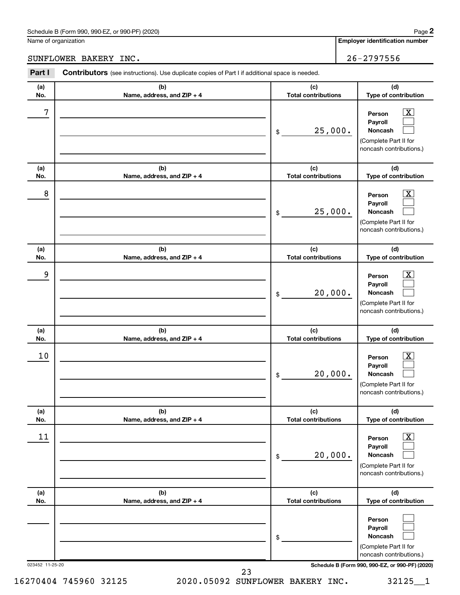Name of organization

 $\lfloor x \rfloor$  $\Box$  $\Box$ 

 $\overline{\mathbf{X}}$  $\Box$  $\Box$ 

 $\boxed{\textbf{X}}$  $\Box$  $\Box$ 

 $\boxed{\textbf{X}}$  $\Box$  $\Box$ 

 $\boxed{\text{X}}$  $\Box$  $\Box$ 

**Employer identification number**

**(d) Type of contribution**

**(d) Type of contribution**

(Complete Part II for noncash contributions.)

> **(d) Type of contribution**

(Complete Part II for noncash contributions.)

**(d) Type of contribution**

(Complete Part II for noncash contributions.)

> **(d) Type of contribution**

(Complete Part II for noncash contributions.)

**(d) Type of contribution**

(Complete Part II for noncash contributions.)

SUNFLOWER BAKERY INC. 26-2797556

**Person Payroll Noncash**

**Person Payroll Noncash**

**Person Payroll Noncash**

**Person Payroll Noncash**

**Person Payroll Noncash**

## **(a) No. (b) Name, address, and ZIP + 4 (c) Total contributions (a) No. (b) Name, address, and ZIP + 4 (c) Total contributions (a) No. (b) Name, address, and ZIP + 4 (c) Total contributions (a) No. (b) Name, address, and ZIP + 4 (c) Total contributions (a) No. (b) Name, address, and ZIP + 4 (c) Total contributions (a) No. (b) Name, address, and ZIP + 4 (c) Total contributions Part I** Contributors (see instructions). Use duplicate copies of Part I if additional space is needed. \$ \$ \$ \$ \$  $7$   $|$  Person  $\overline{\text{X}}$ 25,000.  $8$  Person  $\overline{\text{X}}$ 25,000. 9 X 20,000.  $10$  Person  $\overline{\text{X}}$ 20,000.  $\begin{array}{|c|c|c|c|c|}\hline \text{11} & \text{Person} & \text{X} \\\hline \end{array}$ 20,000.

023452 11-25-20 **Schedule B (Form 990, 990-EZ, or 990-PF) (2020)**

**Person Payroll Noncash**

(Complete Part II for noncash contributions.)

16270404 745960 32125 2020.05092 SUNFLOWER BAKERY INC. 32125\_\_1

\$

 $\Box$  $\Box$  $\Box$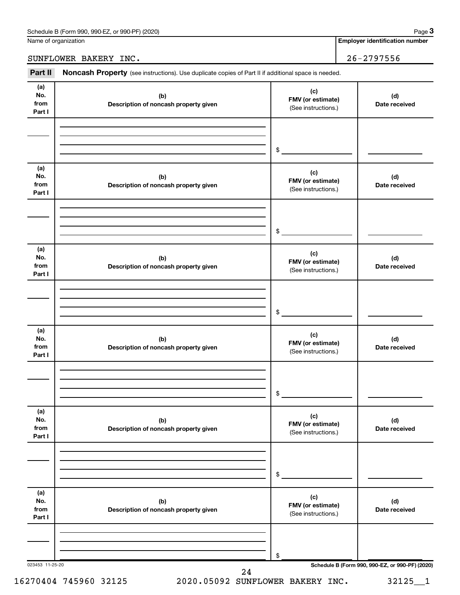Name of organization

**Employer identification number**

## SUNFLOWER BAKERY INC. 26-2797556

Part II Noncash Property (see instructions). Use duplicate copies of Part II if additional space is needed.

| (a)<br>No.      |                                              | (c)                      |                                                 |
|-----------------|----------------------------------------------|--------------------------|-------------------------------------------------|
| from            | (b)<br>Description of noncash property given | FMV (or estimate)        | (d)<br>Date received                            |
| Part I          |                                              | (See instructions.)      |                                                 |
|                 |                                              |                          |                                                 |
|                 |                                              |                          |                                                 |
|                 |                                              |                          |                                                 |
|                 |                                              | $\frac{1}{2}$            |                                                 |
|                 |                                              |                          |                                                 |
| (a)             |                                              |                          |                                                 |
| No.             | (b)                                          | (c)<br>FMV (or estimate) | (d)                                             |
| from            | Description of noncash property given        | (See instructions.)      | Date received                                   |
| Part I          |                                              |                          |                                                 |
|                 |                                              |                          |                                                 |
|                 |                                              |                          |                                                 |
|                 |                                              |                          |                                                 |
|                 |                                              | $\frac{1}{2}$            |                                                 |
|                 |                                              |                          |                                                 |
| (a)             |                                              | (c)                      |                                                 |
| No.<br>from     | (b)<br>Description of noncash property given | FMV (or estimate)        | (d)<br>Date received                            |
| Part I          |                                              | (See instructions.)      |                                                 |
|                 |                                              |                          |                                                 |
|                 |                                              |                          |                                                 |
|                 |                                              |                          |                                                 |
|                 |                                              | $\frac{1}{2}$            |                                                 |
|                 |                                              |                          |                                                 |
| (a)             |                                              |                          |                                                 |
| No.             | (b)                                          | (c)<br>FMV (or estimate) | (d)                                             |
| from            | Description of noncash property given        | (See instructions.)      | Date received                                   |
| Part I          |                                              |                          |                                                 |
|                 |                                              |                          |                                                 |
|                 |                                              |                          |                                                 |
|                 |                                              |                          |                                                 |
|                 |                                              | $$ -$                    |                                                 |
| (a)             |                                              |                          |                                                 |
| No.             | (b)                                          | (c)                      | (d)                                             |
| from            | Description of noncash property given        | FMV (or estimate)        | Date received                                   |
| Part I          |                                              | (See instructions.)      |                                                 |
|                 |                                              |                          |                                                 |
|                 |                                              |                          |                                                 |
|                 |                                              |                          |                                                 |
|                 |                                              | $\,$                     |                                                 |
|                 |                                              |                          |                                                 |
| (a)             |                                              | (c)                      |                                                 |
| No.             | (b)                                          | FMV (or estimate)        | (d)                                             |
| from<br>Part I  | Description of noncash property given        | (See instructions.)      | Date received                                   |
|                 |                                              |                          |                                                 |
|                 |                                              |                          |                                                 |
|                 |                                              |                          |                                                 |
|                 |                                              | \$                       |                                                 |
| 023453 11-25-20 |                                              |                          | Schedule B (Form 990, 990-EZ, or 990-PF) (2020) |
|                 | 24                                           |                          |                                                 |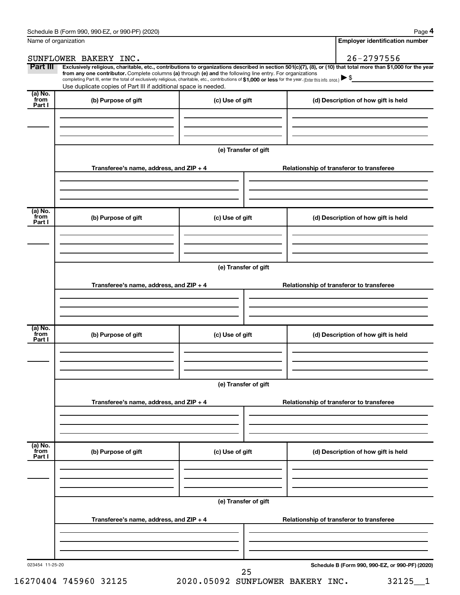**4**

| Name of organization                   |                                                                                                                                                                                                                                                                                                                                                                                                                                                                                                             |                      |  | <b>Employer identification number</b>           |  |
|----------------------------------------|-------------------------------------------------------------------------------------------------------------------------------------------------------------------------------------------------------------------------------------------------------------------------------------------------------------------------------------------------------------------------------------------------------------------------------------------------------------------------------------------------------------|----------------------|--|-------------------------------------------------|--|
|                                        | SUNFLOWER BAKERY INC.                                                                                                                                                                                                                                                                                                                                                                                                                                                                                       |                      |  | $26 - 2797556$                                  |  |
| Part III                               | Exclusively religious, charitable, etc., contributions to organizations described in section 501(c)(7), (8), or (10) that total more than \$1,000 for the year<br>from any one contributor. Complete columns (a) through (e) and the following line entry. For organizations<br>completing Part III, enter the total of exclusively religious, charitable, etc., contributions of \$1,000 or less for the year. (Enter this info. once.)<br>Use duplicate copies of Part III if additional space is needed. |                      |  |                                                 |  |
| $\overline{a}$ ) No.<br>from<br>Part I | (b) Purpose of gift                                                                                                                                                                                                                                                                                                                                                                                                                                                                                         | (c) Use of gift      |  | (d) Description of how gift is held             |  |
|                                        |                                                                                                                                                                                                                                                                                                                                                                                                                                                                                                             |                      |  |                                                 |  |
|                                        |                                                                                                                                                                                                                                                                                                                                                                                                                                                                                                             | (e) Transfer of gift |  |                                                 |  |
|                                        | Transferee's name, address, and ZIP + 4                                                                                                                                                                                                                                                                                                                                                                                                                                                                     |                      |  | Relationship of transferor to transferee        |  |
| $\overline{a}$ ) No.<br>from<br>Part I | (b) Purpose of gift                                                                                                                                                                                                                                                                                                                                                                                                                                                                                         | (c) Use of gift      |  | (d) Description of how gift is held             |  |
|                                        |                                                                                                                                                                                                                                                                                                                                                                                                                                                                                                             |                      |  |                                                 |  |
|                                        |                                                                                                                                                                                                                                                                                                                                                                                                                                                                                                             | (e) Transfer of gift |  |                                                 |  |
|                                        | Transferee's name, address, and ZIP + 4                                                                                                                                                                                                                                                                                                                                                                                                                                                                     |                      |  | Relationship of transferor to transferee        |  |
| $\overline{a}$ ) No.<br>from<br>Part I | (b) Purpose of gift                                                                                                                                                                                                                                                                                                                                                                                                                                                                                         | (c) Use of gift      |  | (d) Description of how gift is held             |  |
|                                        |                                                                                                                                                                                                                                                                                                                                                                                                                                                                                                             |                      |  |                                                 |  |
|                                        | (e) Transfer of gift                                                                                                                                                                                                                                                                                                                                                                                                                                                                                        |                      |  |                                                 |  |
|                                        | Transferee's name, address, and ZIP + 4                                                                                                                                                                                                                                                                                                                                                                                                                                                                     |                      |  | Relationship of transferor to transferee        |  |
| (a) No.<br>from<br>Part I              | (b) Purpose of gift                                                                                                                                                                                                                                                                                                                                                                                                                                                                                         | (c) Use of gift      |  | (d) Description of how gift is held             |  |
|                                        |                                                                                                                                                                                                                                                                                                                                                                                                                                                                                                             |                      |  |                                                 |  |
|                                        | (e) Transfer of gift                                                                                                                                                                                                                                                                                                                                                                                                                                                                                        |                      |  |                                                 |  |
|                                        | Transferee's name, address, and ZIP + 4                                                                                                                                                                                                                                                                                                                                                                                                                                                                     |                      |  | Relationship of transferor to transferee        |  |
|                                        |                                                                                                                                                                                                                                                                                                                                                                                                                                                                                                             |                      |  |                                                 |  |
| 023454 11-25-20                        |                                                                                                                                                                                                                                                                                                                                                                                                                                                                                                             | 25                   |  | Schedule B (Form 990, 990-EZ, or 990-PF) (2020) |  |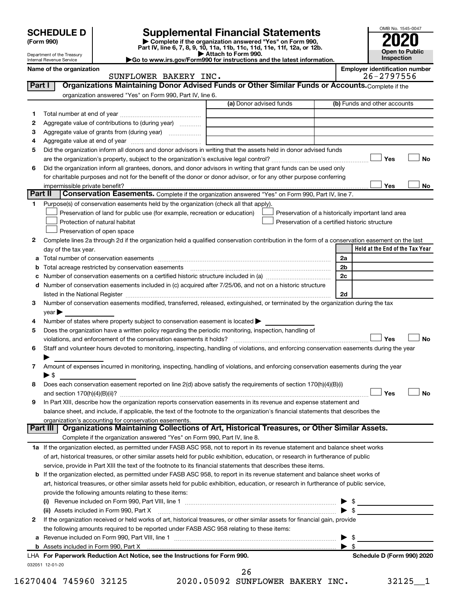| <b>CHEDULE D</b> |  |
|------------------|--|
|                  |  |

# **SCHEDULE D Supplemental Financial Statements**<br> **Form 990 2020**<br> **Part IV** line 6.7.8.9.10, 11a, 11b, 11d, 11d, 11d, 11d, 11d, 12a, 0r, 12b

**(Form 990) | Complete if the organization answered "Yes" on Form 990, Part IV, line 6, 7, 8, 9, 10, 11a, 11b, 11c, 11d, 11e, 11f, 12a, or 12b.**

**| Attach to Form 990. |Go to www.irs.gov/Form990 for instructions and the latest information.**



Department of the Treasury Internal Revenue Service

| SUNFLOWER BAKERY INC.<br>Organizations Maintaining Donor Advised Funds or Other Similar Funds or Accounts. Complete if the<br>Part I<br>organization answered "Yes" on Form 990, Part IV, line 6.<br>(a) Donor advised funds<br>1.<br>Aggregate value of contributions to (during year)<br>2<br>3<br>4<br>Did the organization inform all donors and donor advisors in writing that the assets held in donor advised funds<br>5<br>Did the organization inform all grantees, donors, and donor advisors in writing that grant funds can be used only<br>6<br>for charitable purposes and not for the benefit of the donor or donor advisor, or for any other purpose conferring<br>impermissible private benefit?<br>Part II<br>Conservation Easements. Complete if the organization answered "Yes" on Form 990, Part IV, line 7.<br>Purpose(s) of conservation easements held by the organization (check all that apply).<br>Preservation of land for public use (for example, recreation or education)<br>Preservation of a historically important land area<br>Protection of natural habitat<br>Preservation of a certified historic structure<br>Preservation of open space<br>Complete lines 2a through 2d if the organization held a qualified conservation contribution in the form of a conservation easement on the last<br>2<br>day of the tax year.<br>a Total number of conservation easements [111] [12] The Total number of conservation easements [11] The Total number of conservation easements [11] The Total number of conservation easements [11] The Total number of the To<br>2a<br>2 <sub>b</sub><br>2c<br>d Number of conservation easements included in (c) acquired after 7/25/06, and not on a historic structure<br>2d<br>Number of conservation easements modified, transferred, released, extinguished, or terminated by the organization during the tax<br>3<br>$\vee$ ear $\blacktriangleright$<br>Number of states where property subject to conservation easement is located ><br>4<br>Does the organization have a written policy regarding the periodic monitoring, inspection, handling of<br>5<br>violations, and enforcement of the conservation easements it holds?<br>Staff and volunteer hours devoted to monitoring, inspecting, handling of violations, and enforcing conservation easements during the year<br>6<br>Amount of expenses incurred in monitoring, inspecting, handling of violations, and enforcing conservation easements during the year<br>7<br>▶ \$<br>Does each conservation easement reported on line 2(d) above satisfy the requirements of section 170(h)(4)(B)(i)<br>In Part XIII, describe how the organization reports conservation easements in its revenue and expense statement and<br>balance sheet, and include, if applicable, the text of the footnote to the organization's financial statements that describes the<br>organization's accounting for conservation easements.<br>Organizations Maintaining Collections of Art, Historical Treasures, or Other Similar Assets.<br>Part III<br>Complete if the organization answered "Yes" on Form 990, Part IV, line 8.<br>1a If the organization elected, as permitted under FASB ASC 958, not to report in its revenue statement and balance sheet works<br>of art, historical treasures, or other similar assets held for public exhibition, education, or research in furtherance of public<br>service, provide in Part XIII the text of the footnote to its financial statements that describes these items.<br><b>b</b> If the organization elected, as permitted under FASB ASC 958, to report in its revenue statement and balance sheet works of<br>art, historical treasures, or other similar assets held for public exhibition, education, or research in furtherance of public service,<br>provide the following amounts relating to these items:<br>\$<br>- \$<br>(ii) Assets included in Form 990, Part X<br>If the organization received or held works of art, historical treasures, or other similar assets for financial gain, provide<br>2<br>the following amounts required to be reported under FASB ASC 958 relating to these items:<br>-\$<br>▶<br>-\$ | <b>Employer identification number</b><br>26-2797556 |  |  |  |
|----------------------------------------------------------------------------------------------------------------------------------------------------------------------------------------------------------------------------------------------------------------------------------------------------------------------------------------------------------------------------------------------------------------------------------------------------------------------------------------------------------------------------------------------------------------------------------------------------------------------------------------------------------------------------------------------------------------------------------------------------------------------------------------------------------------------------------------------------------------------------------------------------------------------------------------------------------------------------------------------------------------------------------------------------------------------------------------------------------------------------------------------------------------------------------------------------------------------------------------------------------------------------------------------------------------------------------------------------------------------------------------------------------------------------------------------------------------------------------------------------------------------------------------------------------------------------------------------------------------------------------------------------------------------------------------------------------------------------------------------------------------------------------------------------------------------------------------------------------------------------------------------------------------------------------------------------------------------------------------------------------------------------------------------------------------------------------------------------------------------------------------------------------------------------------------------------------------------------------------------------------------------------------------------------------------------------------------------------------------------------------------------------------------------------------------------------------------------------------------------------------------------------------------------------------------------------------------------------------------------------------------------------------------------------------------------------------------------------------------------------------------------------------------------------------------------------------------------------------------------------------------------------------------------------------------------------------------------------------------------------------------------------------------------------------------------------------------------------------------------------------------------------------------------------------------------------------------------------------------------------------------------------------------------------------------------------------------------------------------------------------------------------------------------------------------------------------------------------------------------------------------------------------------------------------------------------------------------------------------------------------------------------------------------------------------------------------------------------------------------------------------------------------------------------------------------------------------------------------------------------------------------------------------------------------------------------------------------------------------------------------------------------------------------------------------------------------------------------------------------------------------------------------------------------------------------------------|-----------------------------------------------------|--|--|--|
|                                                                                                                                                                                                                                                                                                                                                                                                                                                                                                                                                                                                                                                                                                                                                                                                                                                                                                                                                                                                                                                                                                                                                                                                                                                                                                                                                                                                                                                                                                                                                                                                                                                                                                                                                                                                                                                                                                                                                                                                                                                                                                                                                                                                                                                                                                                                                                                                                                                                                                                                                                                                                                                                                                                                                                                                                                                                                                                                                                                                                                                                                                                                                                                                                                                                                                                                                                                                                                                                                                                                                                                                                                                                                                                                                                                                                                                                                                                                                                                                                                                                                                                                                                                                          |                                                     |  |  |  |
|                                                                                                                                                                                                                                                                                                                                                                                                                                                                                                                                                                                                                                                                                                                                                                                                                                                                                                                                                                                                                                                                                                                                                                                                                                                                                                                                                                                                                                                                                                                                                                                                                                                                                                                                                                                                                                                                                                                                                                                                                                                                                                                                                                                                                                                                                                                                                                                                                                                                                                                                                                                                                                                                                                                                                                                                                                                                                                                                                                                                                                                                                                                                                                                                                                                                                                                                                                                                                                                                                                                                                                                                                                                                                                                                                                                                                                                                                                                                                                                                                                                                                                                                                                                                          |                                                     |  |  |  |
|                                                                                                                                                                                                                                                                                                                                                                                                                                                                                                                                                                                                                                                                                                                                                                                                                                                                                                                                                                                                                                                                                                                                                                                                                                                                                                                                                                                                                                                                                                                                                                                                                                                                                                                                                                                                                                                                                                                                                                                                                                                                                                                                                                                                                                                                                                                                                                                                                                                                                                                                                                                                                                                                                                                                                                                                                                                                                                                                                                                                                                                                                                                                                                                                                                                                                                                                                                                                                                                                                                                                                                                                                                                                                                                                                                                                                                                                                                                                                                                                                                                                                                                                                                                                          | (b) Funds and other accounts                        |  |  |  |
|                                                                                                                                                                                                                                                                                                                                                                                                                                                                                                                                                                                                                                                                                                                                                                                                                                                                                                                                                                                                                                                                                                                                                                                                                                                                                                                                                                                                                                                                                                                                                                                                                                                                                                                                                                                                                                                                                                                                                                                                                                                                                                                                                                                                                                                                                                                                                                                                                                                                                                                                                                                                                                                                                                                                                                                                                                                                                                                                                                                                                                                                                                                                                                                                                                                                                                                                                                                                                                                                                                                                                                                                                                                                                                                                                                                                                                                                                                                                                                                                                                                                                                                                                                                                          |                                                     |  |  |  |
|                                                                                                                                                                                                                                                                                                                                                                                                                                                                                                                                                                                                                                                                                                                                                                                                                                                                                                                                                                                                                                                                                                                                                                                                                                                                                                                                                                                                                                                                                                                                                                                                                                                                                                                                                                                                                                                                                                                                                                                                                                                                                                                                                                                                                                                                                                                                                                                                                                                                                                                                                                                                                                                                                                                                                                                                                                                                                                                                                                                                                                                                                                                                                                                                                                                                                                                                                                                                                                                                                                                                                                                                                                                                                                                                                                                                                                                                                                                                                                                                                                                                                                                                                                                                          |                                                     |  |  |  |
|                                                                                                                                                                                                                                                                                                                                                                                                                                                                                                                                                                                                                                                                                                                                                                                                                                                                                                                                                                                                                                                                                                                                                                                                                                                                                                                                                                                                                                                                                                                                                                                                                                                                                                                                                                                                                                                                                                                                                                                                                                                                                                                                                                                                                                                                                                                                                                                                                                                                                                                                                                                                                                                                                                                                                                                                                                                                                                                                                                                                                                                                                                                                                                                                                                                                                                                                                                                                                                                                                                                                                                                                                                                                                                                                                                                                                                                                                                                                                                                                                                                                                                                                                                                                          |                                                     |  |  |  |
|                                                                                                                                                                                                                                                                                                                                                                                                                                                                                                                                                                                                                                                                                                                                                                                                                                                                                                                                                                                                                                                                                                                                                                                                                                                                                                                                                                                                                                                                                                                                                                                                                                                                                                                                                                                                                                                                                                                                                                                                                                                                                                                                                                                                                                                                                                                                                                                                                                                                                                                                                                                                                                                                                                                                                                                                                                                                                                                                                                                                                                                                                                                                                                                                                                                                                                                                                                                                                                                                                                                                                                                                                                                                                                                                                                                                                                                                                                                                                                                                                                                                                                                                                                                                          |                                                     |  |  |  |
|                                                                                                                                                                                                                                                                                                                                                                                                                                                                                                                                                                                                                                                                                                                                                                                                                                                                                                                                                                                                                                                                                                                                                                                                                                                                                                                                                                                                                                                                                                                                                                                                                                                                                                                                                                                                                                                                                                                                                                                                                                                                                                                                                                                                                                                                                                                                                                                                                                                                                                                                                                                                                                                                                                                                                                                                                                                                                                                                                                                                                                                                                                                                                                                                                                                                                                                                                                                                                                                                                                                                                                                                                                                                                                                                                                                                                                                                                                                                                                                                                                                                                                                                                                                                          |                                                     |  |  |  |
|                                                                                                                                                                                                                                                                                                                                                                                                                                                                                                                                                                                                                                                                                                                                                                                                                                                                                                                                                                                                                                                                                                                                                                                                                                                                                                                                                                                                                                                                                                                                                                                                                                                                                                                                                                                                                                                                                                                                                                                                                                                                                                                                                                                                                                                                                                                                                                                                                                                                                                                                                                                                                                                                                                                                                                                                                                                                                                                                                                                                                                                                                                                                                                                                                                                                                                                                                                                                                                                                                                                                                                                                                                                                                                                                                                                                                                                                                                                                                                                                                                                                                                                                                                                                          | Yes<br><b>No</b>                                    |  |  |  |
|                                                                                                                                                                                                                                                                                                                                                                                                                                                                                                                                                                                                                                                                                                                                                                                                                                                                                                                                                                                                                                                                                                                                                                                                                                                                                                                                                                                                                                                                                                                                                                                                                                                                                                                                                                                                                                                                                                                                                                                                                                                                                                                                                                                                                                                                                                                                                                                                                                                                                                                                                                                                                                                                                                                                                                                                                                                                                                                                                                                                                                                                                                                                                                                                                                                                                                                                                                                                                                                                                                                                                                                                                                                                                                                                                                                                                                                                                                                                                                                                                                                                                                                                                                                                          |                                                     |  |  |  |
|                                                                                                                                                                                                                                                                                                                                                                                                                                                                                                                                                                                                                                                                                                                                                                                                                                                                                                                                                                                                                                                                                                                                                                                                                                                                                                                                                                                                                                                                                                                                                                                                                                                                                                                                                                                                                                                                                                                                                                                                                                                                                                                                                                                                                                                                                                                                                                                                                                                                                                                                                                                                                                                                                                                                                                                                                                                                                                                                                                                                                                                                                                                                                                                                                                                                                                                                                                                                                                                                                                                                                                                                                                                                                                                                                                                                                                                                                                                                                                                                                                                                                                                                                                                                          |                                                     |  |  |  |
|                                                                                                                                                                                                                                                                                                                                                                                                                                                                                                                                                                                                                                                                                                                                                                                                                                                                                                                                                                                                                                                                                                                                                                                                                                                                                                                                                                                                                                                                                                                                                                                                                                                                                                                                                                                                                                                                                                                                                                                                                                                                                                                                                                                                                                                                                                                                                                                                                                                                                                                                                                                                                                                                                                                                                                                                                                                                                                                                                                                                                                                                                                                                                                                                                                                                                                                                                                                                                                                                                                                                                                                                                                                                                                                                                                                                                                                                                                                                                                                                                                                                                                                                                                                                          | No<br>Yes                                           |  |  |  |
|                                                                                                                                                                                                                                                                                                                                                                                                                                                                                                                                                                                                                                                                                                                                                                                                                                                                                                                                                                                                                                                                                                                                                                                                                                                                                                                                                                                                                                                                                                                                                                                                                                                                                                                                                                                                                                                                                                                                                                                                                                                                                                                                                                                                                                                                                                                                                                                                                                                                                                                                                                                                                                                                                                                                                                                                                                                                                                                                                                                                                                                                                                                                                                                                                                                                                                                                                                                                                                                                                                                                                                                                                                                                                                                                                                                                                                                                                                                                                                                                                                                                                                                                                                                                          |                                                     |  |  |  |
|                                                                                                                                                                                                                                                                                                                                                                                                                                                                                                                                                                                                                                                                                                                                                                                                                                                                                                                                                                                                                                                                                                                                                                                                                                                                                                                                                                                                                                                                                                                                                                                                                                                                                                                                                                                                                                                                                                                                                                                                                                                                                                                                                                                                                                                                                                                                                                                                                                                                                                                                                                                                                                                                                                                                                                                                                                                                                                                                                                                                                                                                                                                                                                                                                                                                                                                                                                                                                                                                                                                                                                                                                                                                                                                                                                                                                                                                                                                                                                                                                                                                                                                                                                                                          |                                                     |  |  |  |
|                                                                                                                                                                                                                                                                                                                                                                                                                                                                                                                                                                                                                                                                                                                                                                                                                                                                                                                                                                                                                                                                                                                                                                                                                                                                                                                                                                                                                                                                                                                                                                                                                                                                                                                                                                                                                                                                                                                                                                                                                                                                                                                                                                                                                                                                                                                                                                                                                                                                                                                                                                                                                                                                                                                                                                                                                                                                                                                                                                                                                                                                                                                                                                                                                                                                                                                                                                                                                                                                                                                                                                                                                                                                                                                                                                                                                                                                                                                                                                                                                                                                                                                                                                                                          |                                                     |  |  |  |
|                                                                                                                                                                                                                                                                                                                                                                                                                                                                                                                                                                                                                                                                                                                                                                                                                                                                                                                                                                                                                                                                                                                                                                                                                                                                                                                                                                                                                                                                                                                                                                                                                                                                                                                                                                                                                                                                                                                                                                                                                                                                                                                                                                                                                                                                                                                                                                                                                                                                                                                                                                                                                                                                                                                                                                                                                                                                                                                                                                                                                                                                                                                                                                                                                                                                                                                                                                                                                                                                                                                                                                                                                                                                                                                                                                                                                                                                                                                                                                                                                                                                                                                                                                                                          |                                                     |  |  |  |
|                                                                                                                                                                                                                                                                                                                                                                                                                                                                                                                                                                                                                                                                                                                                                                                                                                                                                                                                                                                                                                                                                                                                                                                                                                                                                                                                                                                                                                                                                                                                                                                                                                                                                                                                                                                                                                                                                                                                                                                                                                                                                                                                                                                                                                                                                                                                                                                                                                                                                                                                                                                                                                                                                                                                                                                                                                                                                                                                                                                                                                                                                                                                                                                                                                                                                                                                                                                                                                                                                                                                                                                                                                                                                                                                                                                                                                                                                                                                                                                                                                                                                                                                                                                                          |                                                     |  |  |  |
|                                                                                                                                                                                                                                                                                                                                                                                                                                                                                                                                                                                                                                                                                                                                                                                                                                                                                                                                                                                                                                                                                                                                                                                                                                                                                                                                                                                                                                                                                                                                                                                                                                                                                                                                                                                                                                                                                                                                                                                                                                                                                                                                                                                                                                                                                                                                                                                                                                                                                                                                                                                                                                                                                                                                                                                                                                                                                                                                                                                                                                                                                                                                                                                                                                                                                                                                                                                                                                                                                                                                                                                                                                                                                                                                                                                                                                                                                                                                                                                                                                                                                                                                                                                                          |                                                     |  |  |  |
|                                                                                                                                                                                                                                                                                                                                                                                                                                                                                                                                                                                                                                                                                                                                                                                                                                                                                                                                                                                                                                                                                                                                                                                                                                                                                                                                                                                                                                                                                                                                                                                                                                                                                                                                                                                                                                                                                                                                                                                                                                                                                                                                                                                                                                                                                                                                                                                                                                                                                                                                                                                                                                                                                                                                                                                                                                                                                                                                                                                                                                                                                                                                                                                                                                                                                                                                                                                                                                                                                                                                                                                                                                                                                                                                                                                                                                                                                                                                                                                                                                                                                                                                                                                                          | Held at the End of the Tax Year                     |  |  |  |
|                                                                                                                                                                                                                                                                                                                                                                                                                                                                                                                                                                                                                                                                                                                                                                                                                                                                                                                                                                                                                                                                                                                                                                                                                                                                                                                                                                                                                                                                                                                                                                                                                                                                                                                                                                                                                                                                                                                                                                                                                                                                                                                                                                                                                                                                                                                                                                                                                                                                                                                                                                                                                                                                                                                                                                                                                                                                                                                                                                                                                                                                                                                                                                                                                                                                                                                                                                                                                                                                                                                                                                                                                                                                                                                                                                                                                                                                                                                                                                                                                                                                                                                                                                                                          |                                                     |  |  |  |
|                                                                                                                                                                                                                                                                                                                                                                                                                                                                                                                                                                                                                                                                                                                                                                                                                                                                                                                                                                                                                                                                                                                                                                                                                                                                                                                                                                                                                                                                                                                                                                                                                                                                                                                                                                                                                                                                                                                                                                                                                                                                                                                                                                                                                                                                                                                                                                                                                                                                                                                                                                                                                                                                                                                                                                                                                                                                                                                                                                                                                                                                                                                                                                                                                                                                                                                                                                                                                                                                                                                                                                                                                                                                                                                                                                                                                                                                                                                                                                                                                                                                                                                                                                                                          |                                                     |  |  |  |
|                                                                                                                                                                                                                                                                                                                                                                                                                                                                                                                                                                                                                                                                                                                                                                                                                                                                                                                                                                                                                                                                                                                                                                                                                                                                                                                                                                                                                                                                                                                                                                                                                                                                                                                                                                                                                                                                                                                                                                                                                                                                                                                                                                                                                                                                                                                                                                                                                                                                                                                                                                                                                                                                                                                                                                                                                                                                                                                                                                                                                                                                                                                                                                                                                                                                                                                                                                                                                                                                                                                                                                                                                                                                                                                                                                                                                                                                                                                                                                                                                                                                                                                                                                                                          |                                                     |  |  |  |
|                                                                                                                                                                                                                                                                                                                                                                                                                                                                                                                                                                                                                                                                                                                                                                                                                                                                                                                                                                                                                                                                                                                                                                                                                                                                                                                                                                                                                                                                                                                                                                                                                                                                                                                                                                                                                                                                                                                                                                                                                                                                                                                                                                                                                                                                                                                                                                                                                                                                                                                                                                                                                                                                                                                                                                                                                                                                                                                                                                                                                                                                                                                                                                                                                                                                                                                                                                                                                                                                                                                                                                                                                                                                                                                                                                                                                                                                                                                                                                                                                                                                                                                                                                                                          |                                                     |  |  |  |
|                                                                                                                                                                                                                                                                                                                                                                                                                                                                                                                                                                                                                                                                                                                                                                                                                                                                                                                                                                                                                                                                                                                                                                                                                                                                                                                                                                                                                                                                                                                                                                                                                                                                                                                                                                                                                                                                                                                                                                                                                                                                                                                                                                                                                                                                                                                                                                                                                                                                                                                                                                                                                                                                                                                                                                                                                                                                                                                                                                                                                                                                                                                                                                                                                                                                                                                                                                                                                                                                                                                                                                                                                                                                                                                                                                                                                                                                                                                                                                                                                                                                                                                                                                                                          |                                                     |  |  |  |
|                                                                                                                                                                                                                                                                                                                                                                                                                                                                                                                                                                                                                                                                                                                                                                                                                                                                                                                                                                                                                                                                                                                                                                                                                                                                                                                                                                                                                                                                                                                                                                                                                                                                                                                                                                                                                                                                                                                                                                                                                                                                                                                                                                                                                                                                                                                                                                                                                                                                                                                                                                                                                                                                                                                                                                                                                                                                                                                                                                                                                                                                                                                                                                                                                                                                                                                                                                                                                                                                                                                                                                                                                                                                                                                                                                                                                                                                                                                                                                                                                                                                                                                                                                                                          |                                                     |  |  |  |
|                                                                                                                                                                                                                                                                                                                                                                                                                                                                                                                                                                                                                                                                                                                                                                                                                                                                                                                                                                                                                                                                                                                                                                                                                                                                                                                                                                                                                                                                                                                                                                                                                                                                                                                                                                                                                                                                                                                                                                                                                                                                                                                                                                                                                                                                                                                                                                                                                                                                                                                                                                                                                                                                                                                                                                                                                                                                                                                                                                                                                                                                                                                                                                                                                                                                                                                                                                                                                                                                                                                                                                                                                                                                                                                                                                                                                                                                                                                                                                                                                                                                                                                                                                                                          |                                                     |  |  |  |
|                                                                                                                                                                                                                                                                                                                                                                                                                                                                                                                                                                                                                                                                                                                                                                                                                                                                                                                                                                                                                                                                                                                                                                                                                                                                                                                                                                                                                                                                                                                                                                                                                                                                                                                                                                                                                                                                                                                                                                                                                                                                                                                                                                                                                                                                                                                                                                                                                                                                                                                                                                                                                                                                                                                                                                                                                                                                                                                                                                                                                                                                                                                                                                                                                                                                                                                                                                                                                                                                                                                                                                                                                                                                                                                                                                                                                                                                                                                                                                                                                                                                                                                                                                                                          |                                                     |  |  |  |
|                                                                                                                                                                                                                                                                                                                                                                                                                                                                                                                                                                                                                                                                                                                                                                                                                                                                                                                                                                                                                                                                                                                                                                                                                                                                                                                                                                                                                                                                                                                                                                                                                                                                                                                                                                                                                                                                                                                                                                                                                                                                                                                                                                                                                                                                                                                                                                                                                                                                                                                                                                                                                                                                                                                                                                                                                                                                                                                                                                                                                                                                                                                                                                                                                                                                                                                                                                                                                                                                                                                                                                                                                                                                                                                                                                                                                                                                                                                                                                                                                                                                                                                                                                                                          |                                                     |  |  |  |
|                                                                                                                                                                                                                                                                                                                                                                                                                                                                                                                                                                                                                                                                                                                                                                                                                                                                                                                                                                                                                                                                                                                                                                                                                                                                                                                                                                                                                                                                                                                                                                                                                                                                                                                                                                                                                                                                                                                                                                                                                                                                                                                                                                                                                                                                                                                                                                                                                                                                                                                                                                                                                                                                                                                                                                                                                                                                                                                                                                                                                                                                                                                                                                                                                                                                                                                                                                                                                                                                                                                                                                                                                                                                                                                                                                                                                                                                                                                                                                                                                                                                                                                                                                                                          |                                                     |  |  |  |
|                                                                                                                                                                                                                                                                                                                                                                                                                                                                                                                                                                                                                                                                                                                                                                                                                                                                                                                                                                                                                                                                                                                                                                                                                                                                                                                                                                                                                                                                                                                                                                                                                                                                                                                                                                                                                                                                                                                                                                                                                                                                                                                                                                                                                                                                                                                                                                                                                                                                                                                                                                                                                                                                                                                                                                                                                                                                                                                                                                                                                                                                                                                                                                                                                                                                                                                                                                                                                                                                                                                                                                                                                                                                                                                                                                                                                                                                                                                                                                                                                                                                                                                                                                                                          | Yes<br><b>No</b>                                    |  |  |  |
|                                                                                                                                                                                                                                                                                                                                                                                                                                                                                                                                                                                                                                                                                                                                                                                                                                                                                                                                                                                                                                                                                                                                                                                                                                                                                                                                                                                                                                                                                                                                                                                                                                                                                                                                                                                                                                                                                                                                                                                                                                                                                                                                                                                                                                                                                                                                                                                                                                                                                                                                                                                                                                                                                                                                                                                                                                                                                                                                                                                                                                                                                                                                                                                                                                                                                                                                                                                                                                                                                                                                                                                                                                                                                                                                                                                                                                                                                                                                                                                                                                                                                                                                                                                                          |                                                     |  |  |  |
|                                                                                                                                                                                                                                                                                                                                                                                                                                                                                                                                                                                                                                                                                                                                                                                                                                                                                                                                                                                                                                                                                                                                                                                                                                                                                                                                                                                                                                                                                                                                                                                                                                                                                                                                                                                                                                                                                                                                                                                                                                                                                                                                                                                                                                                                                                                                                                                                                                                                                                                                                                                                                                                                                                                                                                                                                                                                                                                                                                                                                                                                                                                                                                                                                                                                                                                                                                                                                                                                                                                                                                                                                                                                                                                                                                                                                                                                                                                                                                                                                                                                                                                                                                                                          |                                                     |  |  |  |
|                                                                                                                                                                                                                                                                                                                                                                                                                                                                                                                                                                                                                                                                                                                                                                                                                                                                                                                                                                                                                                                                                                                                                                                                                                                                                                                                                                                                                                                                                                                                                                                                                                                                                                                                                                                                                                                                                                                                                                                                                                                                                                                                                                                                                                                                                                                                                                                                                                                                                                                                                                                                                                                                                                                                                                                                                                                                                                                                                                                                                                                                                                                                                                                                                                                                                                                                                                                                                                                                                                                                                                                                                                                                                                                                                                                                                                                                                                                                                                                                                                                                                                                                                                                                          |                                                     |  |  |  |
|                                                                                                                                                                                                                                                                                                                                                                                                                                                                                                                                                                                                                                                                                                                                                                                                                                                                                                                                                                                                                                                                                                                                                                                                                                                                                                                                                                                                                                                                                                                                                                                                                                                                                                                                                                                                                                                                                                                                                                                                                                                                                                                                                                                                                                                                                                                                                                                                                                                                                                                                                                                                                                                                                                                                                                                                                                                                                                                                                                                                                                                                                                                                                                                                                                                                                                                                                                                                                                                                                                                                                                                                                                                                                                                                                                                                                                                                                                                                                                                                                                                                                                                                                                                                          |                                                     |  |  |  |
|                                                                                                                                                                                                                                                                                                                                                                                                                                                                                                                                                                                                                                                                                                                                                                                                                                                                                                                                                                                                                                                                                                                                                                                                                                                                                                                                                                                                                                                                                                                                                                                                                                                                                                                                                                                                                                                                                                                                                                                                                                                                                                                                                                                                                                                                                                                                                                                                                                                                                                                                                                                                                                                                                                                                                                                                                                                                                                                                                                                                                                                                                                                                                                                                                                                                                                                                                                                                                                                                                                                                                                                                                                                                                                                                                                                                                                                                                                                                                                                                                                                                                                                                                                                                          |                                                     |  |  |  |
|                                                                                                                                                                                                                                                                                                                                                                                                                                                                                                                                                                                                                                                                                                                                                                                                                                                                                                                                                                                                                                                                                                                                                                                                                                                                                                                                                                                                                                                                                                                                                                                                                                                                                                                                                                                                                                                                                                                                                                                                                                                                                                                                                                                                                                                                                                                                                                                                                                                                                                                                                                                                                                                                                                                                                                                                                                                                                                                                                                                                                                                                                                                                                                                                                                                                                                                                                                                                                                                                                                                                                                                                                                                                                                                                                                                                                                                                                                                                                                                                                                                                                                                                                                                                          | Yes<br>No                                           |  |  |  |
|                                                                                                                                                                                                                                                                                                                                                                                                                                                                                                                                                                                                                                                                                                                                                                                                                                                                                                                                                                                                                                                                                                                                                                                                                                                                                                                                                                                                                                                                                                                                                                                                                                                                                                                                                                                                                                                                                                                                                                                                                                                                                                                                                                                                                                                                                                                                                                                                                                                                                                                                                                                                                                                                                                                                                                                                                                                                                                                                                                                                                                                                                                                                                                                                                                                                                                                                                                                                                                                                                                                                                                                                                                                                                                                                                                                                                                                                                                                                                                                                                                                                                                                                                                                                          |                                                     |  |  |  |
|                                                                                                                                                                                                                                                                                                                                                                                                                                                                                                                                                                                                                                                                                                                                                                                                                                                                                                                                                                                                                                                                                                                                                                                                                                                                                                                                                                                                                                                                                                                                                                                                                                                                                                                                                                                                                                                                                                                                                                                                                                                                                                                                                                                                                                                                                                                                                                                                                                                                                                                                                                                                                                                                                                                                                                                                                                                                                                                                                                                                                                                                                                                                                                                                                                                                                                                                                                                                                                                                                                                                                                                                                                                                                                                                                                                                                                                                                                                                                                                                                                                                                                                                                                                                          |                                                     |  |  |  |
|                                                                                                                                                                                                                                                                                                                                                                                                                                                                                                                                                                                                                                                                                                                                                                                                                                                                                                                                                                                                                                                                                                                                                                                                                                                                                                                                                                                                                                                                                                                                                                                                                                                                                                                                                                                                                                                                                                                                                                                                                                                                                                                                                                                                                                                                                                                                                                                                                                                                                                                                                                                                                                                                                                                                                                                                                                                                                                                                                                                                                                                                                                                                                                                                                                                                                                                                                                                                                                                                                                                                                                                                                                                                                                                                                                                                                                                                                                                                                                                                                                                                                                                                                                                                          |                                                     |  |  |  |
|                                                                                                                                                                                                                                                                                                                                                                                                                                                                                                                                                                                                                                                                                                                                                                                                                                                                                                                                                                                                                                                                                                                                                                                                                                                                                                                                                                                                                                                                                                                                                                                                                                                                                                                                                                                                                                                                                                                                                                                                                                                                                                                                                                                                                                                                                                                                                                                                                                                                                                                                                                                                                                                                                                                                                                                                                                                                                                                                                                                                                                                                                                                                                                                                                                                                                                                                                                                                                                                                                                                                                                                                                                                                                                                                                                                                                                                                                                                                                                                                                                                                                                                                                                                                          |                                                     |  |  |  |
|                                                                                                                                                                                                                                                                                                                                                                                                                                                                                                                                                                                                                                                                                                                                                                                                                                                                                                                                                                                                                                                                                                                                                                                                                                                                                                                                                                                                                                                                                                                                                                                                                                                                                                                                                                                                                                                                                                                                                                                                                                                                                                                                                                                                                                                                                                                                                                                                                                                                                                                                                                                                                                                                                                                                                                                                                                                                                                                                                                                                                                                                                                                                                                                                                                                                                                                                                                                                                                                                                                                                                                                                                                                                                                                                                                                                                                                                                                                                                                                                                                                                                                                                                                                                          |                                                     |  |  |  |
|                                                                                                                                                                                                                                                                                                                                                                                                                                                                                                                                                                                                                                                                                                                                                                                                                                                                                                                                                                                                                                                                                                                                                                                                                                                                                                                                                                                                                                                                                                                                                                                                                                                                                                                                                                                                                                                                                                                                                                                                                                                                                                                                                                                                                                                                                                                                                                                                                                                                                                                                                                                                                                                                                                                                                                                                                                                                                                                                                                                                                                                                                                                                                                                                                                                                                                                                                                                                                                                                                                                                                                                                                                                                                                                                                                                                                                                                                                                                                                                                                                                                                                                                                                                                          |                                                     |  |  |  |
|                                                                                                                                                                                                                                                                                                                                                                                                                                                                                                                                                                                                                                                                                                                                                                                                                                                                                                                                                                                                                                                                                                                                                                                                                                                                                                                                                                                                                                                                                                                                                                                                                                                                                                                                                                                                                                                                                                                                                                                                                                                                                                                                                                                                                                                                                                                                                                                                                                                                                                                                                                                                                                                                                                                                                                                                                                                                                                                                                                                                                                                                                                                                                                                                                                                                                                                                                                                                                                                                                                                                                                                                                                                                                                                                                                                                                                                                                                                                                                                                                                                                                                                                                                                                          |                                                     |  |  |  |
|                                                                                                                                                                                                                                                                                                                                                                                                                                                                                                                                                                                                                                                                                                                                                                                                                                                                                                                                                                                                                                                                                                                                                                                                                                                                                                                                                                                                                                                                                                                                                                                                                                                                                                                                                                                                                                                                                                                                                                                                                                                                                                                                                                                                                                                                                                                                                                                                                                                                                                                                                                                                                                                                                                                                                                                                                                                                                                                                                                                                                                                                                                                                                                                                                                                                                                                                                                                                                                                                                                                                                                                                                                                                                                                                                                                                                                                                                                                                                                                                                                                                                                                                                                                                          |                                                     |  |  |  |
|                                                                                                                                                                                                                                                                                                                                                                                                                                                                                                                                                                                                                                                                                                                                                                                                                                                                                                                                                                                                                                                                                                                                                                                                                                                                                                                                                                                                                                                                                                                                                                                                                                                                                                                                                                                                                                                                                                                                                                                                                                                                                                                                                                                                                                                                                                                                                                                                                                                                                                                                                                                                                                                                                                                                                                                                                                                                                                                                                                                                                                                                                                                                                                                                                                                                                                                                                                                                                                                                                                                                                                                                                                                                                                                                                                                                                                                                                                                                                                                                                                                                                                                                                                                                          |                                                     |  |  |  |
|                                                                                                                                                                                                                                                                                                                                                                                                                                                                                                                                                                                                                                                                                                                                                                                                                                                                                                                                                                                                                                                                                                                                                                                                                                                                                                                                                                                                                                                                                                                                                                                                                                                                                                                                                                                                                                                                                                                                                                                                                                                                                                                                                                                                                                                                                                                                                                                                                                                                                                                                                                                                                                                                                                                                                                                                                                                                                                                                                                                                                                                                                                                                                                                                                                                                                                                                                                                                                                                                                                                                                                                                                                                                                                                                                                                                                                                                                                                                                                                                                                                                                                                                                                                                          |                                                     |  |  |  |
|                                                                                                                                                                                                                                                                                                                                                                                                                                                                                                                                                                                                                                                                                                                                                                                                                                                                                                                                                                                                                                                                                                                                                                                                                                                                                                                                                                                                                                                                                                                                                                                                                                                                                                                                                                                                                                                                                                                                                                                                                                                                                                                                                                                                                                                                                                                                                                                                                                                                                                                                                                                                                                                                                                                                                                                                                                                                                                                                                                                                                                                                                                                                                                                                                                                                                                                                                                                                                                                                                                                                                                                                                                                                                                                                                                                                                                                                                                                                                                                                                                                                                                                                                                                                          |                                                     |  |  |  |
|                                                                                                                                                                                                                                                                                                                                                                                                                                                                                                                                                                                                                                                                                                                                                                                                                                                                                                                                                                                                                                                                                                                                                                                                                                                                                                                                                                                                                                                                                                                                                                                                                                                                                                                                                                                                                                                                                                                                                                                                                                                                                                                                                                                                                                                                                                                                                                                                                                                                                                                                                                                                                                                                                                                                                                                                                                                                                                                                                                                                                                                                                                                                                                                                                                                                                                                                                                                                                                                                                                                                                                                                                                                                                                                                                                                                                                                                                                                                                                                                                                                                                                                                                                                                          |                                                     |  |  |  |
|                                                                                                                                                                                                                                                                                                                                                                                                                                                                                                                                                                                                                                                                                                                                                                                                                                                                                                                                                                                                                                                                                                                                                                                                                                                                                                                                                                                                                                                                                                                                                                                                                                                                                                                                                                                                                                                                                                                                                                                                                                                                                                                                                                                                                                                                                                                                                                                                                                                                                                                                                                                                                                                                                                                                                                                                                                                                                                                                                                                                                                                                                                                                                                                                                                                                                                                                                                                                                                                                                                                                                                                                                                                                                                                                                                                                                                                                                                                                                                                                                                                                                                                                                                                                          |                                                     |  |  |  |
|                                                                                                                                                                                                                                                                                                                                                                                                                                                                                                                                                                                                                                                                                                                                                                                                                                                                                                                                                                                                                                                                                                                                                                                                                                                                                                                                                                                                                                                                                                                                                                                                                                                                                                                                                                                                                                                                                                                                                                                                                                                                                                                                                                                                                                                                                                                                                                                                                                                                                                                                                                                                                                                                                                                                                                                                                                                                                                                                                                                                                                                                                                                                                                                                                                                                                                                                                                                                                                                                                                                                                                                                                                                                                                                                                                                                                                                                                                                                                                                                                                                                                                                                                                                                          |                                                     |  |  |  |
|                                                                                                                                                                                                                                                                                                                                                                                                                                                                                                                                                                                                                                                                                                                                                                                                                                                                                                                                                                                                                                                                                                                                                                                                                                                                                                                                                                                                                                                                                                                                                                                                                                                                                                                                                                                                                                                                                                                                                                                                                                                                                                                                                                                                                                                                                                                                                                                                                                                                                                                                                                                                                                                                                                                                                                                                                                                                                                                                                                                                                                                                                                                                                                                                                                                                                                                                                                                                                                                                                                                                                                                                                                                                                                                                                                                                                                                                                                                                                                                                                                                                                                                                                                                                          |                                                     |  |  |  |
|                                                                                                                                                                                                                                                                                                                                                                                                                                                                                                                                                                                                                                                                                                                                                                                                                                                                                                                                                                                                                                                                                                                                                                                                                                                                                                                                                                                                                                                                                                                                                                                                                                                                                                                                                                                                                                                                                                                                                                                                                                                                                                                                                                                                                                                                                                                                                                                                                                                                                                                                                                                                                                                                                                                                                                                                                                                                                                                                                                                                                                                                                                                                                                                                                                                                                                                                                                                                                                                                                                                                                                                                                                                                                                                                                                                                                                                                                                                                                                                                                                                                                                                                                                                                          |                                                     |  |  |  |
|                                                                                                                                                                                                                                                                                                                                                                                                                                                                                                                                                                                                                                                                                                                                                                                                                                                                                                                                                                                                                                                                                                                                                                                                                                                                                                                                                                                                                                                                                                                                                                                                                                                                                                                                                                                                                                                                                                                                                                                                                                                                                                                                                                                                                                                                                                                                                                                                                                                                                                                                                                                                                                                                                                                                                                                                                                                                                                                                                                                                                                                                                                                                                                                                                                                                                                                                                                                                                                                                                                                                                                                                                                                                                                                                                                                                                                                                                                                                                                                                                                                                                                                                                                                                          |                                                     |  |  |  |
| LHA For Paperwork Reduction Act Notice, see the Instructions for Form 990.                                                                                                                                                                                                                                                                                                                                                                                                                                                                                                                                                                                                                                                                                                                                                                                                                                                                                                                                                                                                                                                                                                                                                                                                                                                                                                                                                                                                                                                                                                                                                                                                                                                                                                                                                                                                                                                                                                                                                                                                                                                                                                                                                                                                                                                                                                                                                                                                                                                                                                                                                                                                                                                                                                                                                                                                                                                                                                                                                                                                                                                                                                                                                                                                                                                                                                                                                                                                                                                                                                                                                                                                                                                                                                                                                                                                                                                                                                                                                                                                                                                                                                                               | Schedule D (Form 990) 2020                          |  |  |  |
| 032051 12-01-20<br>26                                                                                                                                                                                                                                                                                                                                                                                                                                                                                                                                                                                                                                                                                                                                                                                                                                                                                                                                                                                                                                                                                                                                                                                                                                                                                                                                                                                                                                                                                                                                                                                                                                                                                                                                                                                                                                                                                                                                                                                                                                                                                                                                                                                                                                                                                                                                                                                                                                                                                                                                                                                                                                                                                                                                                                                                                                                                                                                                                                                                                                                                                                                                                                                                                                                                                                                                                                                                                                                                                                                                                                                                                                                                                                                                                                                                                                                                                                                                                                                                                                                                                                                                                                                    |                                                     |  |  |  |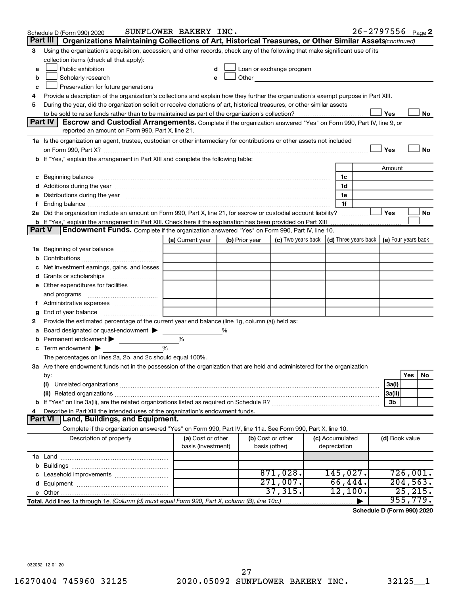|        | Schedule D (Form 990) 2020                                                                                                                                                                                                     | SUNFLOWER BAKERY INC.                   |   |                |                                                                                                                                                                                                                               |  |                                 |                | $26 - 2797556$ Page 2 |
|--------|--------------------------------------------------------------------------------------------------------------------------------------------------------------------------------------------------------------------------------|-----------------------------------------|---|----------------|-------------------------------------------------------------------------------------------------------------------------------------------------------------------------------------------------------------------------------|--|---------------------------------|----------------|-----------------------|
|        | Part III  <br>Organizations Maintaining Collections of Art, Historical Treasures, or Other Similar Assets (continued)                                                                                                          |                                         |   |                |                                                                                                                                                                                                                               |  |                                 |                |                       |
| 3      | Using the organization's acquisition, accession, and other records, check any of the following that make significant use of its                                                                                                |                                         |   |                |                                                                                                                                                                                                                               |  |                                 |                |                       |
|        | collection items (check all that apply):                                                                                                                                                                                       |                                         |   |                |                                                                                                                                                                                                                               |  |                                 |                |                       |
| a      | Public exhibition                                                                                                                                                                                                              |                                         |   |                | Loan or exchange program                                                                                                                                                                                                      |  |                                 |                |                       |
| b      | Scholarly research                                                                                                                                                                                                             |                                         |   |                | Other and the contract of the contract of the contract of the contract of the contract of the contract of the contract of the contract of the contract of the contract of the contract of the contract of the contract of the |  |                                 |                |                       |
| c      | Preservation for future generations                                                                                                                                                                                            |                                         |   |                |                                                                                                                                                                                                                               |  |                                 |                |                       |
| 4      | Provide a description of the organization's collections and explain how they further the organization's exempt purpose in Part XIII.                                                                                           |                                         |   |                |                                                                                                                                                                                                                               |  |                                 |                |                       |
| 5      | During the year, did the organization solicit or receive donations of art, historical treasures, or other similar assets                                                                                                       |                                         |   |                |                                                                                                                                                                                                                               |  |                                 |                |                       |
|        |                                                                                                                                                                                                                                |                                         |   |                |                                                                                                                                                                                                                               |  |                                 | Yes            | No                    |
|        | Part IV<br><b>Escrow and Custodial Arrangements.</b> Complete if the organization answered "Yes" on Form 990, Part IV, line 9, or                                                                                              |                                         |   |                |                                                                                                                                                                                                                               |  |                                 |                |                       |
|        | reported an amount on Form 990, Part X, line 21.                                                                                                                                                                               |                                         |   |                |                                                                                                                                                                                                                               |  |                                 |                |                       |
|        | 1a Is the organization an agent, trustee, custodian or other intermediary for contributions or other assets not included                                                                                                       |                                         |   |                |                                                                                                                                                                                                                               |  |                                 |                |                       |
|        |                                                                                                                                                                                                                                |                                         |   |                |                                                                                                                                                                                                                               |  |                                 | Yes            | No                    |
|        | b If "Yes," explain the arrangement in Part XIII and complete the following table:                                                                                                                                             |                                         |   |                |                                                                                                                                                                                                                               |  |                                 |                |                       |
|        |                                                                                                                                                                                                                                |                                         |   |                |                                                                                                                                                                                                                               |  |                                 | Amount         |                       |
|        |                                                                                                                                                                                                                                |                                         |   |                |                                                                                                                                                                                                                               |  | 1c<br>1d                        |                |                       |
|        | e Distributions during the year manufactured and contained and contained and contained and contained and contained and contained and contained and contained and contained and contained and contained and contained and conta |                                         |   |                |                                                                                                                                                                                                                               |  | 1е                              |                |                       |
| Ť.     |                                                                                                                                                                                                                                |                                         |   |                |                                                                                                                                                                                                                               |  | 1f                              |                |                       |
|        | 2a Did the organization include an amount on Form 990, Part X, line 21, for escrow or custodial account liability?                                                                                                             |                                         |   |                |                                                                                                                                                                                                                               |  |                                 | Yes            | No                    |
|        |                                                                                                                                                                                                                                |                                         |   |                |                                                                                                                                                                                                                               |  |                                 |                |                       |
| Part V | <b>Endowment Funds.</b> Complete if the organization answered "Yes" on Form 990, Part IV, line 10.                                                                                                                             |                                         |   |                |                                                                                                                                                                                                                               |  |                                 |                |                       |
|        |                                                                                                                                                                                                                                | (a) Current year                        |   | (b) Prior year | (c) Two years back $\vert$ (d) Three years back $\vert$ (e) Four years back                                                                                                                                                   |  |                                 |                |                       |
|        | 1a Beginning of year balance                                                                                                                                                                                                   |                                         |   |                |                                                                                                                                                                                                                               |  |                                 |                |                       |
| b      |                                                                                                                                                                                                                                |                                         |   |                |                                                                                                                                                                                                                               |  |                                 |                |                       |
|        | Net investment earnings, gains, and losses                                                                                                                                                                                     |                                         |   |                |                                                                                                                                                                                                                               |  |                                 |                |                       |
| d      | Grants or scholarships                                                                                                                                                                                                         |                                         |   |                |                                                                                                                                                                                                                               |  |                                 |                |                       |
|        | e Other expenditures for facilities                                                                                                                                                                                            |                                         |   |                |                                                                                                                                                                                                                               |  |                                 |                |                       |
|        | and programs                                                                                                                                                                                                                   |                                         |   |                |                                                                                                                                                                                                                               |  |                                 |                |                       |
| Τ.     |                                                                                                                                                                                                                                |                                         |   |                |                                                                                                                                                                                                                               |  |                                 |                |                       |
| g      |                                                                                                                                                                                                                                |                                         |   |                |                                                                                                                                                                                                                               |  |                                 |                |                       |
| 2      | Provide the estimated percentage of the current year end balance (line 1g, column (a)) held as:                                                                                                                                |                                         |   |                |                                                                                                                                                                                                                               |  |                                 |                |                       |
| а      | Board designated or quasi-endowment >                                                                                                                                                                                          |                                         | % |                |                                                                                                                                                                                                                               |  |                                 |                |                       |
| b      | Permanent endowment                                                                                                                                                                                                            | %                                       |   |                |                                                                                                                                                                                                                               |  |                                 |                |                       |
|        | $\mathbf c$ Term endowment $\blacktriangleright$                                                                                                                                                                               | %                                       |   |                |                                                                                                                                                                                                                               |  |                                 |                |                       |
|        | The percentages on lines 2a, 2b, and 2c should equal 100%.                                                                                                                                                                     |                                         |   |                |                                                                                                                                                                                                                               |  |                                 |                |                       |
|        | 3a Are there endowment funds not in the possession of the organization that are held and administered for the organization                                                                                                     |                                         |   |                |                                                                                                                                                                                                                               |  |                                 |                |                       |
|        | by:                                                                                                                                                                                                                            |                                         |   |                |                                                                                                                                                                                                                               |  |                                 |                | Yes<br>No             |
|        | (i)                                                                                                                                                                                                                            |                                         |   |                |                                                                                                                                                                                                                               |  |                                 | 3a(i)          |                       |
|        | (ii) Related organizations [11] Related organizations [11] Maximum material contract to the contract of the contract of the contract of the contract of the contract of the contract of the contract of the contract of the co |                                         |   |                |                                                                                                                                                                                                                               |  |                                 | 3a(ii)         |                       |
|        |                                                                                                                                                                                                                                |                                         |   |                |                                                                                                                                                                                                                               |  |                                 | 3b             |                       |
| 4      | Describe in Part XIII the intended uses of the organization's endowment funds.                                                                                                                                                 |                                         |   |                |                                                                                                                                                                                                                               |  |                                 |                |                       |
|        | <b>Land, Buildings, and Equipment.</b><br><b>Part VI</b>                                                                                                                                                                       |                                         |   |                |                                                                                                                                                                                                                               |  |                                 |                |                       |
|        | Complete if the organization answered "Yes" on Form 990, Part IV, line 11a. See Form 990, Part X, line 10.                                                                                                                     |                                         |   |                |                                                                                                                                                                                                                               |  |                                 |                |                       |
|        | Description of property                                                                                                                                                                                                        | (a) Cost or other<br>basis (investment) |   |                | (b) Cost or other<br>basis (other)                                                                                                                                                                                            |  | (c) Accumulated<br>depreciation | (d) Book value |                       |
|        |                                                                                                                                                                                                                                |                                         |   |                |                                                                                                                                                                                                                               |  |                                 |                |                       |
|        |                                                                                                                                                                                                                                |                                         |   |                |                                                                                                                                                                                                                               |  |                                 |                |                       |
|        |                                                                                                                                                                                                                                |                                         |   |                | 871,028.                                                                                                                                                                                                                      |  | 145,027.                        |                | 726,001.              |
|        |                                                                                                                                                                                                                                |                                         |   |                | 271,007.                                                                                                                                                                                                                      |  | 66,444.                         |                | 204, 563.             |
|        |                                                                                                                                                                                                                                |                                         |   |                | 37, 315.                                                                                                                                                                                                                      |  | 12,100.                         |                | 25, 215.              |
|        | Total. Add lines 1a through 1e. (Column (d) must equal Form 990, Part X, column (B), line 10c.)                                                                                                                                |                                         |   |                |                                                                                                                                                                                                                               |  |                                 |                | 955,779.              |
|        |                                                                                                                                                                                                                                |                                         |   |                |                                                                                                                                                                                                                               |  |                                 |                |                       |

**Schedule D (Form 990) 2020**

032052 12-01-20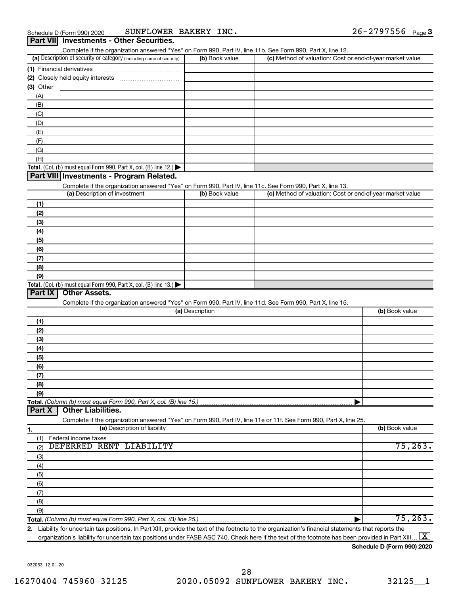| (a) Description of security or category (including name of security)                                              | (b) Book value  | (c) Method of valuation: Cost or end-of-year market value |                |
|-------------------------------------------------------------------------------------------------------------------|-----------------|-----------------------------------------------------------|----------------|
| (1) Financial derivatives                                                                                         |                 |                                                           |                |
|                                                                                                                   |                 |                                                           |                |
| $(3)$ Other                                                                                                       |                 |                                                           |                |
| (A)                                                                                                               |                 |                                                           |                |
|                                                                                                                   |                 |                                                           |                |
| (B)                                                                                                               |                 |                                                           |                |
| (C)                                                                                                               |                 |                                                           |                |
| (D)                                                                                                               |                 |                                                           |                |
| (E)                                                                                                               |                 |                                                           |                |
| (F)                                                                                                               |                 |                                                           |                |
| (G)                                                                                                               |                 |                                                           |                |
| (H)                                                                                                               |                 |                                                           |                |
| Total. (Col. (b) must equal Form 990, Part X, col. (B) line 12.) $\blacktriangleright$                            |                 |                                                           |                |
| Part VIII Investments - Program Related.                                                                          |                 |                                                           |                |
|                                                                                                                   |                 |                                                           |                |
| Complete if the organization answered "Yes" on Form 990, Part IV, line 11c. See Form 990, Part X, line 13.        |                 |                                                           |                |
| (a) Description of investment                                                                                     | (b) Book value  | (c) Method of valuation: Cost or end-of-year market value |                |
| (1)                                                                                                               |                 |                                                           |                |
| (2)                                                                                                               |                 |                                                           |                |
| (3)                                                                                                               |                 |                                                           |                |
| (4)                                                                                                               |                 |                                                           |                |
| (5)                                                                                                               |                 |                                                           |                |
| (6)                                                                                                               |                 |                                                           |                |
|                                                                                                                   |                 |                                                           |                |
| (7)                                                                                                               |                 |                                                           |                |
| (8)                                                                                                               |                 |                                                           |                |
|                                                                                                                   |                 |                                                           |                |
| (9)                                                                                                               |                 |                                                           |                |
| Total. (Col. (b) must equal Form 990, Part X, col. (B) line 13.) $\blacktriangleright$                            |                 |                                                           |                |
| Part IX<br><b>Other Assets.</b>                                                                                   |                 |                                                           |                |
|                                                                                                                   |                 |                                                           |                |
| Complete if the organization answered "Yes" on Form 990, Part IV, line 11d. See Form 990, Part X, line 15.        |                 |                                                           |                |
|                                                                                                                   | (a) Description |                                                           | (b) Book value |
| (1)                                                                                                               |                 |                                                           |                |
| (2)                                                                                                               |                 |                                                           |                |
| (3)                                                                                                               |                 |                                                           |                |
| (4)                                                                                                               |                 |                                                           |                |
| (5)                                                                                                               |                 |                                                           |                |
|                                                                                                                   |                 |                                                           |                |
| (6)                                                                                                               |                 |                                                           |                |
| (7)                                                                                                               |                 |                                                           |                |
| (8)                                                                                                               |                 |                                                           |                |
| (9)                                                                                                               |                 |                                                           |                |
|                                                                                                                   |                 |                                                           |                |
| <b>Other Liabilities.</b><br>Part X                                                                               |                 |                                                           |                |
| Complete if the organization answered "Yes" on Form 990, Part IV, line 11e or 11f. See Form 990, Part X, line 25. |                 |                                                           |                |
| (a) Description of liability<br>1.                                                                                |                 |                                                           | (b) Book value |
|                                                                                                                   |                 |                                                           |                |
| Federal income taxes<br>(1)                                                                                       |                 |                                                           |                |
| DEFERRED RENT LIABILITY<br>(2)                                                                                    |                 |                                                           |                |
| (3)                                                                                                               |                 |                                                           |                |
| (4)                                                                                                               |                 |                                                           |                |
| (5)                                                                                                               |                 |                                                           |                |
| (6)                                                                                                               |                 |                                                           |                |
| (7)                                                                                                               |                 |                                                           |                |
|                                                                                                                   |                 |                                                           |                |
| (8)<br>(9)                                                                                                        |                 |                                                           | 75, 263.       |

Complete if the organization answered "Yes" on Form 990, Part IV, line 11b. See Form 990, Part X, line 12.

**2.** pility for uncertain tax positions. In Part XIII, provide the text of the footnote to the organization's financial statements that reports the organization's liability for uncertain tax positions under FASB ASC 740. Check here if the text of the footnote has been provided in Part XIII ...  $\fbox{\bf X}$ 

**Schedule D (Form 990) 2020**

032053 12-01-20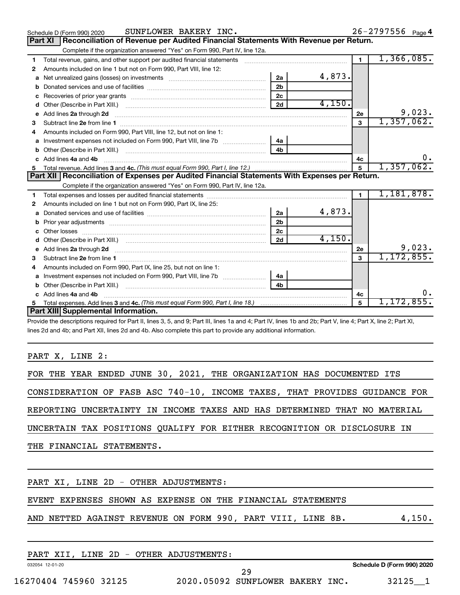|    | SUNFLOWER BAKERY INC.<br>Schedule D (Form 990) 2020                                                                                                                                                                                 |                |        |                | $26 - 2797556$ Page 4 |
|----|-------------------------------------------------------------------------------------------------------------------------------------------------------------------------------------------------------------------------------------|----------------|--------|----------------|-----------------------|
|    | Reconciliation of Revenue per Audited Financial Statements With Revenue per Return.<br>Part XI                                                                                                                                      |                |        |                |                       |
|    | Complete if the organization answered "Yes" on Form 990, Part IV, line 12a.                                                                                                                                                         |                |        |                |                       |
| 1  | Total revenue, gains, and other support per audited financial statements                                                                                                                                                            |                |        | $\blacksquare$ | 1,366,085.            |
| 2  | Amounts included on line 1 but not on Form 990, Part VIII, line 12:                                                                                                                                                                 |                |        |                |                       |
| a  |                                                                                                                                                                                                                                     | 2a             | 4,873. |                |                       |
| b  |                                                                                                                                                                                                                                     | 2 <sub>b</sub> |        |                |                       |
|    |                                                                                                                                                                                                                                     | 2 <sub>c</sub> |        |                |                       |
| d  |                                                                                                                                                                                                                                     | 2d             | 4,150. |                |                       |
| е  | Add lines 2a through 2d                                                                                                                                                                                                             |                |        | <b>2e</b>      | 9,023.                |
| 3  |                                                                                                                                                                                                                                     |                |        | 3              | 1,357,062.            |
| 4  | Amounts included on Form 990, Part VIII, line 12, but not on line 1:                                                                                                                                                                |                |        |                |                       |
|    | Investment expenses not included on Form 990, Part VIII, line 7b   4a                                                                                                                                                               |                |        |                |                       |
|    |                                                                                                                                                                                                                                     | 4 <sub>h</sub> |        |                |                       |
|    | c Add lines 4a and 4b                                                                                                                                                                                                               |                |        | 4c             | 0.                    |
|    |                                                                                                                                                                                                                                     |                |        | $\mathbf{5}$   | 1,357,062.            |
|    |                                                                                                                                                                                                                                     |                |        |                |                       |
|    | Part XII   Reconciliation of Expenses per Audited Financial Statements With Expenses per Return.                                                                                                                                    |                |        |                |                       |
|    | Complete if the organization answered "Yes" on Form 990, Part IV, line 12a.                                                                                                                                                         |                |        |                |                       |
| 1. |                                                                                                                                                                                                                                     |                |        | $\mathbf{1}$   | 1,181,878.            |
| 2  | Amounts included on line 1 but not on Form 990, Part IX, line 25:                                                                                                                                                                   |                |        |                |                       |
| a  |                                                                                                                                                                                                                                     | 2a             | 4,873. |                |                       |
| b  |                                                                                                                                                                                                                                     | 2 <sub>b</sub> |        |                |                       |
|    |                                                                                                                                                                                                                                     | 2 <sub>c</sub> |        |                |                       |
|    |                                                                                                                                                                                                                                     | 2d             | 4,150. |                |                       |
|    | e Add lines 2a through 2d <b>contract and all anomination</b> and all and all anomalism and all anomalism and all anomalism and all anomalism and all anomalism and all anomalism and all anomalism and all anomalism and all anoma |                |        | 2е             | 9,023.                |
| З  |                                                                                                                                                                                                                                     |                |        | 3              | 1, 172, 855.          |
| 4  | Amounts included on Form 990, Part IX, line 25, but not on line 1:                                                                                                                                                                  |                |        |                |                       |
| a  |                                                                                                                                                                                                                                     | 4a             |        |                |                       |
|    |                                                                                                                                                                                                                                     | 4 <sub>b</sub> |        |                |                       |
|    | c Add lines 4a and 4b                                                                                                                                                                                                               |                |        | 4c             | 0.                    |
|    | Part XIII Supplemental Information.                                                                                                                                                                                                 |                |        | 5              | 1,172,855.            |

Provide the descriptions required for Part II, lines 3, 5, and 9; Part III, lines 1a and 4; Part IV, lines 1b and 2b; Part V, line 4; Part X, line 2; Part XI, lines 2d and 4b; and Part XII, lines 2d and 4b. Also complete this part to provide any additional information.

PART X, LINE 2:

| FOR THE YEAR ENDED JUNE 30, 2021, THE ORGANIZATION HAS DOCUMENTED ITS      |
|----------------------------------------------------------------------------|
| CONSIDERATION OF FASB ASC 740-10, INCOME TAXES, THAT PROVIDES GUIDANCE FOR |
| REPORTING UNCERTAINTY IN INCOME TAXES AND HAS DETERMINED THAT NO MATERIAL  |
| UNCERTAIN TAX POSITIONS QUALIFY FOR EITHER RECOGNITION OR DISCLOSURE IN    |
| THE FINANCIAL STATEMENTS.                                                  |
|                                                                            |
| PART XI, LINE 2D - OTHER ADJUSTMENTS:                                      |
| EVENT EXPENSES SHOWN AS EXPENSE ON THE FINANCIAL STATEMENTS                |
| AND NETTED AGAINST REVENUE ON FORM 990, PART VIII, LINE 8B.<br>4,150.      |

|                            |  |    | PART XII, LINE 2D - OTHER ADJUSTMENTS: |  |  |                       |
|----------------------------|--|----|----------------------------------------|--|--|-----------------------|
| Schedule D (Form 990) 2020 |  |    |                                        |  |  | 032054 12-01-20       |
|                            |  | 29 |                                        |  |  |                       |
| 32125                      |  |    | 2020.05092 SUNFLOWER BAKERY INC.       |  |  | 16270404 745960 32125 |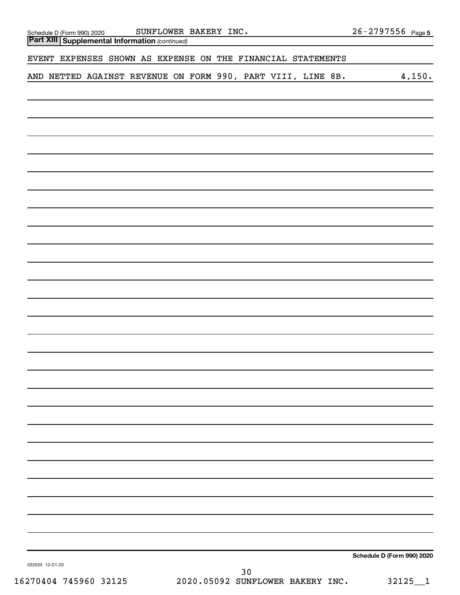| SUNFLOWER BAKERY INC.<br>Schedule D (Form 990) 2020<br><b>Part XIII</b> Supplemental Information (continued) | $26 - 2797556$ Page 5      |
|--------------------------------------------------------------------------------------------------------------|----------------------------|
| EVENT EXPENSES SHOWN AS EXPENSE ON THE FINANCIAL STATEMENTS                                                  |                            |
| AND NETTED AGAINST REVENUE ON FORM 990, PART VIII, LINE 8B.                                                  | 4,150.                     |
|                                                                                                              |                            |
|                                                                                                              |                            |
|                                                                                                              |                            |
|                                                                                                              |                            |
|                                                                                                              |                            |
|                                                                                                              |                            |
|                                                                                                              |                            |
|                                                                                                              |                            |
|                                                                                                              |                            |
|                                                                                                              |                            |
|                                                                                                              |                            |
|                                                                                                              |                            |
|                                                                                                              |                            |
|                                                                                                              |                            |
|                                                                                                              |                            |
|                                                                                                              |                            |
|                                                                                                              |                            |
|                                                                                                              |                            |
|                                                                                                              |                            |
|                                                                                                              |                            |
|                                                                                                              |                            |
|                                                                                                              |                            |
|                                                                                                              |                            |
| 032055 12-01-20<br>30                                                                                        | Schedule D (Form 990) 2020 |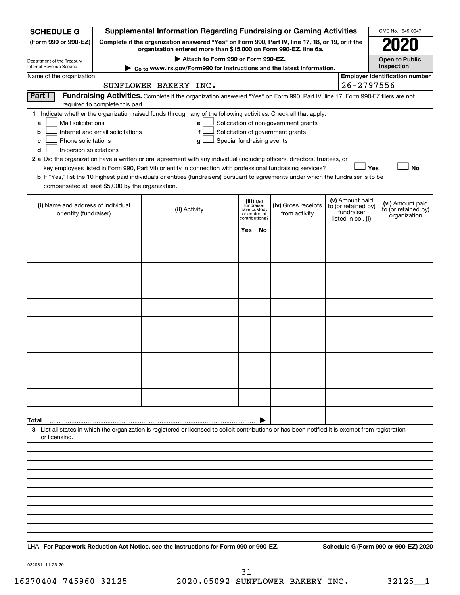| <b>SCHEDULE G</b>                                                                        |                                                                                                                                                                     | <b>Supplemental Information Regarding Fundraising or Gaming Activities</b>                                                                                                                                                                                                                 |                                                          |                |                                                                            |  |                                                                            | OMB No. 1545-0047                                       |  |
|------------------------------------------------------------------------------------------|---------------------------------------------------------------------------------------------------------------------------------------------------------------------|--------------------------------------------------------------------------------------------------------------------------------------------------------------------------------------------------------------------------------------------------------------------------------------------|----------------------------------------------------------|----------------|----------------------------------------------------------------------------|--|----------------------------------------------------------------------------|---------------------------------------------------------|--|
| (Form 990 or 990-EZ)                                                                     | Complete if the organization answered "Yes" on Form 990, Part IV, line 17, 18, or 19, or if the<br>organization entered more than \$15,000 on Form 990-EZ, line 6a. |                                                                                                                                                                                                                                                                                            |                                                          |                |                                                                            |  |                                                                            |                                                         |  |
|                                                                                          | Attach to Form 990 or Form 990-EZ.<br><b>Open to Public</b><br>Department of the Treasury                                                                           |                                                                                                                                                                                                                                                                                            |                                                          |                |                                                                            |  |                                                                            |                                                         |  |
| Internal Revenue Service                                                                 | Inspection<br>► Go to www.irs.gov/Form990 for instructions and the latest information.                                                                              |                                                                                                                                                                                                                                                                                            |                                                          |                |                                                                            |  |                                                                            |                                                         |  |
| Name of the organization                                                                 |                                                                                                                                                                     |                                                                                                                                                                                                                                                                                            |                                                          |                |                                                                            |  |                                                                            | <b>Employer identification number</b>                   |  |
| Part I                                                                                   |                                                                                                                                                                     | SUNFLOWER BAKERY INC.<br>Fundraising Activities. Complete if the organization answered "Yes" on Form 990, Part IV, line 17. Form 990-EZ filers are not                                                                                                                                     |                                                          |                |                                                                            |  | 26-2797556                                                                 |                                                         |  |
|                                                                                          | required to complete this part.                                                                                                                                     |                                                                                                                                                                                                                                                                                            |                                                          |                |                                                                            |  |                                                                            |                                                         |  |
| Mail solicitations<br>a<br>b<br>Phone solicitations<br>c<br>In-person solicitations<br>d | Internet and email solicitations                                                                                                                                    | 1 Indicate whether the organization raised funds through any of the following activities. Check all that apply.<br>е<br>f<br>Special fundraising events<br>g<br>2 a Did the organization have a written or oral agreement with any individual (including officers, directors, trustees, or |                                                          |                | Solicitation of non-government grants<br>Solicitation of government grants |  |                                                                            |                                                         |  |
|                                                                                          |                                                                                                                                                                     | key employees listed in Form 990, Part VII) or entity in connection with professional fundraising services?                                                                                                                                                                                |                                                          |                |                                                                            |  | Yes                                                                        | <b>No</b>                                               |  |
| compensated at least \$5,000 by the organization.                                        |                                                                                                                                                                     | b If "Yes," list the 10 highest paid individuals or entities (fundraisers) pursuant to agreements under which the fundraiser is to be                                                                                                                                                      |                                                          |                |                                                                            |  |                                                                            |                                                         |  |
| (i) Name and address of individual<br>or entity (fundraiser)                             |                                                                                                                                                                     | (ii) Activity                                                                                                                                                                                                                                                                              | (iii) Did<br>fundraiser<br>have custody<br>or control of | contributions? | (iv) Gross receipts<br>from activity                                       |  | (v) Amount paid<br>to (or retained by)<br>fundraiser<br>listed in col. (i) | (vi) Amount paid<br>to (or retained by)<br>organization |  |
|                                                                                          |                                                                                                                                                                     |                                                                                                                                                                                                                                                                                            | Yes                                                      | No             |                                                                            |  |                                                                            |                                                         |  |
|                                                                                          |                                                                                                                                                                     |                                                                                                                                                                                                                                                                                            |                                                          |                |                                                                            |  |                                                                            |                                                         |  |
|                                                                                          |                                                                                                                                                                     |                                                                                                                                                                                                                                                                                            |                                                          |                |                                                                            |  |                                                                            |                                                         |  |
|                                                                                          |                                                                                                                                                                     |                                                                                                                                                                                                                                                                                            |                                                          |                |                                                                            |  |                                                                            |                                                         |  |
|                                                                                          |                                                                                                                                                                     |                                                                                                                                                                                                                                                                                            |                                                          |                |                                                                            |  |                                                                            |                                                         |  |
|                                                                                          |                                                                                                                                                                     |                                                                                                                                                                                                                                                                                            |                                                          |                |                                                                            |  |                                                                            |                                                         |  |
|                                                                                          |                                                                                                                                                                     |                                                                                                                                                                                                                                                                                            |                                                          |                |                                                                            |  |                                                                            |                                                         |  |
|                                                                                          |                                                                                                                                                                     |                                                                                                                                                                                                                                                                                            |                                                          |                |                                                                            |  |                                                                            |                                                         |  |
|                                                                                          |                                                                                                                                                                     |                                                                                                                                                                                                                                                                                            |                                                          |                |                                                                            |  |                                                                            |                                                         |  |
|                                                                                          |                                                                                                                                                                     |                                                                                                                                                                                                                                                                                            |                                                          |                |                                                                            |  |                                                                            |                                                         |  |
|                                                                                          |                                                                                                                                                                     |                                                                                                                                                                                                                                                                                            |                                                          |                |                                                                            |  |                                                                            |                                                         |  |
|                                                                                          |                                                                                                                                                                     |                                                                                                                                                                                                                                                                                            |                                                          |                |                                                                            |  |                                                                            |                                                         |  |
|                                                                                          |                                                                                                                                                                     |                                                                                                                                                                                                                                                                                            |                                                          |                |                                                                            |  |                                                                            |                                                         |  |
|                                                                                          |                                                                                                                                                                     |                                                                                                                                                                                                                                                                                            |                                                          |                |                                                                            |  |                                                                            |                                                         |  |
|                                                                                          |                                                                                                                                                                     |                                                                                                                                                                                                                                                                                            |                                                          |                |                                                                            |  |                                                                            |                                                         |  |
| Total                                                                                    |                                                                                                                                                                     |                                                                                                                                                                                                                                                                                            |                                                          |                |                                                                            |  |                                                                            |                                                         |  |
| or licensing.                                                                            |                                                                                                                                                                     | 3 List all states in which the organization is registered or licensed to solicit contributions or has been notified it is exempt from registration                                                                                                                                         |                                                          |                |                                                                            |  |                                                                            |                                                         |  |
|                                                                                          |                                                                                                                                                                     |                                                                                                                                                                                                                                                                                            |                                                          |                |                                                                            |  |                                                                            |                                                         |  |
|                                                                                          |                                                                                                                                                                     |                                                                                                                                                                                                                                                                                            |                                                          |                |                                                                            |  |                                                                            |                                                         |  |
|                                                                                          |                                                                                                                                                                     |                                                                                                                                                                                                                                                                                            |                                                          |                |                                                                            |  |                                                                            |                                                         |  |
|                                                                                          |                                                                                                                                                                     |                                                                                                                                                                                                                                                                                            |                                                          |                |                                                                            |  |                                                                            |                                                         |  |
|                                                                                          |                                                                                                                                                                     |                                                                                                                                                                                                                                                                                            |                                                          |                |                                                                            |  |                                                                            |                                                         |  |
|                                                                                          |                                                                                                                                                                     |                                                                                                                                                                                                                                                                                            |                                                          |                |                                                                            |  |                                                                            |                                                         |  |
|                                                                                          |                                                                                                                                                                     |                                                                                                                                                                                                                                                                                            |                                                          |                |                                                                            |  |                                                                            |                                                         |  |

**For Paperwork Reduction Act Notice, see the Instructions for Form 990 or 990-EZ. Schedule G (Form 990 or 990-EZ) 2020** LHA

032081 11-25-20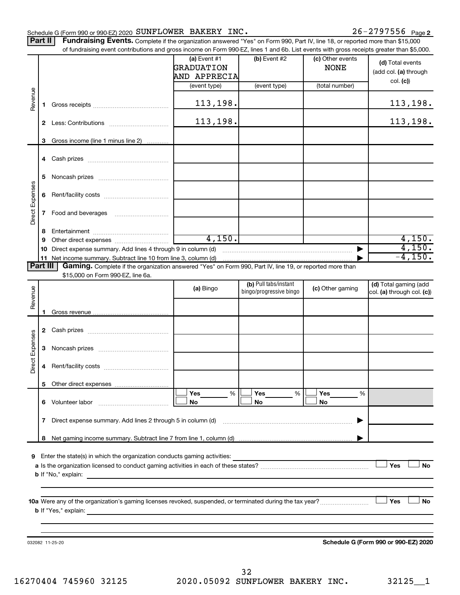#### Schedule G (Form 990 or 990-EZ) 2020 Page SUNFLOWER BAKERY INC. 26-2797556

26-2797556 Page 2

|                 | Part II  | <b>Fundraising Events.</b> Complete if the organization answered "Yes" on Form 990, Part IV, line 18, or reported more than \$15,000      |                   |                         |                  |                                      |
|-----------------|----------|-------------------------------------------------------------------------------------------------------------------------------------------|-------------------|-------------------------|------------------|--------------------------------------|
|                 |          | of fundraising event contributions and gross income on Form 990-EZ, lines 1 and 6b. List events with gross receipts greater than \$5,000. |                   | (b) Event #2            | (c) Other events |                                      |
|                 |          |                                                                                                                                           | (a) Event #1      |                         |                  | (d) Total events                     |
|                 |          |                                                                                                                                           | <b>GRADUATION</b> |                         | <b>NONE</b>      | (add col. (a) through                |
|                 |          |                                                                                                                                           | AND APPRECIA      |                         |                  | col. (c)                             |
|                 |          |                                                                                                                                           | (event type)      | (event type)            | (total number)   |                                      |
| Revenue         |          |                                                                                                                                           |                   |                         |                  |                                      |
|                 | 1.       |                                                                                                                                           | 113,198.          |                         |                  | 113, 198.                            |
|                 |          |                                                                                                                                           |                   |                         |                  |                                      |
|                 | 2        |                                                                                                                                           | 113,198.          |                         |                  | 113, 198.                            |
|                 |          |                                                                                                                                           |                   |                         |                  |                                      |
|                 | З        | Gross income (line 1 minus line 2)                                                                                                        |                   |                         |                  |                                      |
|                 |          |                                                                                                                                           |                   |                         |                  |                                      |
|                 |          |                                                                                                                                           |                   |                         |                  |                                      |
|                 |          |                                                                                                                                           |                   |                         |                  |                                      |
|                 | 5        |                                                                                                                                           |                   |                         |                  |                                      |
| Direct Expenses |          |                                                                                                                                           |                   |                         |                  |                                      |
|                 | 6        |                                                                                                                                           |                   |                         |                  |                                      |
|                 |          |                                                                                                                                           |                   |                         |                  |                                      |
|                 | 7        |                                                                                                                                           |                   |                         |                  |                                      |
|                 |          |                                                                                                                                           |                   |                         |                  |                                      |
|                 | 8<br>9   |                                                                                                                                           | 4,150.            |                         |                  | 4,150.                               |
|                 | 10       |                                                                                                                                           |                   |                         |                  | 4,150.                               |
|                 | 11       |                                                                                                                                           |                   |                         |                  | $-4,150.$                            |
|                 | Part III | Gaming. Complete if the organization answered "Yes" on Form 990, Part IV, line 19, or reported more than                                  |                   |                         |                  |                                      |
|                 |          | \$15,000 on Form 990-EZ, line 6a.                                                                                                         |                   |                         |                  |                                      |
|                 |          |                                                                                                                                           |                   | (b) Pull tabs/instant   |                  | (d) Total gaming (add                |
| Revenue         |          |                                                                                                                                           | (a) Bingo         | bingo/progressive bingo | (c) Other gaming | col. (a) through col. (c))           |
|                 |          |                                                                                                                                           |                   |                         |                  |                                      |
|                 |          |                                                                                                                                           |                   |                         |                  |                                      |
|                 |          |                                                                                                                                           |                   |                         |                  |                                      |
|                 |          |                                                                                                                                           |                   |                         |                  |                                      |
|                 |          |                                                                                                                                           |                   |                         |                  |                                      |
|                 | З        |                                                                                                                                           |                   |                         |                  |                                      |
| Direct Expenses |          |                                                                                                                                           |                   |                         |                  |                                      |
|                 | 4        |                                                                                                                                           |                   |                         |                  |                                      |
|                 |          |                                                                                                                                           |                   |                         |                  |                                      |
|                 | 5.       |                                                                                                                                           |                   |                         |                  |                                      |
|                 |          |                                                                                                                                           | Yes<br>%          | Yes<br>%                | Yes<br>%         |                                      |
|                 |          |                                                                                                                                           | No.               | No                      | No               |                                      |
|                 |          |                                                                                                                                           |                   |                         |                  |                                      |
|                 | 7        |                                                                                                                                           |                   |                         |                  |                                      |
|                 |          |                                                                                                                                           |                   |                         |                  |                                      |
|                 | 8        |                                                                                                                                           |                   |                         |                  |                                      |
|                 |          |                                                                                                                                           |                   |                         |                  |                                      |
| 9               |          |                                                                                                                                           |                   |                         |                  |                                      |
|                 |          |                                                                                                                                           |                   |                         |                  | Yes<br><b>No</b>                     |
|                 |          |                                                                                                                                           |                   |                         |                  |                                      |
|                 |          |                                                                                                                                           |                   |                         |                  |                                      |
|                 |          |                                                                                                                                           |                   |                         |                  |                                      |
|                 |          | 10a Were any of the organization's gaming licenses revoked, suspended, or terminated during the tax year?                                 |                   |                         |                  | Yes<br>No                            |
|                 |          |                                                                                                                                           |                   |                         |                  |                                      |
|                 |          |                                                                                                                                           |                   |                         |                  |                                      |
|                 |          |                                                                                                                                           |                   |                         |                  |                                      |
|                 |          | 032082 11-25-20                                                                                                                           |                   |                         |                  | Schedule G (Form 990 or 990-EZ) 2020 |
|                 |          |                                                                                                                                           |                   |                         |                  |                                      |
|                 |          |                                                                                                                                           |                   |                         |                  |                                      |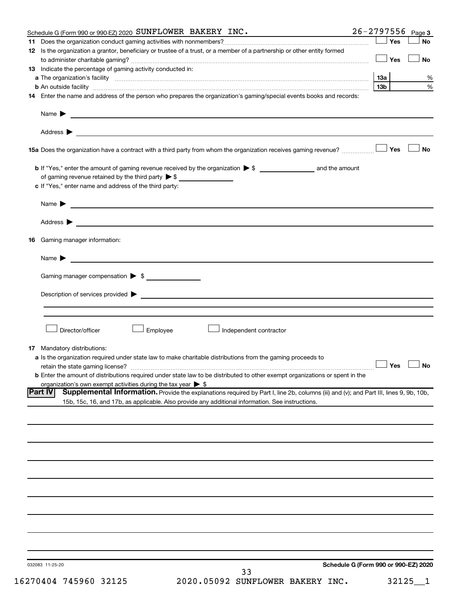|    | Schedule G (Form 990 or 990-EZ) 2020 SUNFLOWER BAKERY INC.                                                                                                                                                                               | $26 - 2797556$  | Page 3                               |
|----|------------------------------------------------------------------------------------------------------------------------------------------------------------------------------------------------------------------------------------------|-----------------|--------------------------------------|
|    |                                                                                                                                                                                                                                          | Yes             | <b>No</b>                            |
|    | 12 Is the organization a grantor, beneficiary or trustee of a trust, or a member of a partnership or other entity formed                                                                                                                 | Yes             | <b>No</b>                            |
|    | 13 Indicate the percentage of gaming activity conducted in:                                                                                                                                                                              |                 |                                      |
|    |                                                                                                                                                                                                                                          | 1За             | %                                    |
|    | <b>b</b> An outside facility <i>www.communicality www.communicality.communicality www.communicality www.communicality.communicality www.communicality.com</i>                                                                            | 13 <sub>b</sub> | %                                    |
|    | 14 Enter the name and address of the person who prepares the organization's gaming/special events books and records:                                                                                                                     |                 |                                      |
|    | Name $\blacktriangleright$<br><u> 1989 - Johann Stein, fransk politik (f. 1989)</u>                                                                                                                                                      |                 |                                      |
|    |                                                                                                                                                                                                                                          |                 |                                      |
|    |                                                                                                                                                                                                                                          |                 | <b>No</b>                            |
|    |                                                                                                                                                                                                                                          |                 |                                      |
|    |                                                                                                                                                                                                                                          |                 |                                      |
|    | c If "Yes," enter name and address of the third party:                                                                                                                                                                                   |                 |                                      |
|    | <u>and the control of the control of the control of the control of the control of the control of</u><br>Name $\blacktriangleright$                                                                                                       |                 |                                      |
|    |                                                                                                                                                                                                                                          |                 |                                      |
| 16 | Gaming manager information:                                                                                                                                                                                                              |                 |                                      |
|    | <u> 1989 - Johann Barbara, martin amerikan basal dan berasal dan berasal dalam basal dan berasal dan berasal dan</u><br>Name $\blacktriangleright$                                                                                       |                 |                                      |
|    | Gaming manager compensation > \$                                                                                                                                                                                                         |                 |                                      |
|    |                                                                                                                                                                                                                                          |                 |                                      |
|    | Description of services provided states and the control of the control of the control of services provided states and the control of the control of the control of the control of the control of the control of the control of           |                 |                                      |
|    |                                                                                                                                                                                                                                          |                 |                                      |
|    | Director/officer<br>Employee<br>Independent contractor                                                                                                                                                                                   |                 |                                      |
|    | <b>17</b> Mandatory distributions:                                                                                                                                                                                                       |                 |                                      |
|    | a Is the organization required under state law to make charitable distributions from the gaming proceeds to                                                                                                                              |                 |                                      |
|    | retain the state gaming license?                                                                                                                                                                                                         |                 | $\Box$ Yes $\Box$ No                 |
|    | <b>b</b> Enter the amount of distributions required under state law to be distributed to other exempt organizations or spent in the                                                                                                      |                 |                                      |
|    | organization's own exempt activities during the tax year $\triangleright$ \$<br><b>Part IV</b><br>Supplemental Information. Provide the explanations required by Part I, line 2b, columns (iii) and (v); and Part III, lines 9, 9b, 10b, |                 |                                      |
|    | 15b, 15c, 16, and 17b, as applicable. Also provide any additional information. See instructions.                                                                                                                                         |                 |                                      |
|    |                                                                                                                                                                                                                                          |                 |                                      |
|    |                                                                                                                                                                                                                                          |                 |                                      |
|    |                                                                                                                                                                                                                                          |                 |                                      |
|    |                                                                                                                                                                                                                                          |                 |                                      |
|    |                                                                                                                                                                                                                                          |                 |                                      |
|    |                                                                                                                                                                                                                                          |                 |                                      |
|    |                                                                                                                                                                                                                                          |                 |                                      |
|    |                                                                                                                                                                                                                                          |                 |                                      |
|    |                                                                                                                                                                                                                                          |                 |                                      |
|    |                                                                                                                                                                                                                                          |                 |                                      |
|    | 032083 11-25-20<br>33                                                                                                                                                                                                                    |                 | Schedule G (Form 990 or 990-EZ) 2020 |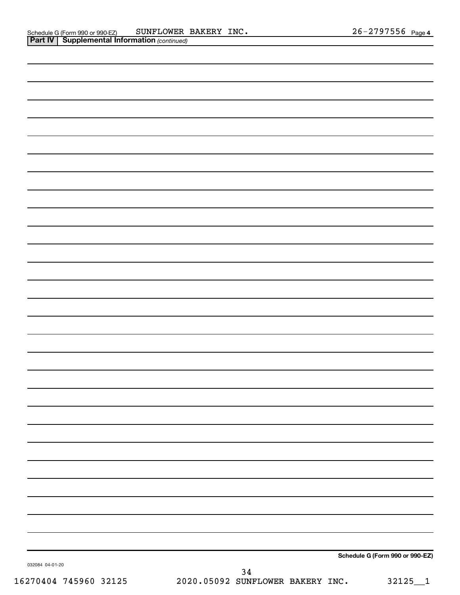| 032084 04-01-20 |    | Schedule G (Form 990 or 990-EZ) |
|-----------------|----|---------------------------------|
|                 | 21 |                                 |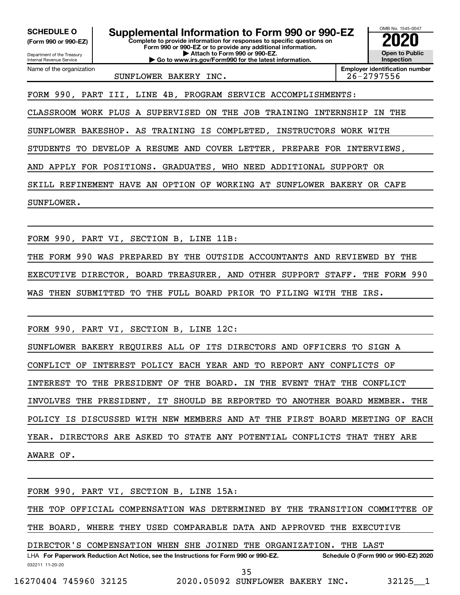Department of the Treasury **(Form 990 or 990-EZ)**

Name of the organization

Internal Revenue Service

**Complete to provide information for responses to specific questions on Form 990 or 990-EZ or to provide any additional information. | Attach to Form 990 or 990-EZ. | Go to www.irs.gov/Form990 for the latest information. SCHEDULE O Supplemental Information to Form 990 or 990-EZ 2020**<br>(Form 990 or 990-EZ) Complete to provide information for responses to specific questions on



SUNFLOWER BAKERY INC. 26-2797556

**Employer identification number**

FORM 990, PART III, LINE 4B, PROGRAM SERVICE ACCOMPLISHMENTS:

CLASSROOM WORK PLUS A SUPERVISED ON THE JOB TRAINING INTERNSHIP IN THE

SUNFLOWER BAKESHOP. AS TRAINING IS COMPLETED, INSTRUCTORS WORK WITH

STUDENTS TO DEVELOP A RESUME AND COVER LETTER, PREPARE FOR INTERVIEWS,

AND APPLY FOR POSITIONS. GRADUATES, WHO NEED ADDITIONAL SUPPORT OR

SKILL REFINEMENT HAVE AN OPTION OF WORKING AT SUNFLOWER BAKERY OR CAFE

SUNFLOWER.

FORM 990, PART VI, SECTION B, LINE 11B:

THE FORM 990 WAS PREPARED BY THE OUTSIDE ACCOUNTANTS AND REVIEWED BY THE EXECUTIVE DIRECTOR, BOARD TREASURER, AND OTHER SUPPORT STAFF. THE FORM 990 WAS THEN SUBMITTED TO THE FULL BOARD PRIOR TO FILING WITH THE IRS.

FORM 990, PART VI, SECTION B, LINE 12C:

SUNFLOWER BAKERY REQUIRES ALL OF ITS DIRECTORS AND OFFICERS TO SIGN A CONFLICT OF INTEREST POLICY EACH YEAR AND TO REPORT ANY CONFLICTS OF INTEREST TO THE PRESIDENT OF THE BOARD. IN THE EVENT THAT THE CONFLICT INVOLVES THE PRESIDENT, IT SHOULD BE REPORTED TO ANOTHER BOARD MEMBER. THE POLICY IS DISCUSSED WITH NEW MEMBERS AND AT THE FIRST BOARD MEETING OF EACH YEAR. DIRECTORS ARE ASKED TO STATE ANY POTENTIAL CONFLICTS THAT THEY ARE AWARE OF.

FORM 990, PART VI, SECTION B, LINE 15A:

THE TOP OFFICIAL COMPENSATION WAS DETERMINED BY THE TRANSITION COMMITTEE OF

THE BOARD, WHERE THEY USED COMPARABLE DATA AND APPROVED THE EXECUTIVE

032211 11-20-20 **For Paperwork Reduction Act Notice, see the Instructions for Form 990 or 990-EZ. Schedule O (Form 990 or 990-EZ) 2020** LHA DIRECTOR'S COMPENSATION WHEN SHE JOINED THE ORGANIZATION. THE LAST

35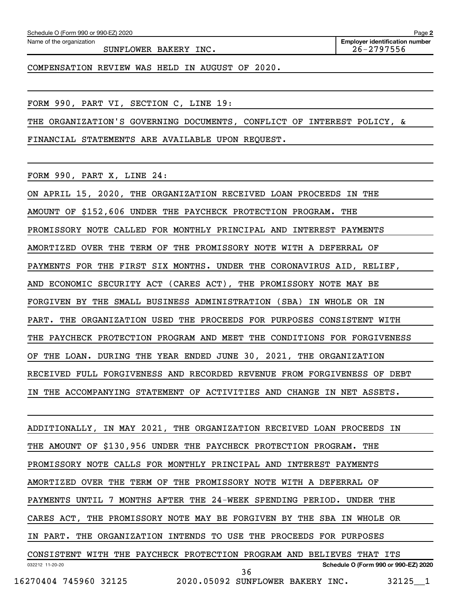Name of the organization

SUNFLOWER BAKERY INC. 26-2797556

COMPENSATION REVIEW WAS HELD IN AUGUST OF 2020.

FORM 990, PART VI, SECTION C, LINE 19:

THE ORGANIZATION'S GOVERNING DOCUMENTS, CONFLICT OF INTEREST POLICY, &

FINANCIAL STATEMENTS ARE AVAILABLE UPON REQUEST.

FORM 990, PART X, LINE 24:

ON APRIL 15, 2020, THE ORGANIZATION RECEIVED LOAN PROCEEDS IN THE AMOUNT OF \$152,606 UNDER THE PAYCHECK PROTECTION PROGRAM. THE PROMISSORY NOTE CALLED FOR MONTHLY PRINCIPAL AND INTEREST PAYMENTS AMORTIZED OVER THE TERM OF THE PROMISSORY NOTE WITH A DEFERRAL OF PAYMENTS FOR THE FIRST SIX MONTHS. UNDER THE CORONAVIRUS AID, RELIEF, AND ECONOMIC SECURITY ACT (CARES ACT), THE PROMISSORY NOTE MAY BE FORGIVEN BY THE SMALL BUSINESS ADMINISTRATION (SBA) IN WHOLE OR IN PART. THE ORGANIZATION USED THE PROCEEDS FOR PURPOSES CONSISTENT WITH THE PAYCHECK PROTECTION PROGRAM AND MEET THE CONDITIONS FOR FORGIVENESS OF THE LOAN. DURING THE YEAR ENDED JUNE 30, 2021, THE ORGANIZATION RECEIVED FULL FORGIVENESS AND RECORDED REVENUE FROM FORGIVENESS OF DEBT IN THE ACCOMPANYING STATEMENT OF ACTIVITIES AND CHANGE IN NET ASSETS.

032212 11-20-20 **Schedule O (Form 990 or 990-EZ) 2020** ADDITIONALLY, IN MAY 2021, THE ORGANIZATION RECEIVED LOAN PROCEEDS IN THE AMOUNT OF \$130,956 UNDER THE PAYCHECK PROTECTION PROGRAM. THE PROMISSORY NOTE CALLS FOR MONTHLY PRINCIPAL AND INTEREST PAYMENTS AMORTIZED OVER THE TERM OF THE PROMISSORY NOTE WITH A DEFERRAL OF PAYMENTS UNTIL 7 MONTHS AFTER THE 24-WEEK SPENDING PERIOD. UNDER THE CARES ACT, THE PROMISSORY NOTE MAY BE FORGIVEN BY THE SBA IN WHOLE OR IN PART. THE ORGANIZATION INTENDS TO USE THE PROCEEDS FOR PURPOSES CONSISTENT WITH THE PAYCHECK PROTECTION PROGRAM AND BELIEVES THAT ITS 16270404 745960 32125 2020.05092 SUNFLOWER BAKERY INC. 32125\_\_1 36